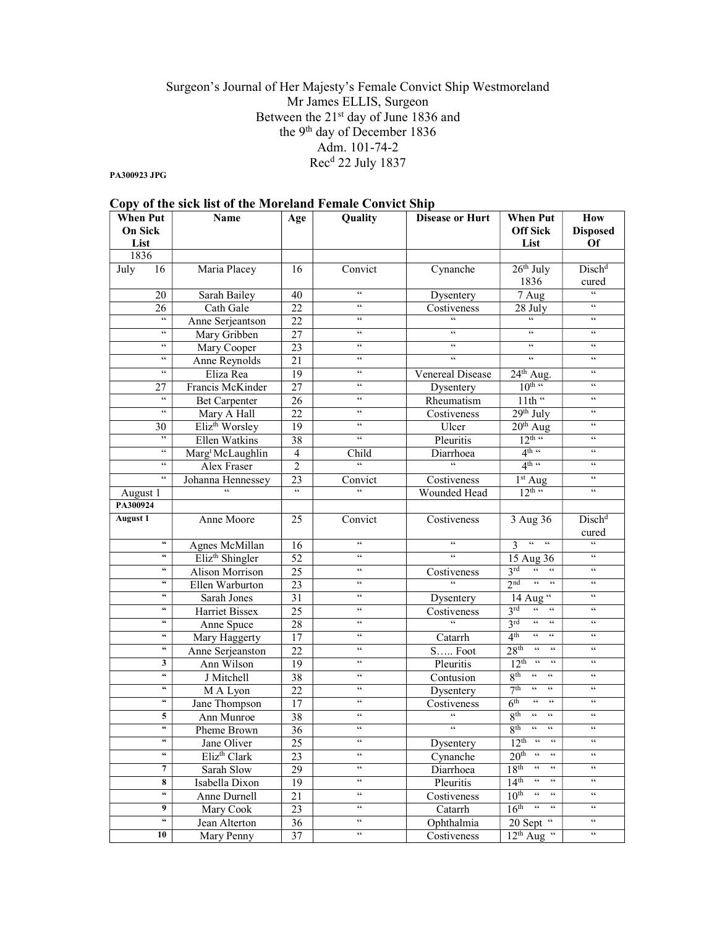## Surgeon's Journal of Her Majesty's Female Convict Ship Westmoreland Mr James ELLIS, Surgeon Between the 21st day of June 1836 and the 9th day of December 1836 Adm. 101-74-2 Rec<sup>d</sup> 22 July 1837

PA300923 JPG

| Copy of the sick list of the Moreland Female Convict Ship |                                                |                              |                          |                            |                        |                                                                                            |                              |
|-----------------------------------------------------------|------------------------------------------------|------------------------------|--------------------------|----------------------------|------------------------|--------------------------------------------------------------------------------------------|------------------------------|
| <b>When Put</b><br><b>Name</b><br><b>On Sick</b><br>List  |                                                |                              | Age                      | <b>Quality</b>             | <b>Disease or Hurt</b> | <b>When Put</b><br><b>Off Sick</b><br>List                                                 | How<br><b>Disposed</b><br>Of |
| 1836                                                      |                                                |                              |                          |                            |                        |                                                                                            |                              |
| July                                                      | 16                                             | Maria Placey                 | 16                       | Convict                    | Cynanche               | $26th$ July<br>1836                                                                        | Disch <sup>d</sup><br>cured  |
|                                                           | 20                                             | Sarah Bailey                 | 40                       | $\overline{66}$            | Dysentery              | 7 Aug                                                                                      | $\overline{66}$              |
|                                                           | 26                                             | Cath Gale                    | 22                       | $\overline{66}$            | Costiveness            | 28 July                                                                                    | 66                           |
|                                                           | 66                                             | Anne Serjeantson             | $\overline{22}$          | $\overline{66}$            |                        | $\epsilon$                                                                                 | 66                           |
|                                                           | $\zeta\,\zeta$                                 | Mary Gribben                 | 27                       | $\zeta\,\zeta$             | $\epsilon$             | $\zeta\,\zeta$                                                                             | $\zeta\,\zeta$               |
|                                                           | $\epsilon\,\epsilon$                           | Mary Cooper                  | 23                       | $\zeta\,\zeta$             | $\epsilon\,\epsilon$   | $\zeta \, \zeta$                                                                           | $\epsilon\,\epsilon$         |
|                                                           | $\epsilon\epsilon$                             | Anne Reynolds                | 21                       | $\zeta\,\zeta$             | $\epsilon$             | 66                                                                                         | $\zeta\,\zeta$               |
|                                                           | $\epsilon\,\epsilon$                           | Eliza Rea                    | $\overline{19}$          | $\zeta\,\zeta$             | Venereal Disease       | $24th$ Aug.                                                                                | $\zeta\,\zeta$               |
|                                                           | 27                                             | Francis McKinder             | $\overline{27}$          | $\zeta\,\zeta$             | Dysentery              | $10^{\text{th}}$ $\cdot$                                                                   | $\zeta\,\zeta$               |
|                                                           | $\epsilon\,\epsilon$                           | <b>Bet Carpenter</b>         | 26                       | $\zeta\,\zeta$             | Rheumatism             | 11th "                                                                                     | $\zeta\,\zeta$               |
|                                                           | $\epsilon\epsilon$                             | Mary A Hall                  | 22                       | $\zeta\,\zeta$             | Costiveness            | $29th$ July                                                                                | $\zeta\,\zeta$               |
|                                                           | 30                                             | Eliz <sup>th</sup> Worsley   | 19                       | $\zeta\,\zeta$             | Ulcer                  | $20th$ Aug                                                                                 | $\zeta\,\zeta$               |
|                                                           | , ,                                            | Ellen Watkins                | 38                       | $\zeta\,\zeta$             | Pleuritis              | $12^{\text{th}}$ "                                                                         | $\zeta\,\zeta$               |
|                                                           | $\epsilon\,\epsilon$                           | Marg <sup>t</sup> McLaughlin | $\overline{\mathcal{L}}$ | Child                      | Diarrhoea              | 4 <sup>th</sup>                                                                            | $\epsilon\,\epsilon$         |
|                                                           | $\epsilon\epsilon$                             | <b>Alex Fraser</b>           | $\overline{2}$           | $\overline{\omega}$        | $\overline{66}$        | 4 <sup>th</sup>                                                                            | $\zeta\,\zeta$               |
|                                                           | $\epsilon\,\epsilon$                           | Johanna Hennessey            | 23                       | Convict                    | Costiveness            | 1 <sup>st</sup> Aug                                                                        | $\,$ 6 $\,$                  |
| August 1                                                  |                                                |                              |                          | $\zeta\,\zeta$             | Wounded Head           | $12^{\text{th}}$ "                                                                         | $\zeta\,\zeta$               |
| PA300924                                                  |                                                |                              |                          |                            |                        |                                                                                            |                              |
| <b>August 1</b>                                           |                                                | Anne Moore                   | 25                       | Convict                    | Costiveness            | 3 Aug 36                                                                                   | Disch <sup>d</sup><br>cured  |
|                                                           | $\mathfrak{c}\mathfrak{c}$                     | Agnes McMillan               | 16                       | $\zeta\,\zeta$             | $\epsilon$             | $\zeta\,\zeta$<br>$\zeta\,\zeta$<br>3                                                      | $\overline{\mathbf{66}}$     |
|                                                           | 66                                             | Eliz <sup>th</sup> Shingler  | 52                       | $\zeta\,\zeta$             | $\epsilon$             | 15 Aug 36                                                                                  | $\zeta\,\zeta$               |
|                                                           | $\mathsf{G}$                                   | Alison Morrison              | 25                       | $\zeta\,\zeta$             | Costiveness            | 3 <sup>rd</sup><br>$\boldsymbol{\varsigma} \boldsymbol{\varsigma}$<br>$\epsilon\,\epsilon$ | $\zeta\,\zeta$               |
|                                                           | 66                                             | Ellen Warburton              | $\overline{23}$          | $\zeta\,\zeta$             | $\epsilon$             | 2 <sub>nd</sub><br>$\overline{\mathfrak{c}\mathfrak{c}}$<br>$\epsilon\epsilon$             | $\zeta\,\zeta$               |
|                                                           | $\mathsf{G}$                                   | Sarah Jones                  | $\overline{31}$          | $\zeta\,\zeta$             | Dysentery              | $14 \overline{\text{Aug}}$ "                                                               | $\zeta\,\zeta$               |
|                                                           | 66                                             | Harriet Bissex               | 25                       | $\zeta \, \zeta$           | Costiveness            | 3 <sup>rd</sup><br>$\epsilon\epsilon$<br>$\zeta\,\zeta$                                    | $\zeta\,\zeta$               |
|                                                           | $\mathsf{G} \mathsf{G}$                        | Anne Spuce                   | 28                       | $\zeta\,\zeta$             | $\epsilon$             | 3 <sup>rd</sup><br>$\zeta\,\zeta$<br>$\zeta\,\zeta$                                        | $\zeta\,\zeta$               |
|                                                           | 66                                             | Mary Haggerty                | 17                       | $\zeta\,\zeta$             | Catarrh                | 4 <sup>th</sup><br>$\epsilon\,\epsilon$<br>$\epsilon\epsilon$                              | $\zeta\,\zeta$               |
|                                                           | $\mathsf{G} \mathsf{G}$                        | Anne Serjeanston             | 22                       | $\zeta\,\zeta$             | S Foot                 | $\zeta\,\zeta$<br>$\zeta\,\zeta$<br>28 <sup>th</sup>                                       | $\zeta\,\zeta$               |
|                                                           | 3                                              | Ann Wilson                   | 19                       | $\zeta\,\zeta$             | Pleuritis              | $\,$ 6 $\,$<br>$12^{th}$<br>$\epsilon\epsilon$                                             | $\zeta\,\zeta$               |
|                                                           | $\boldsymbol{\varsigma}\boldsymbol{\varsigma}$ | J Mitchell                   | 38                       | $\zeta\,\zeta$             | Contusion              | $R^{th}$<br>$\epsilon\,\epsilon$<br>$\epsilon\epsilon$                                     | $\zeta\,\zeta$               |
|                                                           | 66                                             | M A Lyon                     | 22                       | $\zeta\,\zeta$             | Dysentery              | 7 <sup>th</sup><br>$\epsilon\epsilon$<br>$\epsilon\, \epsilon$                             | $\zeta\,\zeta$               |
|                                                           | 66                                             | Jane Thompson                | 17                       | $\zeta\,\zeta$             | Costiveness            | 6 <sup>th</sup><br>$\epsilon\,\epsilon$<br>$\epsilon\,\epsilon$                            | $\zeta\,\zeta$               |
|                                                           | 5                                              | Ann Munroe                   | 38                       | $\zeta\,\zeta$             | $\epsilon\epsilon$     | 8 <sup>th</sup><br>$\epsilon\epsilon$<br>$\epsilon\epsilon$                                | $\zeta\,\zeta$               |
|                                                           | 66                                             | Pheme Brown                  | 36                       | 66                         | 66                     | $8^{\text{th}}$ ""                                                                         | 66                           |
|                                                           | 66                                             | Jane Oliver                  | 25                       | $\zeta\,\zeta$             | Dysentery              | $12^{\text{th}}$ "<br>$\epsilon\,\epsilon$                                                 | $\,$ $\,$ $\,$ $\,$          |
|                                                           | 66                                             | Eliz <sup>th</sup> Clark     | 23                       | $\mathsf{G}\mathsf{G}$     | Cynanche               | $20^{\text{th}}$ "<br>$\epsilon\epsilon$                                                   | $\,$ 6 $\,$                  |
|                                                           | 7                                              | Sarah Slow                   | 29                       | $\epsilon\epsilon$         | Diarrhoea              | $18^{\text{th}}$ "<br>$\mathsf{6}\,\mathsf{6}$                                             | $\mathcal{C}\mathcal{C}$     |
|                                                           | 8                                              | Isabella Dixon               | 19                       | $\epsilon\,\epsilon$       | Pleuritis              | $14^{\text{th}}$ "<br>$\,$ 6 $\,$                                                          | $\epsilon\epsilon$           |
|                                                           | 66                                             | Anne Durnell                 | 21                       | $\mathsf{G}\,\mathsf{G}$   | Costiveness            | $10^{\text{th}}$ "<br>$\epsilon\epsilon$                                                   | $\textsf{c}\,\textsf{c}$     |
|                                                           | 9                                              | Mary Cook                    | 23                       | $\epsilon\, \epsilon$      | Catarrh                | $16^{\text{th}}$ "<br>$\epsilon\,\epsilon$                                                 | $\,$ 6 $\,$                  |
|                                                           | $\epsilon$                                     | Jean Alterton                | 36                       | $\zeta\,\zeta$             | Ophthalmia             | $20$ Sept "                                                                                | $\zeta \, \zeta$             |
|                                                           | 10                                             | Mary Penny                   | 37                       | $\mathfrak{c}\mathfrak{c}$ | Costiveness            | $12^{th}$ Aug <sup>"</sup>                                                                 | $\zeta\,\zeta$               |

# Copy of the sick list of the Moreland Female Convict Ship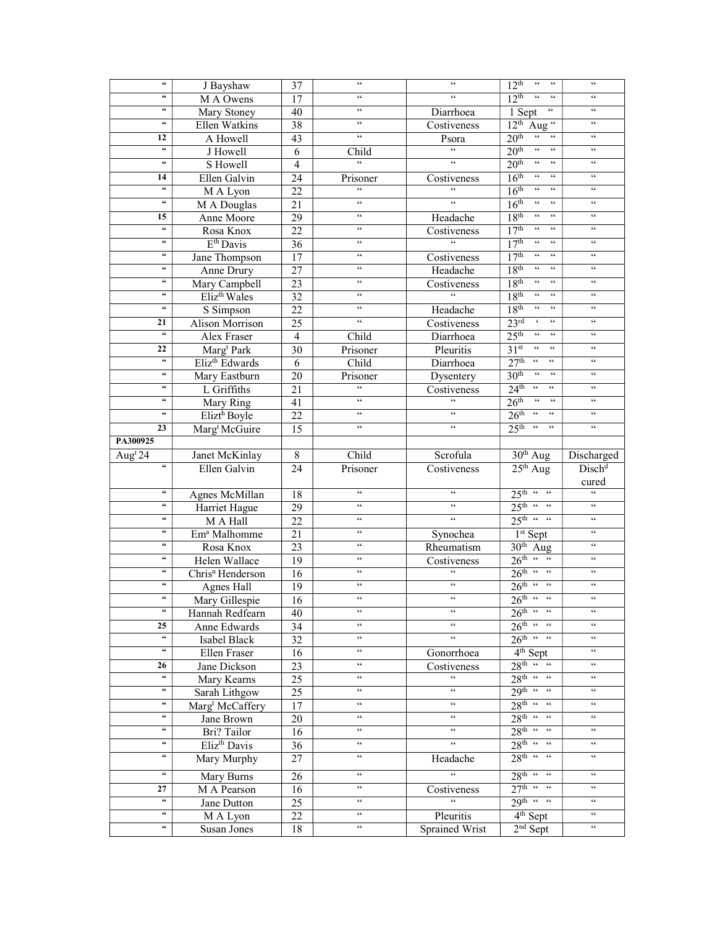| $\epsilon$                                     | J Bayshaw                    | 37              | $\epsilon\,\epsilon$                       | $\epsilon\epsilon$                    | 12 <sup>th</sup><br>$\epsilon\epsilon$<br>$\zeta\,\zeta$                    | $\zeta\,\zeta$                                       |
|------------------------------------------------|------------------------------|-----------------|--------------------------------------------|---------------------------------------|-----------------------------------------------------------------------------|------------------------------------------------------|
| $\mathsf{G} \mathsf{G}$                        | M A Owens                    | 17              | $\zeta\,\zeta$                             | $\epsilon$                            | $\epsilon\epsilon$<br>12 <sup>th</sup><br>$\zeta\,\zeta$                    | $\zeta\,\zeta$                                       |
| $\mathsf{G}\mathsf{G}$                         | Mary Stoney                  | 40              | $\zeta\,\zeta$                             | Diarrhoea                             | $\zeta\,\zeta$<br>1 Sept                                                    | $\zeta \, \zeta$                                     |
| $\mathsf{G} \mathsf{G}$                        | Ellen Watkins                | $\overline{38}$ | $\zeta\,\zeta$                             |                                       | 12 <sup>th</sup><br>Aug <sup>"</sup>                                        | $\zeta\,\zeta$                                       |
| 12                                             |                              |                 | $\zeta\,\zeta$                             | Costiveness                           | $\mathfrak{c}\mathfrak{c}$<br>20 <sup>th</sup><br>$\zeta\zeta$              | $\zeta\,\zeta$                                       |
| $\epsilon$                                     | A Howell                     | $\overline{43}$ |                                            | Psora<br>$\overline{\mathbf{G}}$      | $\overline{\mathfrak{c}\mathfrak{c}}$<br>$\zeta\,\zeta$                     | $\zeta \, \zeta$                                     |
| $\mathsf{G}\mathsf{G}$                         | J Howell                     | 6               | Child<br>$\overline{66}$                   | $\epsilon\,\epsilon$                  | 20 <sup>th</sup><br>$\zeta\,\zeta$                                          | $\zeta \, \zeta$                                     |
|                                                | S Howell                     | $\overline{4}$  |                                            |                                       | 20 <sup>th</sup><br>$\epsilon\epsilon$                                      |                                                      |
| 14                                             | Ellen Galvin                 | 24              | Prisoner                                   | Costiveness                           | $\mathfrak{c}\mathfrak{c}$<br>16 <sup>th</sup><br>$\zeta\,\zeta$            | $\zeta\,\zeta$                                       |
| 66                                             | M A Lyon                     | 22              | 66                                         | $\epsilon$                            | 16 <sup>th</sup><br>$\mathfrak{c}\mathfrak{c}$<br>$\zeta\,\zeta$            | $\zeta\,\zeta$                                       |
| $\mathsf{G}\mathsf{G}$                         | M A Douglas                  | 21              | $\zeta\,\zeta$                             | $\leq$                                | 16 <sup>th</sup><br>$\zeta\,\zeta$<br>$\zeta\,\zeta$                        | $\zeta\,\zeta$                                       |
| 15                                             | Anne Moore                   | 29              | $\zeta\,\zeta$                             | Headache                              | 18 <sup>th</sup><br>$\epsilon\,\epsilon$<br>$\zeta\,\zeta$                  | $\zeta\,\zeta$                                       |
| $\boldsymbol{\varsigma}\boldsymbol{\varsigma}$ | Rosa Knox                    | 22              | $\epsilon\,\epsilon$                       | Costiveness                           | 17 <sup>th</sup><br>$\epsilon\epsilon$<br>$\zeta\,\zeta$                    | $\zeta\,\zeta$                                       |
| $\mathsf{G}\mathsf{G}$                         | $E^{th}$ Davis               | 36              | $\zeta\,\zeta$                             | 66                                    | 17 <sup>th</sup><br>$\epsilon\epsilon$<br>$\zeta \, \zeta$                  | $\zeta\,\zeta$                                       |
| $\epsilon\epsilon$                             | Jane Thompson                | 17              | $\zeta\,\zeta$                             | Costiveness                           | 17 <sup>th</sup><br>$\epsilon\epsilon$<br>$\zeta\,\zeta$                    | $\zeta\,\zeta$                                       |
| $\mathsf{G}\mathsf{G}$                         | Anne Drury                   | 27              | $\zeta\,\zeta$                             | Headache                              | 18 <sup>th</sup><br>$\epsilon\epsilon$<br>$\zeta\,\zeta$                    | $\zeta\,\zeta$                                       |
| $\mathsf{G}\mathsf{G}$                         | Mary Campbell                | 23              | $\zeta\,\zeta$                             | Costiveness                           | 18 <sup>th</sup><br>$\zeta\,\zeta$<br>$\,$ 66                               | $\zeta\,\zeta$                                       |
| 66                                             | Eliz <sup>th</sup> Wales     | 32              | $\zeta\,\zeta$                             | $\overline{66}$                       | 18 <sup>th</sup><br>$\mathsf{c}\,\mathsf{c}$<br>$\zeta\,\zeta$              | $\zeta\,\zeta$                                       |
| $\mathsf{G}\mathsf{G}$                         | S Simpson                    | 22              | $\zeta\,\zeta$                             | Headache                              | $\zeta\,\zeta$<br>$\zeta\,\zeta$<br>18 <sup>th</sup>                        | $\zeta\,\zeta$                                       |
| 21                                             | Alison Morrison              | 25              | $\overline{66}$                            | Costiveness                           | $\epsilon$<br>$\overline{66}$<br>23 <sup>rd</sup>                           | $\zeta\zeta$                                         |
| $\mathsf{G}\mathsf{G}$                         | Alex Fraser                  | $\overline{4}$  | Child                                      | Diarrhoea                             | $-66$<br>25 <sup>th</sup><br>$\zeta\zeta$                                   | $\zeta\,\zeta$                                       |
| 22                                             | Marg <sup>t</sup> Park       | 30              | Prisoner                                   | Pleuritis                             | 31 <sup>st</sup><br>$\epsilon\epsilon$<br>$\overline{66}$                   | $\zeta\zeta$                                         |
| $\epsilon\epsilon$                             | Eliz <sup>th</sup> Edwards   | $\overline{6}$  | Child                                      | Diarrhoea                             | $27^{\text{th}}$ "<br>$\epsilon\epsilon$                                    | $\zeta\,\zeta$                                       |
| $\boldsymbol{\zeta}\boldsymbol{\zeta}$         | Mary Eastburn                | $\overline{20}$ | Prisoner                                   | Dysentery                             | 30 <sup>th</sup><br>$\overline{\mathfrak{c}\mathfrak{c}}$<br>$\zeta\,\zeta$ | $\zeta \, \zeta$                                     |
| $\epsilon\epsilon$                             | L Griffiths                  | 21              | $\mathfrak{c}\mathfrak{c}$                 | Costiveness                           | $24^{\text{th}}$ "<br>$\zeta\,\zeta$                                        | $\zeta\,\zeta$                                       |
| $\mathsf{G} \mathsf{G}$                        | Mary Ring                    | 41              | $\epsilon\epsilon$                         | $\zeta\,\zeta$                        | 26 <sup>th</sup><br>$\overline{\mathfrak{c}}$<br>$\epsilon$                 | $\zeta\,\zeta$                                       |
| $\boldsymbol{\zeta}\boldsymbol{\zeta}$         | Elizt <sup>h</sup> Boyle     | $\overline{22}$ | $\zeta\,\zeta$                             | $\epsilon\,\epsilon$                  | $26^{\text{th}}$ "<br>$\zeta\,\zeta$                                        | $\zeta\,\zeta$                                       |
| 23                                             | Marg <sup>t</sup> McGuire    | 15              | $\zeta\,\zeta$                             | $\zeta\,\zeta$                        | 25 <sup>th</sup><br>$\overline{\mathfrak{c}}$<br>$\zeta\,\zeta$             | $\zeta \, \zeta$                                     |
| PA300925                                       |                              |                 |                                            |                                       |                                                                             |                                                      |
| Aug <sup>t</sup> 24                            | Janet McKinlay               | 8               | Child                                      | Scrofula                              | $30th$ Aug                                                                  | Discharged                                           |
| $\mathfrak{c}\mathfrak{c}$                     | Ellen Galvin                 | $\overline{24}$ | Prisoner                                   | Costiveness                           | $25th$ Aug                                                                  | Disch <sup>d</sup>                                   |
|                                                |                              |                 |                                            |                                       |                                                                             | cured                                                |
| $\epsilon\epsilon$                             | Agnes McMillan               | 18              | $\zeta\,\zeta$                             | $\epsilon\,\epsilon$                  | $25th$ "                                                                    | $\mathcal{C}$                                        |
| $\mathsf{G}\mathsf{G}$                         | Harriet Hague                | 29              | $\zeta\,\zeta$                             | $\zeta\,\zeta$                        | $25^{\text{th}}$ "                                                          | $\zeta\,\zeta$                                       |
| $\mathsf{G}\mathsf{G}$                         | M A Hall                     | 22              | $\zeta\,\zeta$                             | $\zeta\,\zeta$                        | $25^{\text{th}}$ " "                                                        | $\zeta\,\zeta$                                       |
| $\mathsf{G}\mathsf{G}$                         | Em <sup>a</sup> Malhomme     | 21              | $\zeta\,\zeta$                             | Synochea                              | $1st$ Sept                                                                  | $\zeta\,\zeta$                                       |
| $\mathsf{G}\mathsf{G}$                         | Rosa Knox                    | 23              | $\zeta\,\zeta$                             | Rheumatism                            | $30th$ Aug                                                                  | $\zeta\,\zeta$                                       |
| $\mathsf{G} \mathsf{G}$                        | Helen Wallace                | 19              | $\zeta\,\zeta$                             | Costiveness                           | $26^{\text{th}}$ " "                                                        | $\zeta\,\zeta$                                       |
| $\mathsf{G}\mathsf{G}$                         | Chris <sup>n</sup> Henderson | $\overline{16}$ | $\zeta\,\zeta$                             | $\epsilon\,\epsilon$                  | $26^{\text{th}}$ " "                                                        | $\zeta\,\zeta$                                       |
| $\mathsf{G}\mathsf{G}$                         |                              |                 | $\zeta\,\zeta$                             | $\epsilon\,\epsilon$                  | $26^{\text{th}}$ " "                                                        | $\zeta \, \zeta$                                     |
| $\epsilon\epsilon$                             | Agnes Hall                   | 19              | $\zeta\,\zeta$                             | $\epsilon\,\epsilon$                  |                                                                             | $\zeta\,\zeta$                                       |
| $\epsilon\epsilon$                             | Mary Gillespie               | $\overline{16}$ | $\zeta\,\zeta$                             | $\zeta\,\zeta$                        | $26^{\text{th}}$ " "<br>$26^{\text{th}}$ " "                                | $\,$ 6 $\,$                                          |
|                                                | Hannah Redfearn              | 40              | $\zeta\,\zeta$                             | $\epsilon\,\epsilon$                  |                                                                             | $\zeta\,\zeta$                                       |
| 25<br>$\overline{\mathfrak{c}\mathfrak{c}}$    | <b>Anne Edwards</b>          | 34              | $\mathfrak{c}\mathfrak{c}$                 | $\mathfrak{c}\mathfrak{c}$            | $26^{\text{th}}$ " "<br>$26^{\text{th}}$ " "                                | $\zeta\,\zeta$                                       |
| $\overline{\mathfrak{c}\mathfrak{c}}$          | Isabel Black                 | 32              |                                            |                                       |                                                                             |                                                      |
|                                                | Ellen Fraser                 | 16              | $\mathsf{c}\,\mathsf{c}$<br>$\zeta\,\zeta$ | Gonorrhoea                            | 4 <sup>th</sup> Sept<br>$28^{\text{th}}$ $\frac{1}{4}$                      | $\mathcal{C}\mathcal{C}$<br>$\mathcal{C}\mathcal{C}$ |
| 26<br>$\overline{\mathfrak{c}\mathfrak{c}}$    | Jane Dickson                 | 23              |                                            | Costiveness                           |                                                                             |                                                      |
|                                                | Mary Kearns                  | 25              | $\mathsf{c}\,\mathsf{c}$                   | $\zeta\,\zeta$                        | $28th$ "                                                                    | $\zeta\,\zeta$                                       |
| $\epsilon\epsilon$<br>$\epsilon\epsilon$       | Sarah Lithgow                | 25              | $\zeta\,\zeta$                             | $\epsilon\,\epsilon$                  | $29^{\text{th}}$ " "                                                        | $\zeta\,\zeta$                                       |
|                                                | Marg <sup>t</sup> McCaffery  | 17              | $\zeta\,\zeta$                             | $\epsilon\,\epsilon$                  | $28^{\text{th}}$ " "                                                        | $\zeta\,\zeta$                                       |
| $\epsilon\epsilon$                             | Jane Brown                   | 20              | $\epsilon\,\epsilon$                       | $\epsilon\,\epsilon$                  | $28^{\text{th}}$ " "                                                        | $\zeta\,\zeta$                                       |
| $\mathsf{G}\mathsf{G}$                         | Bri? Tailor                  | 16              | $\zeta\,\zeta$                             | $\zeta\,\zeta$                        | $28^{\text{th}}$ " "                                                        | $\zeta\,\zeta$                                       |
| 66                                             | Eliz <sup>th</sup> Davis     | 36              | $\epsilon\epsilon$                         | $\epsilon\,\epsilon$                  | $28^{\text{th}}$ " "                                                        | $\zeta\,\zeta$                                       |
| $\epsilon\epsilon$                             | Mary Murphy                  | 27              | $\epsilon\,\epsilon$                       | Headache                              | $28^{\text{th}}$ " "                                                        | $\zeta\,\zeta$                                       |
| 66                                             | Mary Burns                   | 26              | $\zeta\,\zeta$                             | $\overline{\mathfrak{c}\mathfrak{c}}$ | $28^{\text{th}}$ " "                                                        | $\zeta\,\zeta$                                       |
| 27                                             | M A Pearson                  | 16              | $\epsilon\epsilon$                         | Costiveness                           | $27th$ "                                                                    | $\zeta\,\zeta$                                       |
| $\mathfrak{c}\mathfrak{c}$                     | Jane Dutton                  | 25              | $\epsilon\,\epsilon$                       | $\epsilon$                            | $29^{\text{th}}$ " "                                                        | $\zeta\,\zeta$                                       |
| $\epsilon\epsilon$                             | M A Lyon                     | 22              | $\epsilon\,\epsilon$                       | Pleuritis                             | $4th$ Sept                                                                  | $\zeta\,\zeta$                                       |
| $\epsilon\epsilon$                             | Susan Jones                  | 18              | $\zeta\,\zeta$                             | Sprained Wrist                        | $2nd$ Sept                                                                  | $\zeta\,\zeta$                                       |
|                                                |                              |                 |                                            |                                       |                                                                             |                                                      |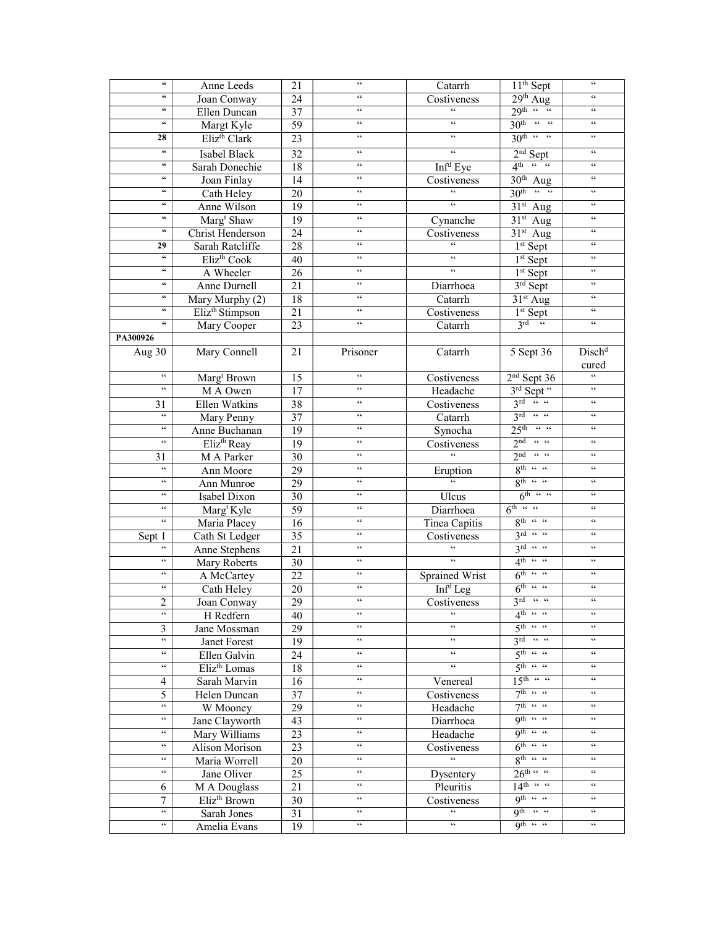| $\mathsf{G}\mathsf{G}$                     | Anne Leeds                  | 21 | $\zeta\,\zeta$           | Catarrh                                    | $11th$ Sept                                 | $\zeta\,\zeta$            |
|--------------------------------------------|-----------------------------|----|--------------------------|--------------------------------------------|---------------------------------------------|---------------------------|
| 66                                         | Joan Conway                 | 24 | $\zeta\,\zeta$           | Costiveness                                | $29th$ Aug                                  | $\zeta\,\zeta$            |
| $\epsilon\epsilon$                         | Ellen Duncan                | 37 | $\zeta\,\zeta$           | $\epsilon$                                 | $29^{\text{th}}$ "                          | $\zeta\,\zeta$            |
| $\epsilon\epsilon$                         | Margt Kyle                  | 59 | $\zeta\,\zeta$           | $\epsilon\,\epsilon$                       | $30th$ "                                    | $\zeta\,\zeta$            |
| 28                                         | Eliz <sup>th</sup> Clark    | 23 | $\zeta\,\zeta$           | $\epsilon\,\epsilon$                       | $30^{\text{th}}$ " "                        | $\zeta\,\zeta$            |
| $\epsilon\epsilon$                         | Isabel Black                | 32 | $\zeta\,\zeta$           | 66                                         | $2nd$ Sept                                  | $\zeta\,\zeta$            |
| $\epsilon\epsilon$                         | Sarah Donechie              | 18 | $\epsilon\epsilon$       | Inf <sup>d</sup> Eye                       | $4^{\text{th}}$ $\frac{1}{\text{th}}$       | $\,$ 6 $\,$               |
| $\mathsf{G}\mathsf{G}$                     | Joan Finlay                 | 14 | $\zeta\,\zeta$           | Costiveness                                | $30th$ Aug                                  | $\zeta\,\zeta$            |
| $\mathsf{G}\mathsf{G}$                     | Cath Heley                  | 20 | $\zeta\,\zeta$           | $\boldsymbol{\zeta} \, \boldsymbol{\zeta}$ | $30^{\text{th}}$ "                          | $\zeta\,\zeta$            |
| 66                                         | Anne Wilson                 | 19 | $\epsilon\epsilon$       | $\epsilon\,\epsilon$                       | $\overline{31}$ <sup>st</sup> Aug           | $\zeta\,\zeta$            |
| 66                                         | Marg <sup>t</sup> Shaw      | 19 | $\zeta\,\zeta$           | Cynanche                                   | $31st$ Aug                                  | $\zeta\,\zeta$            |
| $\epsilon\epsilon$                         | Christ Henderson            | 24 | $\epsilon\epsilon$       | Costiveness                                | $31st$ Aug                                  | $\zeta\,\zeta$            |
| 29                                         | Sarah Ratcliffe             | 28 | $\zeta\,\zeta$           | $\zeta\,\zeta$                             | $1st$ Sept                                  | $\zeta\,\zeta$            |
| $\mathsf{G}\mathsf{G}$                     | Eliz <sup>th</sup> Cook     | 40 | $\zeta\,\zeta$           | $\epsilon\epsilon$                         | $1st$ Sept                                  | $\zeta\,\zeta$            |
| $\epsilon\epsilon$                         | A Wheeler                   | 26 | $\zeta\,\zeta$           | $\epsilon\,\epsilon$                       | $1st$ Sept                                  | $\zeta\,\zeta$            |
| $\epsilon\epsilon$                         | Anne Durnell                | 21 | $\epsilon\epsilon$       | Diarrhoea                                  | 3rd Sept                                    | $\zeta\,\zeta$            |
| $\mathsf{G}\mathsf{G}$                     | Mary Murphy (2)             | 18 | $\zeta\,\zeta$           | Catarrh                                    | 31 <sup>st</sup> Aug                        | $\zeta\zeta$              |
| 66                                         | Eliz <sup>th</sup> Stimpson | 21 | $\epsilon\,\epsilon$     | Costiveness                                | $1st$ Sept                                  | $\zeta\,\zeta$            |
| $\mathsf{G}$                               | Mary Cooper                 | 23 | $\overline{66}$          | Catarrh                                    | $3^{rd}$ $\sqrt[4]{x}$                      | $\zeta\zeta$              |
| PA300926                                   |                             |    |                          |                                            |                                             |                           |
| Aug 30                                     | Mary Connell                | 21 | Prisoner                 | Catarrh                                    | 5 Sept 36                                   | Disch <sup>d</sup>        |
|                                            |                             |    |                          |                                            |                                             | cured                     |
| $\epsilon\,\epsilon$                       | Marg <sup>t</sup> Brown     | 15 | $\zeta\,\zeta$           | Costiveness                                | $2nd$ Sept 36                               | $\overline{\mathfrak{c}}$ |
| $\epsilon\epsilon$                         | M A Owen                    | 17 | $\zeta\,\zeta$           | Headache                                   | 3rd Sept "                                  | $\zeta\,\zeta$            |
| 31                                         | Ellen Watkins               | 38 | $\zeta\,\zeta$           | Costiveness                                | $3^{rd}$ $\ldots$                           | $\zeta\,\zeta$            |
| $\zeta\,\zeta$                             | Mary Penny                  | 37 | $\zeta\,\zeta$           | Catarrh                                    | $3^{rd}$ ""                                 | $\zeta\,\zeta$            |
| $\mathsf{c}\,\mathsf{c}$                   |                             |    | $\zeta\,\zeta$           |                                            | $25th$ "                                    | $\zeta\,\zeta$            |
| $\epsilon\,\epsilon$                       | Anne Buchanan               | 19 | $\epsilon\epsilon$       | Synocha                                    | $2nd$ $\leftarrow$ $\leftarrow$             | $\zeta\,\zeta$            |
|                                            | Eliz <sup>th</sup> Reay     | 19 | $\zeta\,\zeta$           | Costiveness<br>$\zeta\,\zeta$              | $2nd$ $46$ $46$                             | $\zeta\,\zeta$            |
| 31<br>$\epsilon\,\epsilon$                 | M A Parker                  | 30 | $\zeta\,\zeta$           |                                            | $8^{\text{th}}$ $\cdot$ $\cdot$ $\cdot$     | $\zeta\,\zeta$            |
| $\zeta\,\zeta$                             | Ann Moore                   | 29 | $\zeta\,\zeta$           | Eruption<br>$\epsilon\epsilon$             | $8^{th}$ $\frac{1}{10}$ $\frac{1}{10}$      | $\zeta\,\zeta$            |
| $\epsilon\epsilon$                         | Ann Munroe                  | 29 | $\,$ 6 $\,$              |                                            | $6^{\text{th}}$ $46$ $46$                   | $\zeta\,\zeta$            |
| $\epsilon\,\epsilon$                       | Isabel Dixon                | 30 | $\zeta\,\zeta$           | Ulcus                                      | $6th$ $\cdots$ $\cdots$                     | $\zeta\,\zeta$            |
| $\epsilon\,\epsilon$                       | Marg <sup>t</sup> Kyle      | 59 | $\zeta\,\zeta$           | Diarrhoea                                  | $8^{th}$ $\cdot$ $\cdot$                    | $\zeta\,\zeta$            |
|                                            | Maria Placey                | 16 | $\zeta\,\zeta$           | Tinea Capitis                              | $3^{rd}$ "                                  | $\zeta\,\zeta$            |
| Sept 1<br>$\zeta\,\zeta$                   | Cath St Ledger              | 35 | $\zeta \, \zeta$         | Costiveness<br>$\epsilon\,\epsilon$        |                                             | $\zeta \, \zeta$          |
| $\zeta\,\zeta$                             | Anne Stephens               | 21 | $\zeta\,\zeta$           | $\zeta\,\zeta$                             | $3^{rd}$ ""                                 | $\zeta\,\zeta$            |
|                                            | Mary Roberts                | 30 |                          |                                            | $4^{\text{th}}$ $\cdot$ $\cdot$             |                           |
| $\zeta\,\zeta$                             | A McCartey                  | 22 | $\zeta\,\zeta$           | Sprained Wrist                             | $6^{\text{th}}$ "                           | $\zeta\,\zeta$            |
| $\zeta\,\zeta$                             | Cath Heley                  | 20 | $\zeta\,\zeta$           | Inf <sup>d</sup> Leg                       | $6^{\text{th}}$ " "                         | $\zeta\,\zeta$            |
| $\overline{2}$                             | Joan Conway                 | 29 | $\zeta\,\zeta$           | Costiveness                                | $3^{\text{rd}}$ ""                          | $\zeta \, \zeta$          |
| $\boldsymbol{\zeta} \, \boldsymbol{\zeta}$ | H Redfern                   | 40 | $\zeta\,\zeta$           |                                            | $4^{\text{th}}$ $\cdot$ $\cdot$ $\cdot$     | $\zeta\,\zeta$            |
| 3                                          | Jane Mossman                | 29 | $\mathsf{c}\,\mathsf{c}$ | $\epsilon\,\epsilon$                       | $5^{\text{th}}$ $\frac{1}{2}$ $\frac{1}{2}$ | $\mathsf{c}\,\mathsf{c}$  |
| $\boldsymbol{\zeta} \, \boldsymbol{\zeta}$ | Janet Forest                | 19 | $\epsilon\,\epsilon$     | $\epsilon\,\epsilon$                       | $3rd$ $\cdots$ $\cdots$                     | $\zeta\,\zeta$            |
| $\epsilon\,\epsilon$                       | Ellen Galvin                | 24 | $\mathsf{G}\,\mathsf{G}$ | $\epsilon\epsilon$                         | $5th$ $\cdots$ $\cdots$                     | $\zeta\,\zeta$            |
| $\epsilon\,\epsilon$                       | Eliz <sup>th</sup> Lomas    | 18 | $\zeta\,\zeta$           | $\boldsymbol{\zeta} \, \boldsymbol{\zeta}$ | $5^{\text{th}}$ $\frac{1}{2}$ $\frac{1}{2}$ | $\zeta \, \zeta$          |
| 4                                          | Sarah Marvin                | 16 | $\mathsf{G}\,\mathsf{G}$ | Venereal                                   | $15^{\text{th}}$ "                          | $\zeta\,\zeta$            |
| 5                                          | Helen Duncan                | 37 | $\epsilon\epsilon$       | Costiveness                                | $7^{th}$ $\leftarrow$ $\leftarrow$          | $\zeta\,\zeta$            |
| $\epsilon\,\epsilon$                       | W Mooney                    | 29 | $\epsilon\,\epsilon$     | Headache                                   | $7^{th}$ $\leftarrow$ $\leftarrow$          | $\zeta\,\zeta$            |
| $\epsilon\,\epsilon$                       | Jane Clayworth              | 43 | $\zeta\,\zeta$           | Diarrhoea                                  | Q <sup>th</sup> "                           | $\epsilon\,\epsilon$      |
| $\epsilon\,\epsilon$                       | Mary Williams               | 23 | $\epsilon\,\epsilon$     | Headache                                   | Q <sup>th</sup> "                           | $\zeta\,\zeta$            |
| $66 -$                                     | Alison Morison              | 23 | $66\,$                   | Costiveness                                | $6^{\text{th}}$ " "                         | $\zeta\,\zeta$            |
| $\epsilon\epsilon$                         | Maria Worrell               | 20 | $\mathsf{c}\,\mathsf{c}$ | $\epsilon\epsilon$                         | $8^{th}$ $\cdots$ $\cdots$                  | $\zeta\,\zeta$            |
| $66 -$                                     | Jane Oliver                 | 25 | $\epsilon\epsilon$       | Dysentery                                  | $26^{\text{th}}$ $\frac{1}{2}$              | $\epsilon\epsilon$        |
| 6                                          | M A Douglass                | 21 | $\mathsf{G}\,\mathsf{G}$ | Pleuritis                                  | $14^{\text{th}}$ $\frac{1}{\text{th}}$      | $\zeta\,\zeta$            |
| $\tau$                                     | Eliz <sup>th</sup> Brown    | 30 | $66\,$                   | Costiveness                                | $Q^{th}$ $\leftarrow$ $\overline{46}$       | $\mathsf{c}\,\mathsf{c}$  |
| $\epsilon\,\epsilon$                       | Sarah Jones                 | 31 | $\epsilon\epsilon$       | $\epsilon\epsilon$                         | $Qth$ $\cdots$ $\cdots$                     | $\epsilon\epsilon$        |
| $66 -$                                     | Amelia Evans                | 19 | $\epsilon\epsilon$       | $\epsilon\,\epsilon$                       | $Qth$ $\cdots$ $\cdots$                     | $\epsilon\epsilon$        |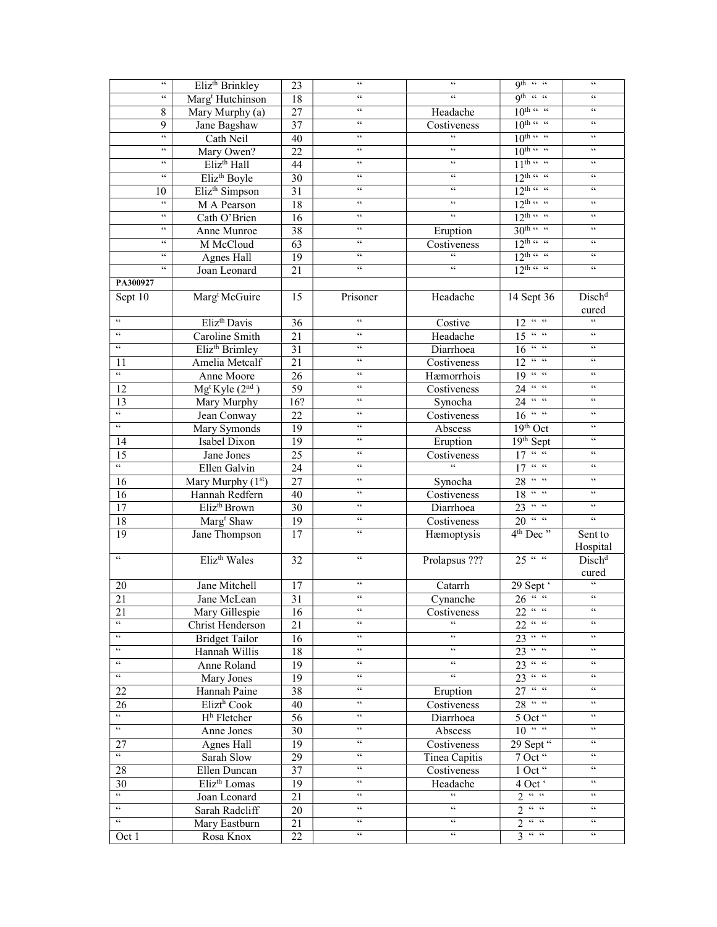| $\boldsymbol{\zeta} \, \boldsymbol{\zeta}$ | Eliz <sup>th</sup> Brinkley             | 23              | $\zeta\,\zeta$             | $\zeta\,\zeta$                | 9th " "                                                      | $\zeta \, \zeta$            |
|--------------------------------------------|-----------------------------------------|-----------------|----------------------------|-------------------------------|--------------------------------------------------------------|-----------------------------|
| $\epsilon\,\epsilon$                       | Marg <sup>t</sup> Hutchinson            | 18              | $\zeta\,\zeta$             | $\zeta\,\zeta$                | Qth " "                                                      | $\zeta\,\zeta$              |
| $\,8\,$                                    | Mary Murphy (a)                         | 27              | $\zeta\,\zeta$             | Headache                      | $10^{\text{th}}$ $\frac{100}{\text{th}}$                     | $\zeta\,\zeta$              |
| 9                                          | Jane Bagshaw                            | $\overline{37}$ | $\zeta\,\zeta$             | Costiveness                   | $10^{\text{th}}$ $\frac{100}{\text{th}}$                     | $\zeta\,\zeta$              |
| $\zeta\,\zeta$                             | Cath Neil                               | 40              | $\zeta\,\zeta$             | $\zeta\,\zeta$                | $10^{\text{th}}$ $\frac{100}{\text{th}}$                     | $\zeta\,\zeta$              |
| $\epsilon\,\epsilon$                       | Mary Owen?                              | 22              | $\epsilon\epsilon$         | $\epsilon\,\epsilon$          | $10^{\text{th}}$ $\cdot\cdot\cdot$                           | $\zeta \, \zeta$            |
| $\zeta\,\zeta$                             | Eliz <sup>th</sup> Hall                 | 44              | $\epsilon\epsilon$         | $\epsilon\,\epsilon$          | $11^{th}$ "                                                  | $\zeta \, \zeta$            |
| 66                                         | Eliz <sup>th</sup> Boyle                | 30              | $\zeta\,\zeta$             | $\mathsf{G}\,\mathsf{G}$      | $12^{\text{th}}$ " "                                         | $\,$ 6 $\,$                 |
| 10                                         | Eliz <sup>th</sup> Simpson              | 31              | $\zeta\,\zeta$             | $\zeta\,\zeta$                | $12^{\text{th}}$ "                                           | $\zeta \, \zeta$            |
| $\zeta\,\zeta$                             | M A Pearson                             | 18              | $\zeta\,\zeta$             | $\zeta\,\zeta$                | $12^{\text{th}}$ "                                           | $\zeta\,\zeta$              |
| $\epsilon\epsilon$                         | Cath O'Brien                            | 16              | $\epsilon\epsilon$         | $\epsilon\,\epsilon$          | $12^{\text{th}}$ " "                                         | $\zeta\,\zeta$              |
| $\mathsf{c}\,\mathsf{c}$                   | Anne Munroe                             | 38              | $\zeta\,\zeta$             |                               | $30th$ "                                                     | $\zeta\,\zeta$              |
| $\epsilon\epsilon$                         |                                         | 63              | $\zeta\,\zeta$             | Eruption                      | $12^{\text{th}}$ $\frac{1}{\sqrt{2}}$                        | $\,$ 6 $\,$                 |
| $\mathsf{c}\,\mathsf{c}$                   | M McCloud                               |                 | $\zeta\,\zeta$             | Costiveness<br>$\zeta\,\zeta$ | $12^{\text{th}}$ $\frac{1}{4}$                               | $\zeta\,\zeta$              |
| $\epsilon\,\epsilon$                       | Agnes Hall                              | 19              | $\zeta\,\zeta$             | $\epsilon\, \epsilon$         | $12^{\text{th}}$ $\frac{1}{\text{th}}$ $\frac{1}{\text{th}}$ | $\zeta\,\zeta$              |
|                                            | Joan Leonard                            | 21              |                            |                               |                                                              |                             |
| PA300927                                   |                                         |                 |                            |                               |                                                              |                             |
| Sept 10                                    | Marg <sup>t</sup> McGuire               | 15              | Prisoner                   | Headache                      | 14 Sept 36                                                   | Disch <sup>d</sup><br>cured |
| $\zeta\,\zeta$                             | Eliz <sup>th</sup> Davis                | 36              | $\zeta \, \zeta$           | Costive                       | $12 \cdot 4$                                                 | $\epsilon\epsilon$          |
| $\mathfrak{c}\mathfrak{c}$                 | Caroline Smith                          | 21              | $\zeta \, \zeta$           | Headache                      | $\overline{15}$ " "                                          | $\zeta\,\zeta$              |
| $\zeta\,\zeta$                             | Eliz <sup>th</sup> Brimley              | 31              | $\zeta\,\zeta$             | Diarrhoea                     | $16$ " "                                                     | $\zeta\,\zeta$              |
| 11                                         | Amelia Metcalf                          | 21              | $\zeta\,\zeta$             | Costiveness                   | $12$ " "                                                     | $\zeta\,\zeta$              |
| $\overline{\mathfrak{c}\mathfrak{c}}$      | Anne Moore                              | 26              | $\,$ 6 $\,$                | Hæmorrhois                    | $19$ " "                                                     | $\zeta\,\zeta$              |
| 12                                         | Mg <sup>t</sup> Kyle (2 <sup>nd</sup> ) | 59              | $\zeta\,\zeta$             | Costiveness                   | $66-66$<br>24                                                | $\zeta\,\zeta$              |
| 13                                         | Mary Murphy                             | 16?             | $\,$ 6 $\,$                | Synocha                       | $24$ " "                                                     | $\zeta\,\zeta$              |
| $\overline{66}$                            | Jean Conway                             | 22              | $\zeta\,\zeta$             | Costiveness                   | $16 \cdot 4$                                                 | $\zeta\,\zeta$              |
| $\epsilon\epsilon$                         | Mary Symonds                            | 19              | $\epsilon\epsilon$         | Abscess                       | $19th$ Oct                                                   | $\zeta\,\zeta$              |
| 14                                         | Isabel Dixon                            | 19              | $\zeta\,\zeta$             | Eruption                      | 19 <sup>th</sup> Sept                                        | $\zeta\,\zeta$              |
| 15                                         | Jane Jones                              | 25              | $\,$ 6 $\,$                | Costiveness                   | $\overline{17}$ $\overline{4}$                               | $\zeta\,\zeta$              |
| $\epsilon\,\epsilon$                       | Ellen Galvin                            | 24              | $\zeta\,\zeta$             | $\epsilon\epsilon$            | $\mathsf{GC} = \mathsf{GC}$<br>17                            | $\zeta\,\zeta$              |
| 16                                         | Mary Murphy (1st)                       | 27              | $\zeta\,\zeta$             | Synocha                       | $28$ " "                                                     | $\zeta\,\zeta$              |
| 16                                         | Hannah Redfern                          | 40              | $\zeta\,\zeta$             | Costiveness                   | $18 \cdot 4$                                                 | $\zeta\,\zeta$              |
| 17                                         | Eliz <sup>th</sup> Brown                | 30              | $\zeta\,\zeta$             | Diarrhoea                     | $66-66$<br>$\overline{23}$                                   | $\zeta\,\zeta$              |
|                                            |                                         |                 | $\zeta\,\zeta$             |                               | $20$ " "                                                     | $\zeta\,\zeta$              |
| 18<br>$\overline{19}$                      | Marg <sup>t</sup> Shaw                  | 19              | $\zeta \, \zeta$           | Costiveness                   | 4 <sup>th</sup> Dec <sup>"</sup>                             |                             |
|                                            | Jane Thompson                           | 17              |                            | Hæmoptysis                    |                                                              | Sent to<br>Hospital         |
| $\boldsymbol{\zeta} \, \boldsymbol{\zeta}$ | Eliz <sup>th</sup> Wales                | 32              | $\zeta\,\zeta$             | Prolapsus ???                 | 25 <sup>44</sup>                                             | Disch <sup>d</sup><br>cured |
| 20                                         | Jane Mitchell                           |                 | $\zeta\,\zeta$             | Catarrh                       |                                                              | $\mathfrak{c}\mathfrak{c}$  |
|                                            |                                         | 17<br>31        | $\zeta\,\zeta$             |                               | $\frac{29 \text{ Sept}^4}{26 \text{``````}}$                 | $\epsilon\,\epsilon$        |
| 21                                         | Jane McLean                             |                 | $\zeta\zeta$               | Cynanche                      | $22\sqrt{\frac{32}{16}}$                                     | $\zeta\,\zeta$              |
| 21<br>66                                   | Mary Gillespie                          | 16              | $\epsilon\epsilon$         | Costiveness<br>66             | 22 <sup>44</sup>                                             | $\zeta \, \zeta$            |
| $\epsilon\epsilon$                         | Christ Henderson                        | 21              | $\zeta\,\zeta$             | $\epsilon$                    |                                                              | $\zeta\,\zeta$              |
| 66                                         | <b>Bridget Tailor</b>                   | 16              | $\epsilon\,\epsilon$       | $\epsilon$                    | $23$ " "                                                     | $\mathfrak{c}\mathfrak{c}$  |
|                                            | Hannah Willis                           | 18              | $\zeta\,\zeta$             | $\zeta\,\zeta$                | $23$ " "                                                     | $\zeta\,\zeta$              |
| $\epsilon\epsilon$                         | Anne Roland                             | 19              |                            |                               | $23$ " "                                                     |                             |
| $\mathsf{G}\,\mathsf{G}$                   | Mary Jones                              | 19              | $\epsilon\,\epsilon$       | $\epsilon\epsilon$            | $23^{n}$                                                     | $\zeta\,\zeta$              |
| 22                                         | Hannah Paine                            | 38              | $\epsilon\,\epsilon$       | Eruption                      | $27^{44}$                                                    | $\zeta \, \zeta$            |
| 26                                         | Elizt <sup>h</sup> Cook                 | 40              | $\epsilon\,\epsilon$       | Costiveness                   | $28$ " "                                                     | $\zeta\,\zeta$              |
| $\epsilon\,\epsilon$                       | $Hh$ Fletcher                           | 56              | $\epsilon\,\epsilon$       | Diarrhoea                     | 5 Oct "                                                      | $\zeta \, \zeta$            |
| $\epsilon\epsilon$                         | Anne Jones                              | 30              | $\zeta\,\zeta$             | Abscess                       | 10 <sup>44</sup>                                             | $\zeta\,\zeta$              |
| 27                                         | Agnes Hall                              | 19              | $\epsilon\,\epsilon$       | Costiveness                   | 29 Sept "                                                    | $\zeta\,\zeta$              |
| $\epsilon\epsilon$                         | Sarah Slow                              | 29              | $\epsilon\,\epsilon$       | Tinea Capitis                 | 7 Oct "                                                      | $\zeta\,\zeta$              |
| 28                                         | Ellen Duncan                            | 37              | $\mathfrak{c}\mathfrak{c}$ | Costiveness                   | 1 Oct "                                                      | $\zeta\,\zeta$              |
| 30                                         | Eliz <sup>th</sup> Lomas                | 19              | $\epsilon\,\epsilon$       | Headache                      | 4 Oct '                                                      | $\textsf{c}\,\textsf{c}$    |
| $\epsilon$                                 | Joan Leonard                            | 21              | $\epsilon\epsilon$         | $\epsilon\,\epsilon$          | 2 <sup>44</sup>                                              | $\textsf{c}\,\textsf{c}$    |
| $\epsilon\epsilon$                         | Sarah Radcliff                          | 20              | $\mathsf{c}\,\mathsf{c}$   | $\epsilon\, \epsilon$         | $\mathsf{GC} = \mathsf{GC}$<br>2                             | $\,$ $\,$ $\,$ $\,$         |
| $\mathsf{c}\,\mathsf{c}$                   | Mary Eastburn                           | 21              | $\mathsf{c}\,\mathsf{c}$   | $\epsilon\,\epsilon$          | $66-66$<br>2                                                 | $\,$ $\,$ $\,$ $\,$         |
| Oct 1                                      | Rosa Knox                               | 22              | $\mathsf{c}\,\mathsf{c}$   | $\epsilon\epsilon$            | $66 - 66$<br>3                                               | $\zeta \, \zeta$            |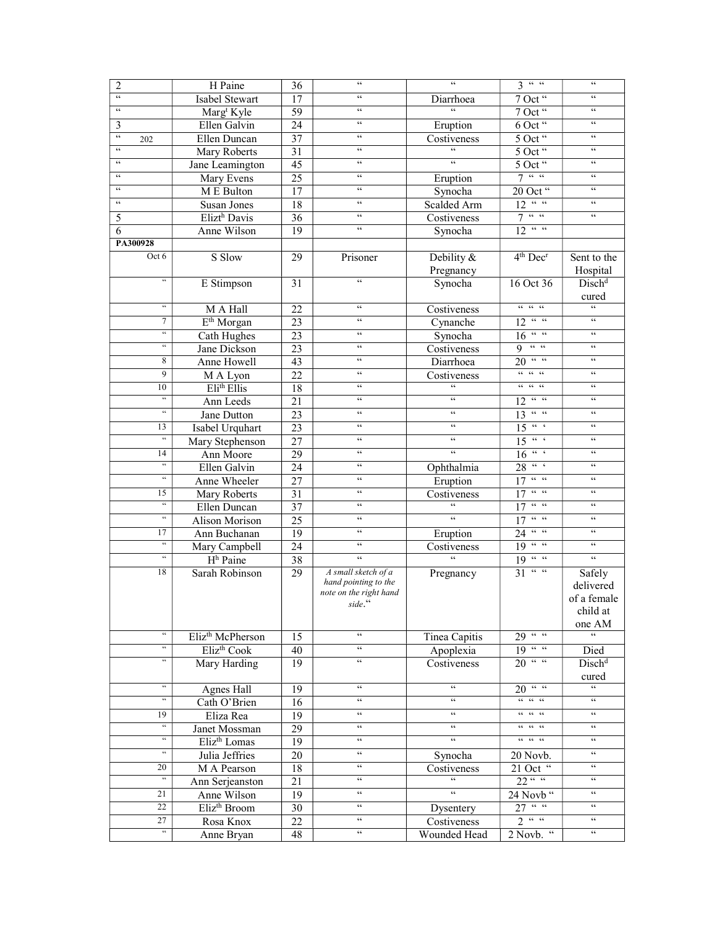| $\overline{2}$                                         | H Paine                      | 36              | $\zeta\,\zeta$                                   | $\zeta\,\zeta$                             | 3 <sup>44</sup>                                                                                                                       | $\zeta\,\zeta$                                     |
|--------------------------------------------------------|------------------------------|-----------------|--------------------------------------------------|--------------------------------------------|---------------------------------------------------------------------------------------------------------------------------------------|----------------------------------------------------|
| $\zeta\,\zeta$                                         | Isabel Stewart               | 17              | $\zeta\,\zeta$                                   | Diarrhoea                                  | 7 Oct "                                                                                                                               | $\zeta\,\zeta$                                     |
| $\zeta\,\zeta$                                         | Marg <sup>t</sup> Kyle       | $\overline{59}$ | $\zeta\,\zeta$                                   | $\overline{\omega}$                        | 7 Oct "                                                                                                                               | $\zeta \, \zeta$                                   |
| 3                                                      | Ellen Galvin                 | 24              | $\zeta\,\zeta$                                   | Eruption                                   | 6 Oct "                                                                                                                               | $\zeta\,\zeta$                                     |
| $\mathfrak{c}\mathfrak{c}$<br>202                      | Ellen Duncan                 | 37              | $\zeta\,\zeta$                                   | Costiveness                                | 5 Oct "                                                                                                                               | $\zeta \, \zeta$                                   |
| $\epsilon\,\epsilon$                                   | Mary Roberts                 | 31              | $\zeta\,\zeta$                                   | $\overline{66}$                            | 5 Oct "                                                                                                                               | $\zeta\,\zeta$                                     |
| $\epsilon\,\epsilon$                                   | Jane Leamington              | $\overline{45}$ | $\epsilon\epsilon$                               | $\epsilon\,\epsilon$                       | 5 Oct "                                                                                                                               | $\zeta\,\zeta$                                     |
| $\epsilon\,\epsilon$                                   | Mary Evens                   | 25              | $\zeta\,\zeta$                                   | Eruption                                   | 7 <sup>44</sup>                                                                                                                       | $\zeta \, \zeta$                                   |
| $\epsilon\,\epsilon$                                   | M E Bulton                   | 17              | $\zeta\,\zeta$                                   | Synocha                                    | 20 Oct "                                                                                                                              | $\zeta \, \zeta$                                   |
| $\epsilon\,\epsilon$                                   | Susan Jones                  | 18              | $\zeta\,\zeta$                                   | Scalded Arm                                | $12 \cdot 4 \cdot 4$                                                                                                                  | $\zeta \, \zeta$                                   |
| 5                                                      | Elizt <sup>h</sup> Davis     | 36              | $\zeta\,\zeta$                                   | Costiveness                                | $\mathbf{G} \mathbf{G} = \mathbf{G} \mathbf{G}$<br>7                                                                                  | $\zeta\,\zeta$                                     |
| 6                                                      | Anne Wilson                  | 19              | $\epsilon\,\epsilon$                             | Synocha                                    | $12$ ""                                                                                                                               |                                                    |
| PA300928                                               |                              |                 |                                                  |                                            |                                                                                                                                       |                                                    |
| Oct 6                                                  | S Slow                       | 29              | Prisoner                                         | Debility &                                 | $4th$ Dec <sup>r</sup>                                                                                                                | Sent to the                                        |
|                                                        |                              |                 |                                                  | Pregnancy                                  |                                                                                                                                       | Hospital                                           |
| $\zeta\,\zeta$                                         | E Stimpson                   | 31              | $\zeta\,\zeta$                                   | Synocha                                    | 16 Oct 36                                                                                                                             | Disch <sup>d</sup>                                 |
|                                                        |                              |                 |                                                  |                                            |                                                                                                                                       | cured                                              |
| $\boldsymbol{\zeta}\boldsymbol{\zeta}$                 | M A Hall                     | 22              | $\zeta\,\zeta$                                   | Costiveness                                | $66-66-66$                                                                                                                            | $\zeta \, \zeta$                                   |
| 7                                                      | E <sup>th</sup> Morgan       | 23              | $\zeta\,\zeta$                                   | Cynanche                                   | $12 \overline{``\ \cdot \ \cdot \ \cdot }$                                                                                            | $\zeta\,\zeta$                                     |
| $\boldsymbol{\zeta}\boldsymbol{\zeta}$                 | Cath Hughes                  | 23              | $\zeta\,\zeta$                                   | Synocha                                    | $\mathsf{GC} = \mathsf{GC}$<br>16                                                                                                     | $\zeta\,\zeta$                                     |
| $\zeta\,\zeta$                                         | Jane Dickson                 | 23              | $\zeta\,\zeta$                                   | Costiveness                                | $9 - \frac{1}{2}$                                                                                                                     | $\zeta \, \zeta$                                   |
| 8                                                      | Anne Howell                  | 43              | $\zeta\,\zeta$                                   | Diarrhoea                                  | $20$ " "                                                                                                                              | $\zeta\,\zeta$                                     |
| 9                                                      | M A Lyon                     | 22              | $\zeta\,\zeta$                                   | Costiveness                                | $66-66-66$                                                                                                                            | $\zeta\,\zeta$                                     |
| 10                                                     | Eli <sup>th</sup> Ellis      | 18              | $\zeta\,\zeta$                                   | $\epsilon\,\epsilon$                       |                                                                                                                                       | $\zeta\,\zeta$                                     |
| $\zeta\,\zeta$                                         | Ann Leeds                    | 21              | $\zeta\,\zeta$                                   | $\zeta\,\zeta$                             | $\mathbf{G} \mathbf{G} = \mathbf{G} \mathbf{G}$<br>12                                                                                 | $\zeta\,\zeta$                                     |
| $\boldsymbol{\zeta}\boldsymbol{\zeta}$                 | Jane Dutton                  | 23              | $\zeta\,\zeta$                                   | $\zeta\,\zeta$                             | $13 \frac{4}{11}$                                                                                                                     | $\zeta\,\zeta$                                     |
| 13                                                     | Isabel Urquhart              | 23              | $\zeta\,\zeta$                                   | $\epsilon\,\epsilon$                       | $-66\,-\,6$<br>15                                                                                                                     | $\mbox{\bf 66}$                                    |
| $\boldsymbol{\varsigma}$                               |                              | 27              | $\zeta\,\zeta$                                   | $\zeta\,\zeta$                             | $15$ "                                                                                                                                | $\zeta\,\zeta$                                     |
| 14                                                     | Mary Stephenson<br>Ann Moore | 29              | $\zeta\,\zeta$                                   | $\boldsymbol{\zeta} \, \boldsymbol{\zeta}$ | $\mathsf{GC}=\mathsf{G}$<br>16                                                                                                        | $\zeta\,\zeta$                                     |
| $\boldsymbol{\varsigma}\,\boldsymbol{\varsigma}$       | Ellen Galvin                 |                 | $\ensuremath{\mathsf{G}}\ensuremath{\mathsf{G}}$ |                                            | $28 \frac{12}{16}$                                                                                                                    | $\zeta\,\zeta$                                     |
| $\zeta\,\zeta$                                         |                              | 24              | $\zeta\,\zeta$                                   | Ophthalmia                                 | $\mathbf{G} \mathbf{G} = \mathbf{G} \mathbf{G}$<br>17                                                                                 | $\zeta\,\zeta$                                     |
|                                                        | Anne Wheeler                 | 27              | $\zeta\,\zeta$                                   | Eruption                                   | $\mathsf{cc}=\mathsf{cc}$                                                                                                             | $\zeta\,\zeta$                                     |
| 15<br>$\boldsymbol{\varsigma}\,\boldsymbol{\varsigma}$ | Mary Roberts                 | 31              | $\zeta\,\zeta$                                   | Costiveness<br>$\zeta\,\zeta$              | 17<br>$\mathsf{cc} \circ \mathsf{cc}$                                                                                                 | $\zeta\,\zeta$                                     |
| $\overline{\mathbf{G}}$                                | Ellen Duncan                 | 37              | $\zeta\,\zeta$                                   | $\zeta\,\zeta$                             | 17<br>$66-66$                                                                                                                         | $\zeta\,\zeta$                                     |
|                                                        | Alison Morison               | 25              |                                                  |                                            | 17                                                                                                                                    |                                                    |
| 17<br>$\overline{\mathbf{G}}$                          | Ann Buchanan                 | 19              | $\zeta\,\zeta$                                   | Eruption                                   | $24$ " "                                                                                                                              | $\mbox{\bf 66}$<br>$\zeta\,\zeta$                  |
| $\boldsymbol{\varsigma}\,\boldsymbol{\varsigma}$       | Mary Campbell                | 24              | $\zeta\,\zeta$                                   | Costiveness<br>$\mathfrak{c}\mathfrak{c}$  | $19\frac{\pi}{6}$                                                                                                                     |                                                    |
|                                                        | H <sub>h</sub> Paine         | 38              | $\zeta\,\zeta$                                   |                                            | 19 <sup>44</sup>                                                                                                                      | $\zeta \, \zeta$                                   |
| 18                                                     | Sarah Robinson               | 29              | A small sketch of a<br>hand pointing to the      | Pregnancy                                  | $31$ " "                                                                                                                              | Safely                                             |
|                                                        |                              |                 | note on the right hand                           |                                            |                                                                                                                                       | delivered                                          |
|                                                        |                              |                 | side."                                           |                                            |                                                                                                                                       | of a female                                        |
|                                                        |                              |                 |                                                  |                                            |                                                                                                                                       | child at                                           |
|                                                        |                              |                 |                                                  |                                            |                                                                                                                                       | one AM                                             |
| $\zeta\,\zeta$                                         | Eliz <sup>th</sup> McPherson | 15              | $\mathcal{C}\mathcal{C}$                         | Tinea Capitis                              | $29$ " "                                                                                                                              | $\boldsymbol{\varsigma} \, \boldsymbol{\varsigma}$ |
| $\overline{\mathfrak{c}}$                              | Eliz <sup>th</sup> Cook      | 40              | $\zeta\,\zeta$                                   | Apoplexia                                  | 19 <sup>44</sup>                                                                                                                      | Died                                               |
| $\boldsymbol{\zeta}\boldsymbol{\zeta}$                 | Mary Harding                 | 19              | $\zeta\,\zeta$                                   | Costiveness                                | $20$ " "                                                                                                                              | Disch <sup>d</sup>                                 |
|                                                        |                              |                 |                                                  |                                            |                                                                                                                                       | cured                                              |
| $\epsilon\,\epsilon$                                   | Agnes Hall                   | 19              | $\epsilon\,\epsilon$                             | $\boldsymbol{\zeta} \, \boldsymbol{\zeta}$ | $20$ " "                                                                                                                              | $\mathfrak{c}\mathfrak{c}$                         |
| $\scriptstyle\leq\leq$                                 | Cath O'Brien                 | 16              | $\epsilon\,\epsilon$                             | $\boldsymbol{\zeta} \, \boldsymbol{\zeta}$ | $\mathcal{C}\mathcal{C}=\mathcal{C}\mathcal{C}=\mathcal{C}\mathcal{C}$                                                                | $\zeta\,\zeta$                                     |
| 19                                                     | Eliza Rea                    | 19              | $\epsilon\,\epsilon$                             | $\epsilon\epsilon$                         |                                                                                                                                       | $\zeta\,\zeta$                                     |
| $\boldsymbol{\epsilon}$                                | Janet Mossman                | 29              | $\epsilon\epsilon$                               | $\epsilon\epsilon$                         |                                                                                                                                       | $\epsilon\,\epsilon$                               |
| $\epsilon\epsilon$                                     | Eliz <sup>th</sup> Lomas     | 19              | $\epsilon\,\epsilon$                             | $\epsilon\epsilon$                         | $\begin{array}{cccccc} \mathcal{C}\mathcal{C} & \mathcal{C}\mathcal{C} & \mathcal{C}\mathcal{C} & \mathcal{C}\mathcal{C} \end{array}$ | $\epsilon\,\epsilon$                               |
| $\boldsymbol{\varsigma} \, \boldsymbol{\varsigma}$     | Julia Jeffries               | 20              | $\mathfrak{c}\mathfrak{c}$                       | Synocha                                    | 20 Novb.                                                                                                                              | $\epsilon\epsilon$                                 |
| 20                                                     | M A Pearson                  | 18              | $\epsilon\,\epsilon$                             | Costiveness                                | 21 Oct "                                                                                                                              | $\epsilon\epsilon$                                 |
|                                                        | Ann Serjeanston              | 21              | $\epsilon\, \epsilon$                            |                                            | 22 <sup>44</sup>                                                                                                                      | $\,$ 6 $\,$                                        |
| 21                                                     | Anne Wilson                  | 19              | $\mathfrak{c}\mathfrak{c}$                       | $\zeta\,\zeta$                             | 24 Novb "                                                                                                                             | $\zeta\,\zeta$                                     |
| 22                                                     | Eliz <sup>th</sup> Broom     | 30              | $\zeta \, \zeta$                                 | Dysentery                                  | $27$ " "                                                                                                                              | $\zeta \, \zeta$                                   |
| 27                                                     | Rosa Knox                    | 22              | $\epsilon\,\epsilon$                             | Costiveness                                | 2 <sup>44</sup>                                                                                                                       | $\mathsf{c}\,\mathsf{c}$                           |
| $\overline{\mathfrak{c}}$                              | Anne Bryan                   | 48              | $\zeta\,\zeta$                                   | Wounded Head                               | 2 Novb. "                                                                                                                             | $\zeta\,\zeta$                                     |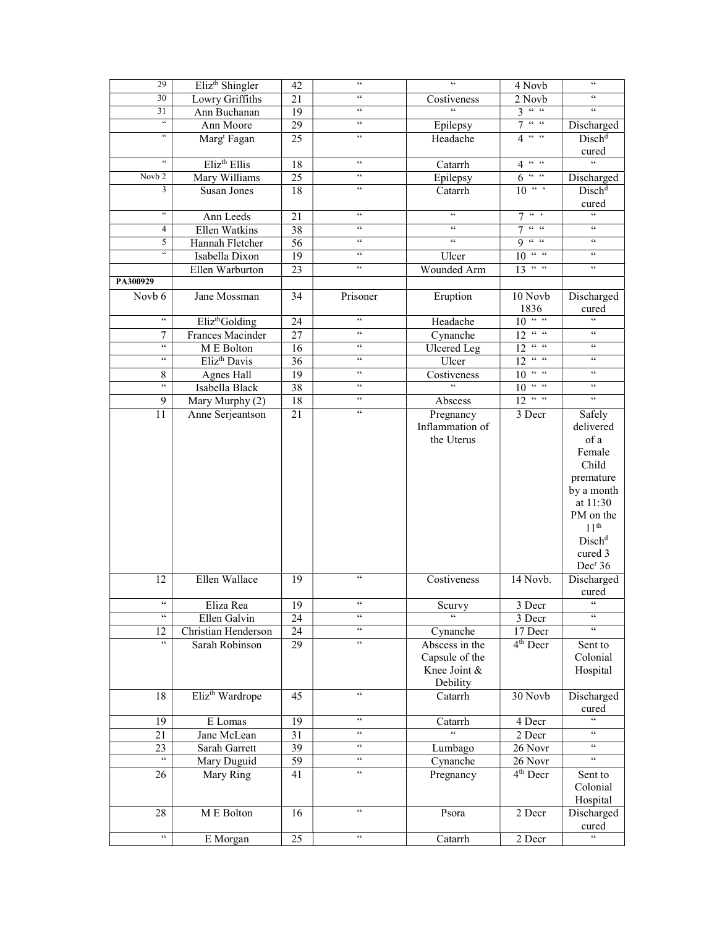| 29                                               | Eliz <sup>th</sup> Shingler | 42              | $\zeta\,\zeta$                             | $\zeta$ $\zeta$       | 4 Novb                                    | $\zeta\,\zeta$             |
|--------------------------------------------------|-----------------------------|-----------------|--------------------------------------------|-----------------------|-------------------------------------------|----------------------------|
| 30                                               | Lowry Griffiths             | 21              | $\zeta\,\zeta$                             | Costiveness           | 2 Novb                                    | 66                         |
| 31                                               | Ann Buchanan                | 19              | $\epsilon\,\epsilon$                       | $\epsilon$            | 3 <sup>44</sup>                           | $\mathfrak{c}\mathfrak{c}$ |
| $\boldsymbol{\varsigma}\,\boldsymbol{\varsigma}$ | Ann Moore                   | 29              | $\zeta\,\zeta$                             | Epilepsy              | $-66\,-\,66$<br>7                         | Discharged                 |
| $\overline{\mathbf{G}}$                          | Marg <sup>t</sup> Fagan     | 25              | $\zeta\,\zeta$                             | Headache              | $4 \frac{4}{100}$                         | $Disch^d$                  |
|                                                  |                             |                 |                                            |                       |                                           | cured                      |
| $\boldsymbol{\varsigma}\,\boldsymbol{\varsigma}$ | Eliz <sup>th</sup> Ellis    | 18              | $\zeta\,\zeta$                             | Catarrh               | $\mathsf{GC} = \mathsf{GC}$<br>4          | $\epsilon$                 |
| Novb <sub>2</sub>                                | Mary Williams               | $\overline{25}$ | $\zeta \, \zeta$                           | Epilepsy              | $\mathsf{GC} = \mathsf{GC}$<br>6          | Discharged                 |
| 3                                                | Susan Jones                 | 18              | $\zeta\,\zeta$                             | Catarrh               | $10^{-46}$                                | Disch <sup>d</sup>         |
|                                                  |                             |                 |                                            |                       |                                           | cured                      |
| $\scriptstyle\leq\leq$                           | Ann Leeds                   | 21              | $\zeta\,\zeta$                             | $\epsilon\,\epsilon$  | $-66\,-\,6$<br>7                          | $\epsilon$                 |
| $\overline{4}$                                   | Ellen Watkins               | 38              | $\epsilon\epsilon$                         | $\epsilon\,\epsilon$  | $66 - 66$<br>$\overline{7}$               | $\zeta \, \zeta$           |
| 5                                                | Hannah Fletcher             | 56              | $\zeta\,\zeta$                             | $\zeta\,\zeta$        | $9 - 4$                                   | $\zeta \, \zeta$           |
| $\overline{\mathfrak{c}}$                        | Isabella Dixon              | 19              | $\epsilon\,\epsilon$                       | Ulcer                 | 10<br>$\mathsf{GC} = \mathsf{GC}$         | $\epsilon\,\epsilon$       |
|                                                  | Ellen Warburton             | 23              | $\zeta\,\zeta$                             | Wounded Arm           | 13<br>$\epsilon\epsilon-\epsilon\epsilon$ | $\zeta \, \zeta$           |
| PA300929                                         |                             |                 |                                            |                       |                                           |                            |
| Novb 6                                           | Jane Mossman                | 34              | Prisoner                                   | Eruption              | 10 Novb                                   | Discharged                 |
|                                                  |                             |                 |                                            |                       | 1836                                      | cured                      |
| $\epsilon\epsilon$                               | Eliz <sup>th</sup> Golding  | 24              | $\zeta\,\zeta$                             | Headache              | $10$ " "                                  | $\epsilon$                 |
| 7                                                | Frances Macinder            | 27              | $\zeta\,\zeta$                             | Cynanche              | $12$ " "                                  | $\mathsf{c}\,\mathsf{c}$   |
| $\zeta\,\zeta$                                   | M E Bolton                  | 16              | $\zeta\,\zeta$                             | <b>Ulcered</b> Leg    | $12$ " "                                  | $\zeta \, \zeta$           |
| $\zeta\,\zeta$                                   | Eliz <sup>th</sup> Davis    | 36              | $\epsilon\,\epsilon$                       | Ulcer                 | 12<br>$\epsilon\epsilon-\epsilon\epsilon$ | $\mathsf{c}\,\mathsf{c}$   |
| 8                                                | <b>Agnes Hall</b>           | 19              | $\zeta\,\zeta$                             | Costiveness           | 10 <sup>44</sup>                          | $\zeta\,\zeta$             |
| $\zeta\,\zeta$                                   | Isabella Black              | 38              | $\mathsf{c}\,\mathsf{c}$                   |                       | $66-66$<br>10                             | $\zeta \, \zeta$           |
|                                                  |                             |                 | $\epsilon\,\epsilon$                       |                       | $12$ " "                                  | $\zeta\,\zeta$             |
| 9                                                | Mary Murphy (2)             | 18              | $\boldsymbol{\zeta} \, \boldsymbol{\zeta}$ | Abscess               |                                           |                            |
| 11                                               | Anne Serjeantson            | 21              |                                            | Pregnancy             | 3 Decr                                    | Safely                     |
|                                                  |                             |                 |                                            | Inflammation of       |                                           | delivered                  |
|                                                  |                             |                 |                                            | the Uterus            |                                           | of a                       |
|                                                  |                             |                 |                                            |                       |                                           | Female                     |
|                                                  |                             |                 |                                            |                       |                                           | Child                      |
|                                                  |                             |                 |                                            |                       |                                           | premature                  |
|                                                  |                             |                 |                                            |                       |                                           | by a month                 |
|                                                  |                             |                 |                                            |                       |                                           | at 11:30                   |
|                                                  |                             |                 |                                            |                       |                                           | PM on the                  |
|                                                  |                             |                 |                                            |                       |                                           | $11^{\rm th}$              |
|                                                  |                             |                 |                                            |                       |                                           | Disk <sup>d</sup>          |
|                                                  |                             |                 |                                            |                       |                                           | cured 3                    |
|                                                  |                             |                 | $\epsilon\,\epsilon$                       |                       |                                           | Dec <sup>r</sup> 36        |
| 12                                               | Ellen Wallace               | 19              |                                            | Costiveness           | 14 Novb.                                  | Discharged                 |
|                                                  |                             |                 |                                            |                       |                                           | cured                      |
| $\zeta\,\zeta$                                   | Eliza Rea                   | $\overline{19}$ | $\epsilon\,\epsilon$                       | Scurvy<br>$\epsilon$  | 3 Decr                                    | $\zeta\,\zeta$             |
|                                                  | Ellen Galvin                | 24              | $\zeta\,\zeta$                             |                       | 3 Decr                                    | $\epsilon$                 |
| 12<br>$\zeta\,\zeta$                             | Christian Henderson         | 24              | $\boldsymbol{\zeta} \, \boldsymbol{\zeta}$ | Cynanche              | 17 Decr                                   |                            |
|                                                  | Sarah Robinson              | $\overline{29}$ |                                            | Abscess in the        | $4th$ Decr                                | Sent to                    |
|                                                  |                             |                 |                                            | Capsule of the        |                                           | Colonial                   |
|                                                  |                             |                 |                                            | Knee Joint &          |                                           | Hospital                   |
|                                                  |                             |                 | $\zeta\,\zeta$                             | Debility              |                                           |                            |
| 18                                               | Eliz <sup>th</sup> Wardrope | 45              |                                            | Catarrh               | 30 Novb                                   | Discharged                 |
|                                                  |                             |                 | $\mathfrak{c}\mathfrak{c}$                 |                       |                                           | cured<br>$\epsilon$        |
| 19                                               | E Lomas                     | $\overline{19}$ | $\zeta\,\zeta$                             | Catarrh<br>$\epsilon$ | 4 Decr                                    | $\zeta\,\zeta$             |
| 21                                               | Jane McLean                 | 31              |                                            |                       | 2 Decr                                    |                            |
| 23                                               | Sarah Garrett               | 39              | $\mathfrak{c}\mathfrak{c}$                 | Lumbago               | 26 Novr                                   | $\zeta\,\zeta$             |
| $\overline{\mathfrak{c}\mathfrak{c}}$            | Mary Duguid                 | 59              | $\zeta\,\zeta$                             | Cynanche              | 26 Novr                                   | $\epsilon$                 |
| 26                                               | Mary Ring                   | 41              | $\zeta\,\zeta$                             | Pregnancy             | 4 <sup>th</sup> Decr                      | Sent to                    |
|                                                  |                             |                 |                                            |                       |                                           | Colonial                   |
|                                                  |                             |                 |                                            |                       |                                           | Hospital                   |
| 28                                               | M E Bolton                  | 16              | $\zeta\,\zeta$                             | Psora                 | 2 Decr                                    | Discharged                 |
|                                                  |                             |                 |                                            |                       |                                           | cured                      |
| $\zeta\,\zeta$                                   | E Morgan                    | 25              | $\zeta\,\zeta$                             | Catarrh               | 2 Decr                                    | $\overline{\mathcal{L}}$   |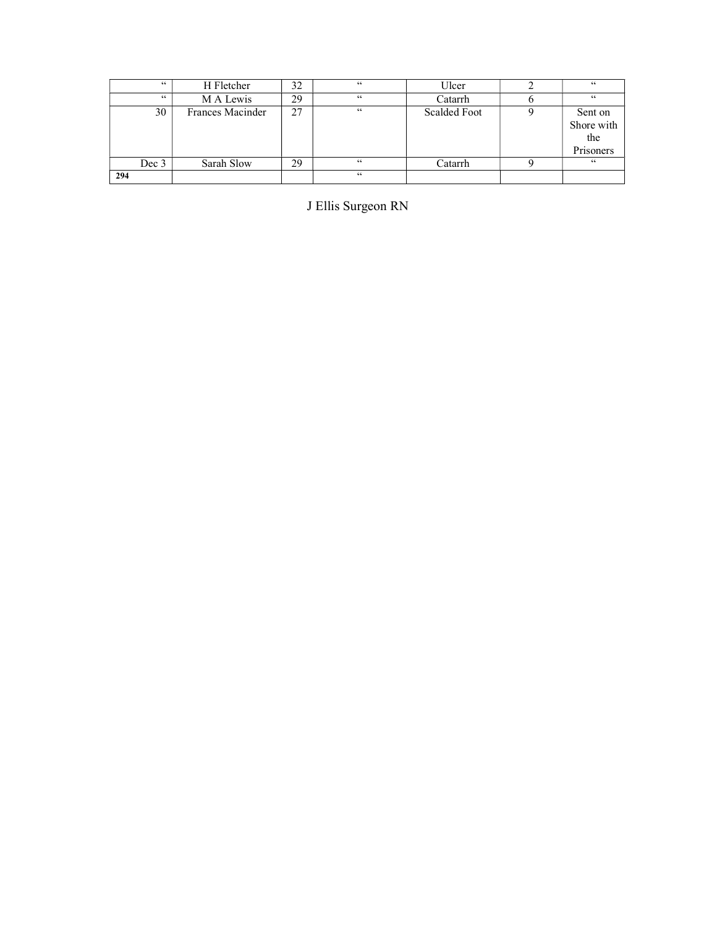|     | 66    | H Fletcher       | 32 | 66 | Ulcer        | 66         |
|-----|-------|------------------|----|----|--------------|------------|
|     | 66    | M A Lewis        | 29 | 66 | Catarrh      | 66         |
|     | 30    | Frances Macinder | 27 | 66 | Scalded Foot | Sent on    |
|     |       |                  |    |    |              | Shore with |
|     |       |                  |    |    |              | the        |
|     |       |                  |    |    |              | Prisoners  |
|     | Dec 3 | Sarah Slow       | 29 | 66 | Catarrh      | 66         |
| 294 |       |                  |    | 66 |              |            |

J Ellis Surgeon RN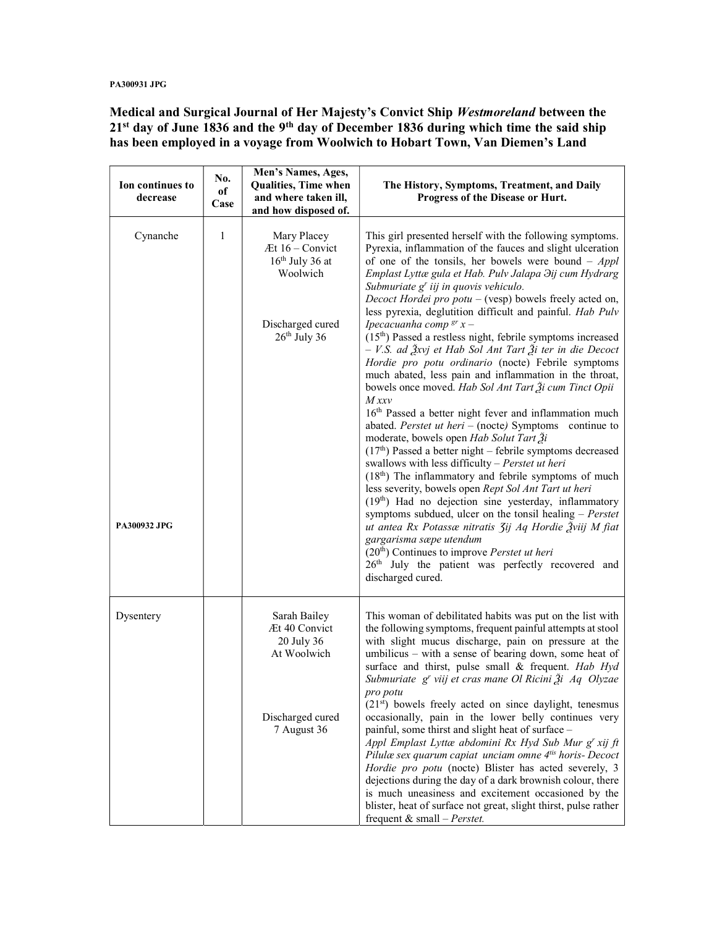#### PA300931 JPG

Medical and Surgical Journal of Her Majesty's Convict Ship Westmoreland between the  $21<sup>st</sup>$  day of June 1836 and the 9<sup>th</sup> day of December 1836 during which time the said ship has been employed in a voyage from Woolwich to Hobart Town, Van Diemen's Land

| Ion continues to<br>decrease | No.<br>оf<br>Case | Men's Names, Ages,<br><b>Qualities, Time when</b><br>and where taken ill,<br>and how disposed of.     | The History, Symptoms, Treatment, and Daily<br>Progress of the Disease or Hurt.                                                                                                                                                                                                                                                                                                                                                                                                                                                                                                                                                                                                                                                                                                                                                                                                                                                                                                                                                                                                                                                                                                                                                                                                                                                                                                                                                                                                                                                                         |
|------------------------------|-------------------|-------------------------------------------------------------------------------------------------------|---------------------------------------------------------------------------------------------------------------------------------------------------------------------------------------------------------------------------------------------------------------------------------------------------------------------------------------------------------------------------------------------------------------------------------------------------------------------------------------------------------------------------------------------------------------------------------------------------------------------------------------------------------------------------------------------------------------------------------------------------------------------------------------------------------------------------------------------------------------------------------------------------------------------------------------------------------------------------------------------------------------------------------------------------------------------------------------------------------------------------------------------------------------------------------------------------------------------------------------------------------------------------------------------------------------------------------------------------------------------------------------------------------------------------------------------------------------------------------------------------------------------------------------------------------|
| Cynanche<br>PA300932 JPG     | 1                 | Mary Placey<br>Æt 16 - Convict<br>$16th$ July 36 at<br>Woolwich<br>Discharged cured<br>$26th$ July 36 | This girl presented herself with the following symptoms.<br>Pyrexia, inflammation of the fauces and slight ulceration<br>of one of the tonsils, her bowels were bound $-$ Appl<br>Emplast Lyttæ gula et Hab. Pulv Jalapa Hij cum Hydrarg<br>Submuriate g' iij in quovis vehiculo.<br>Decoct Hordei pro $potu - (vesp)$ bowels freely acted on,<br>less pyrexia, deglutition difficult and painful. Hab Pulv<br>Ipecacuanha comp <sup>gr</sup> $x -$<br>(15 <sup>th</sup> ) Passed a restless night, febrile symptoms increased<br>- V.S. ad Žxvj et Hab Sol Ant Tart Ži ter in die Decoct<br>Hordie pro potu ordinario (nocte) Febrile symptoms<br>much abated, less pain and inflammation in the throat,<br>bowels once moved. Hab Sol Ant Tart Ži cum Tinct Opii<br>$M$ xxv<br>16 <sup>th</sup> Passed a better night fever and inflammation much<br>abated. Perstet ut heri $-$ (nocte) Symptoms continue to<br>moderate, bowels open Hab Solut Tart Ži<br>$(17th)$ Passed a better night – febrile symptoms decreased<br>swallows with less difficulty - Perstet ut heri<br>$(18th)$ The inflammatory and febrile symptoms of much<br>less severity, bowels open Rept Sol Ant Tart ut heri<br>(19th) Had no dejection sine yesterday, inflammatory<br>symptoms subdued, ulcer on the tonsil healing $-$ Perstet<br>ut antea Rx Potassæ nitratis 3ij Aq Hordie Žviij M fiat<br>gargarisma sæpe utendum<br>$(20th)$ Continues to improve <i>Perstet ut heri</i><br>26 <sup>th</sup> July the patient was perfectly recovered and<br>discharged cured. |
| Dysentery                    |                   | Sarah Bailey<br>Æt 40 Convict<br>20 July 36<br>At Woolwich<br>Discharged cured<br>7 August 36         | This woman of debilitated habits was put on the list with<br>the following symptoms, frequent painful attempts at stool<br>with slight mucus discharge, pain on pressure at the<br>umbilicus - with a sense of bearing down, some heat of<br>surface and thirst, pulse small & frequent. Hab Hyd<br>Submuriate g' viij et cras mane Ol Ricini $\tilde{\beta}$ i Aq Olyzae<br>pro potu<br>$(21st)$ bowels freely acted on since daylight, tenesmus<br>occasionally, pain in the lower belly continues very<br>painful, some thirst and slight heat of surface -<br>Appl Emplast Lyttæ abdomini Rx Hyd Sub Mur g' xij ft<br>Pilulæ sex quarum capiat unciam omne 4tis horis- Decoct<br>Hordie pro potu (nocte) Blister has acted severely, 3<br>dejections during the day of a dark brownish colour, there<br>is much uneasiness and excitement occasioned by the<br>blister, heat of surface not great, slight thirst, pulse rather<br>frequent & small $-$ <i>Perstet.</i>                                                                                                                                                                                                                                                                                                                                                                                                                                                                                                                                                                              |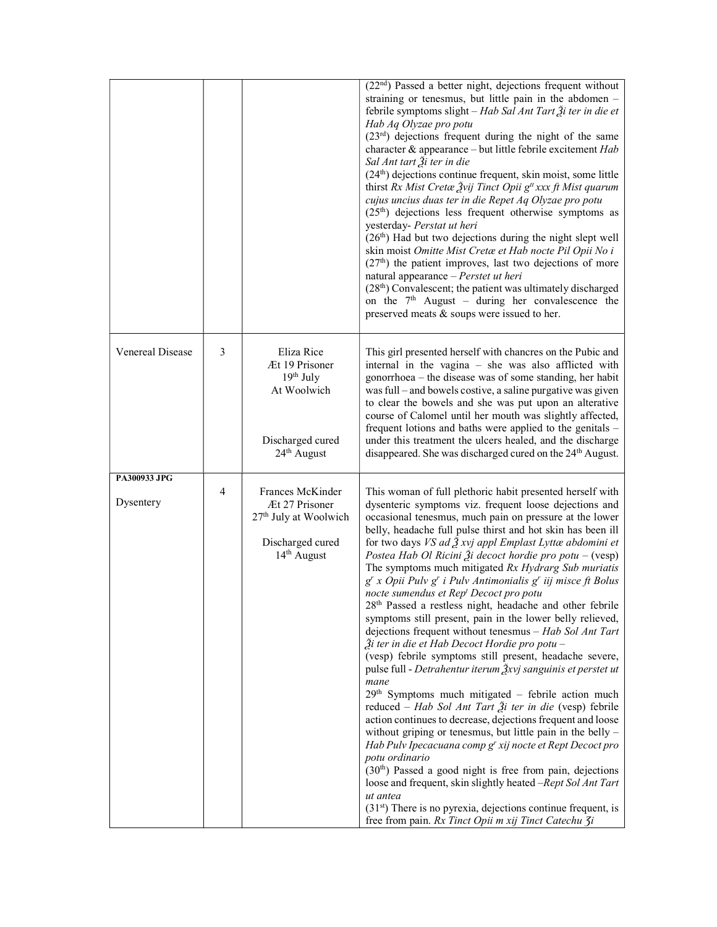|                           |   |                                                                                                                        | $(22nd)$ Passed a better night, dejections frequent without<br>straining or tenesmus, but little pain in the abdomen -<br>febrile symptoms slight - Hab Sal Ant Tart Ži ter in die et<br>Hab Aq Olyzae pro potu<br>$(23rd)$ dejections frequent during the night of the same<br>character & appearance - but little febrile excitement Hab<br>Sal Ant tart Ži ter in die<br>$(24th)$ dejections continue frequent, skin moist, some little<br>thirst Rx Mist Cretæ Žvij Tinct Opii g <sup>#</sup> xxx ft Mist quarum<br>cujus uncius duas ter in die Repet Aq Olyzae pro potu<br>$(25th)$ dejections less frequent otherwise symptoms as<br>yesterday- Perstat ut heri<br>(26 <sup>th</sup> ) Had but two dejections during the night slept well<br>skin moist Omitte Mist Cretæ et Hab nocte Pil Opii No i<br>$(27th)$ the patient improves, last two dejections of more<br>natural appearance - Perstet ut heri<br>$(28th)$ Convalescent; the patient was ultimately discharged<br>on the $7th$ August – during her convalescence the<br>preserved meats & soups were issued to her.                                                                                                                                                                                                                                                                                                                                                                                                                                                                                             |
|---------------------------|---|------------------------------------------------------------------------------------------------------------------------|------------------------------------------------------------------------------------------------------------------------------------------------------------------------------------------------------------------------------------------------------------------------------------------------------------------------------------------------------------------------------------------------------------------------------------------------------------------------------------------------------------------------------------------------------------------------------------------------------------------------------------------------------------------------------------------------------------------------------------------------------------------------------------------------------------------------------------------------------------------------------------------------------------------------------------------------------------------------------------------------------------------------------------------------------------------------------------------------------------------------------------------------------------------------------------------------------------------------------------------------------------------------------------------------------------------------------------------------------------------------------------------------------------------------------------------------------------------------------------------------------------------------------------------------------------------------------------|
| Venereal Disease          | 3 | Eliza Rice<br>Æt 19 Prisoner<br>$19th$ July<br>At Woolwich<br>Discharged cured<br>24 <sup>th</sup> August              | This girl presented herself with chancres on the Pubic and<br>internal in the vagina - she was also afflicted with<br>gonorrhoea – the disease was of some standing, her habit<br>was full - and bowels costive, a saline purgative was given<br>to clear the bowels and she was put upon an alterative<br>course of Calomel until her mouth was slightly affected,<br>frequent lotions and baths were applied to the genitals -<br>under this treatment the ulcers healed, and the discharge<br>disappeared. She was discharged cured on the 24 <sup>th</sup> August.                                                                                                                                                                                                                                                                                                                                                                                                                                                                                                                                                                                                                                                                                                                                                                                                                                                                                                                                                                                                             |
| PA300933 JPG<br>Dysentery | 4 | Frances McKinder<br>Æt 27 Prisoner<br>27 <sup>th</sup> July at Woolwich<br>Discharged cured<br>14 <sup>th</sup> August | This woman of full plethoric habit presented herself with<br>dysenteric symptoms viz. frequent loose dejections and<br>occasional tenesmus, much pain on pressure at the lower<br>belly, headache full pulse thirst and hot skin has been ill<br>for two days VS ad $\tilde{A}$ xvj appl Emplast Lyttæ abdomini et<br>Postea Hab Ol Ricini $\tilde{\mathcal{Z}}$ i decoct hordie pro potu – (vesp)<br>The symptoms much mitigated Rx Hydrarg Sub muriatis<br>g' x Opii Pulv g' i Pulv Antimonialis g' iij misce ft Bolus<br>nocte sumendus et Rep <sup>t</sup> Decoct pro potu<br>$28th$ Passed a restless night, headache and other febrile<br>symptoms still present, pain in the lower belly relieved,<br>dejections frequent without tenesmus - Hab Sol Ant Tart<br>Ѯi ter in die et Hab Decoct Hordie pro potu –<br>(vesp) febrile symptoms still present, headache severe,<br>pulse full - Detrahentur iterum $\frac{3}{2}$ xvj sanguinis et perstet ut<br>mane<br>$29th$ Symptoms much mitigated – febrile action much<br>reduced – Hab Sol Ant Tart Ži ter in die (vesp) febrile<br>action continues to decrease, dejections frequent and loose<br>without griping or tenesmus, but little pain in the belly -<br>Hab Pulv Ipecacuana comp g' xij nocte et Rept Decoct pro<br>potu ordinario<br>(30 <sup>th</sup> ) Passed a good night is free from pain, dejections<br>loose and frequent, skin slightly heated -Rept Sol Ant Tart<br>ut antea<br>$(31st)$ There is no pyrexia, dejections continue frequent, is<br>free from pain. Rx Tinct Opii m xij Tinct Catechu 3i |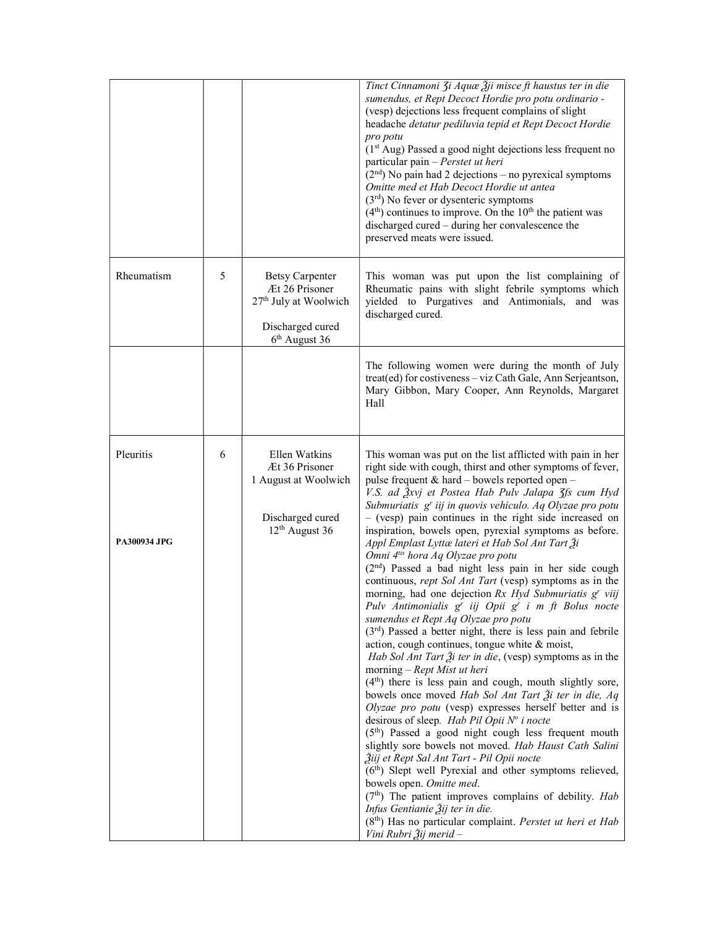|                           |   |                                                                                                                      | Tinct Cinnamoni 3i Aquæ Žji misce ft haustus ter in die<br>sumendus, et Rept Decoct Hordie pro potu ordinario -<br>(vesp) dejections less frequent complains of slight<br>headache detatur pediluvia tepid et Rept Decoct Hordie<br>pro potu<br>(1 <sup>st</sup> Aug) Passed a good night dejections less frequent no<br>particular pain - Perstet ut heri<br>$(2nd)$ No pain had 2 dejections – no pyrexical symptoms<br>Omitte med et Hab Decoct Hordie ut antea<br>$(3rd)$ No fever or dysenteric symptoms<br>$(4th)$ continues to improve. On the 10 <sup>th</sup> the patient was<br>discharged cured - during her convalescence the<br>preserved meats were issued.                                                                                                                                                                                                                                                                                                                                                                                                                                                                                                                                                                                                                                                                                                                                                                                                                                                                                                                                                                                                                                                                                               |
|---------------------------|---|----------------------------------------------------------------------------------------------------------------------|-------------------------------------------------------------------------------------------------------------------------------------------------------------------------------------------------------------------------------------------------------------------------------------------------------------------------------------------------------------------------------------------------------------------------------------------------------------------------------------------------------------------------------------------------------------------------------------------------------------------------------------------------------------------------------------------------------------------------------------------------------------------------------------------------------------------------------------------------------------------------------------------------------------------------------------------------------------------------------------------------------------------------------------------------------------------------------------------------------------------------------------------------------------------------------------------------------------------------------------------------------------------------------------------------------------------------------------------------------------------------------------------------------------------------------------------------------------------------------------------------------------------------------------------------------------------------------------------------------------------------------------------------------------------------------------------------------------------------------------------------------------------------|
| Rheumatism                | 5 | <b>Betsy Carpenter</b><br>Æt 26 Prisoner<br>27 <sup>th</sup> July at Woolwich<br>Discharged cured<br>$6th$ August 36 | This woman was put upon the list complaining of<br>Rheumatic pains with slight febrile symptoms which<br>yielded to Purgatives and Antimonials, and was<br>discharged cured.                                                                                                                                                                                                                                                                                                                                                                                                                                                                                                                                                                                                                                                                                                                                                                                                                                                                                                                                                                                                                                                                                                                                                                                                                                                                                                                                                                                                                                                                                                                                                                                            |
|                           |   |                                                                                                                      | The following women were during the month of July<br>treat(ed) for costiveness - viz Cath Gale, Ann Serjeantson,<br>Mary Gibbon, Mary Cooper, Ann Reynolds, Margaret<br>Hall                                                                                                                                                                                                                                                                                                                                                                                                                                                                                                                                                                                                                                                                                                                                                                                                                                                                                                                                                                                                                                                                                                                                                                                                                                                                                                                                                                                                                                                                                                                                                                                            |
| Pleuritis<br>PA300934 JPG | 6 | Ellen Watkins<br>Æt 36 Prisoner<br>1 August at Woolwich<br>Discharged cured<br>$12th$ August 36                      | This woman was put on the list afflicted with pain in her<br>right side with cough, thirst and other symptoms of fever,<br>pulse frequent & hard - bowels reported open -<br>V.S. ad Žxvj et Postea Hab Pulv Jalapa 3fs cum Hyd<br>Submuriatis g' iij in quovis vehiculo. Aq Olyzae pro potu<br>$-$ (vesp) pain continues in the right side increased on<br>inspiration, bowels open, pyrexial symptoms as before.<br>Appl Emplast Lyttæ lateri et Hab Sol Ant Tart Ži<br>Omni 4tis hora Aq Olyzae pro potu<br>(2 <sup>nd</sup> ) Passed a bad night less pain in her side cough<br>continuous, rept Sol Ant Tart (vesp) symptoms as in the<br>morning, had one dejection Rx Hyd Submuriatis g' viij<br>Pulv Antimonialis g' iij Opii g' i m ft Bolus nocte<br>sumendus et Rept Aq Olyzae pro potu<br>$(3rd)$ Passed a better night, there is less pain and febrile<br>action, cough continues, tongue white & moist,<br><i>Hab Sol Ant Tart <math>\tilde{\lambda}</math>i ter in die</i> , (vesp) symptoms as in the<br>morning $-$ Rept Mist ut heri<br>$(4th)$ there is less pain and cough, mouth slightly sore,<br>bowels once moved Hab Sol Ant Tart $\tilde{A}$ i ter in die, Aq<br>Olyzae pro potu (vesp) expresses herself better and is<br>desirous of sleep. Hab Pil Opii $N^o$ i nocte<br>$(5th)$ Passed a good night cough less frequent mouth<br>slightly sore bowels not moved. Hab Haust Cath Salini<br>Žiij et Rept Sal Ant Tart - Pil Opii nocte<br>(6 <sup>th</sup> ) Slept well Pyrexial and other symptoms relieved,<br>bowels open. Omitte med.<br>$(7th)$ The patient improves complains of debility. Hab<br>Infus Gentianie Žij ter in die.<br>(8 <sup>th</sup> ) Has no particular complaint. Perstet ut heri et Hab<br>Vini Rubri Žij merid – |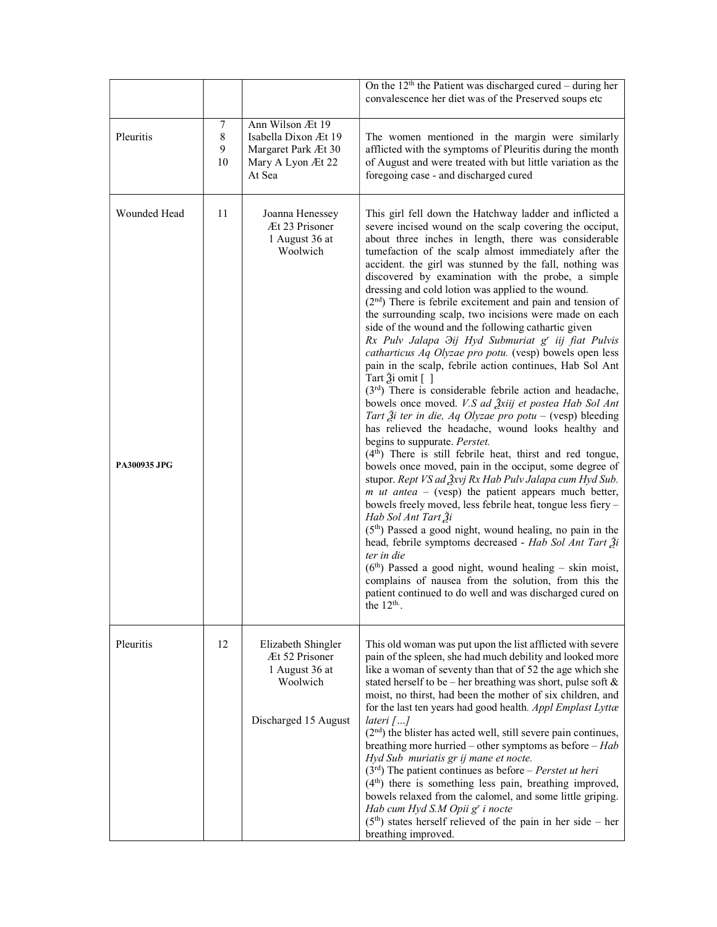|                                     |                   |                                                                                                | On the $12th$ the Patient was discharged cured – during her<br>convalescence her diet was of the Preserved soups etc                                                                                                                                                                                                                                                                                                                                                                                                                                                                                                                                                                                                                                                                                                                                                                                                                                                                                                                                                                                                                                                                                                                                                                                                                                                                                                                                                                                                                                                                                                                                                                                                                                                                     |
|-------------------------------------|-------------------|------------------------------------------------------------------------------------------------|------------------------------------------------------------------------------------------------------------------------------------------------------------------------------------------------------------------------------------------------------------------------------------------------------------------------------------------------------------------------------------------------------------------------------------------------------------------------------------------------------------------------------------------------------------------------------------------------------------------------------------------------------------------------------------------------------------------------------------------------------------------------------------------------------------------------------------------------------------------------------------------------------------------------------------------------------------------------------------------------------------------------------------------------------------------------------------------------------------------------------------------------------------------------------------------------------------------------------------------------------------------------------------------------------------------------------------------------------------------------------------------------------------------------------------------------------------------------------------------------------------------------------------------------------------------------------------------------------------------------------------------------------------------------------------------------------------------------------------------------------------------------------------------|
| Pleuritis                           | 7<br>8<br>9<br>10 | Ann Wilson Æt 19<br>Isabella Dixon Æt 19<br>Margaret Park Æt 30<br>Mary A Lyon Æt 22<br>At Sea | The women mentioned in the margin were similarly<br>afflicted with the symptoms of Pleuritis during the month<br>of August and were treated with but little variation as the<br>foregoing case - and discharged cured                                                                                                                                                                                                                                                                                                                                                                                                                                                                                                                                                                                                                                                                                                                                                                                                                                                                                                                                                                                                                                                                                                                                                                                                                                                                                                                                                                                                                                                                                                                                                                    |
| Wounded Head<br><b>PA300935 JPG</b> | 11                | Joanna Henessey<br>Æt 23 Prisoner<br>1 August 36 at<br>Woolwich                                | This girl fell down the Hatchway ladder and inflicted a<br>severe incised wound on the scalp covering the occiput,<br>about three inches in length, there was considerable<br>tumefaction of the scalp almost immediately after the<br>accident. the girl was stunned by the fall, nothing was<br>discovered by examination with the probe, a simple<br>dressing and cold lotion was applied to the wound.<br>$(2nd)$ There is febrile excitement and pain and tension of<br>the surrounding scalp, two incisions were made on each<br>side of the wound and the following cathartic given<br>Rx Pulv Jalapa <i>Hyd Submuriat</i> g' iij fiat Pulvis<br>catharticus Aq Olyzae pro potu. (vesp) bowels open less<br>pain in the scalp, febrile action continues, Hab Sol Ant<br>Tart Ѯi omit []<br>$(3rd)$ There is considerable febrile action and headache,<br>bowels once moved. V.S ad 3xiij et postea Hab Sol Ant<br>Tart $\tilde{\beta}$ i ter in die, Aq Olyzae pro potu – (vesp) bleeding<br>has relieved the headache, wound looks healthy and<br>begins to suppurate. <i>Perstet</i> .<br>$(4th)$ There is still febrile heat, thirst and red tongue,<br>bowels once moved, pain in the occiput, some degree of<br>stupor. Rept VS ad Ѯxvj Rx Hab Pulv Jalapa cum Hyd Sub.<br><i>m ut antea</i> – (vesp) the patient appears much better,<br>bowels freely moved, less febrile heat, tongue less fiery -<br>Hab Sol Ant Tart Ži<br>$(5th)$ Passed a good night, wound healing, no pain in the<br>head, febrile symptoms decreased - Hab Sol Ant Tart Ži<br>ter in die<br>$(6th)$ Passed a good night, wound healing – skin moist,<br>complains of nausea from the solution, from this the<br>patient continued to do well and was discharged cured on<br>the $12^{\text{th}}$ . |
| Pleuritis                           | 12                | Elizabeth Shingler<br>Æt 52 Prisoner<br>1 August 36 at<br>Woolwich<br>Discharged 15 August     | This old woman was put upon the list afflicted with severe<br>pain of the spleen, she had much debility and looked more<br>like a woman of seventy than that of 52 the age which she<br>stated herself to be – her breathing was short, pulse soft $\&$<br>moist, no thirst, had been the mother of six children, and<br>for the last ten years had good health. Appl Emplast Lyttæ<br>lateri $[]$<br>(2 <sup>nd</sup> ) the blister has acted well, still severe pain continues,<br>breathing more hurried – other symptoms as before – $Hab$<br>Hyd Sub muriatis gr ij mane et nocte.<br>$(3rd)$ The patient continues as before – Perstet ut heri<br>$(4th)$ there is something less pain, breathing improved,<br>bowels relaxed from the calomel, and some little griping.<br>Hab cum Hyd S.M Opii g' i nocte<br>$(5th)$ states herself relieved of the pain in her side – her<br>breathing improved.                                                                                                                                                                                                                                                                                                                                                                                                                                                                                                                                                                                                                                                                                                                                                                                                                                                                                |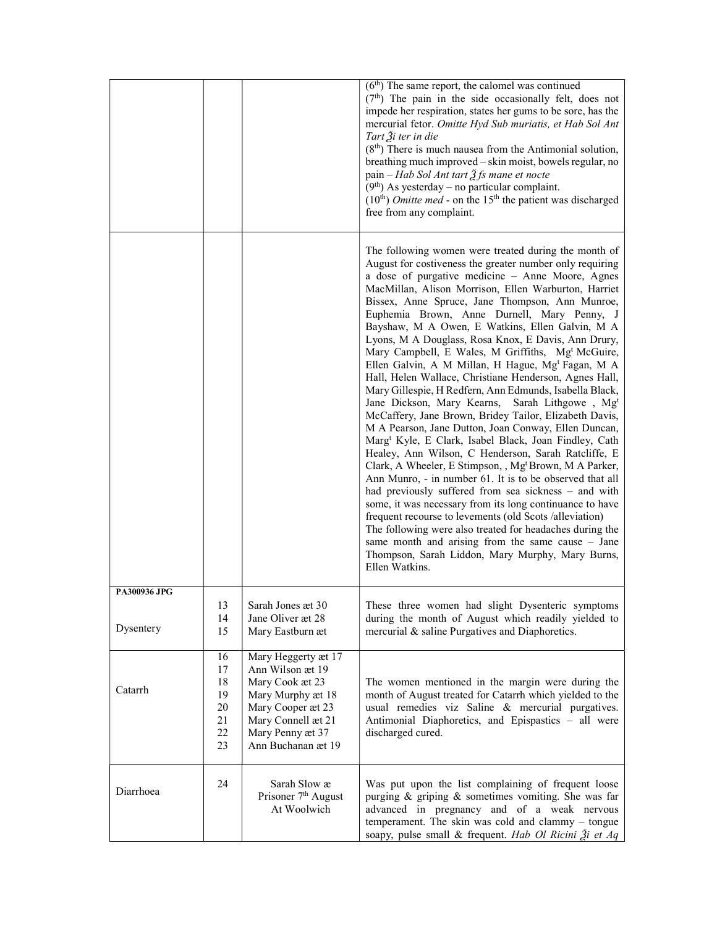|              |                                                  |                                                                                                                                                                      | $(6th)$ The same report, the calomel was continued<br>$(7th)$ The pain in the side occasionally felt, does not<br>impede her respiration, states her gums to be sore, has the<br>mercurial fetor. Omitte Hyd Sub muriatis, et Hab Sol Ant<br>Tart $\tilde{A}$ i ter in die<br>$(8th)$ There is much nausea from the Antimonial solution,<br>breathing much improved - skin moist, bowels regular, no<br>pain – Hab Sol Ant tart $\tilde{\mathcal{Z}}$ fs mane et nocte<br>$(9th)$ As yesterday – no particular complaint.<br>$(10th)$ <i>Omitte med</i> - on the 15 <sup>th</sup> the patient was discharged<br>free from any complaint.                                                                                                                                                                                                                                                                                                                                                                                                                                                                                                                                                                                                                                                                                                                                                                                                                                                                                 |
|--------------|--------------------------------------------------|----------------------------------------------------------------------------------------------------------------------------------------------------------------------|--------------------------------------------------------------------------------------------------------------------------------------------------------------------------------------------------------------------------------------------------------------------------------------------------------------------------------------------------------------------------------------------------------------------------------------------------------------------------------------------------------------------------------------------------------------------------------------------------------------------------------------------------------------------------------------------------------------------------------------------------------------------------------------------------------------------------------------------------------------------------------------------------------------------------------------------------------------------------------------------------------------------------------------------------------------------------------------------------------------------------------------------------------------------------------------------------------------------------------------------------------------------------------------------------------------------------------------------------------------------------------------------------------------------------------------------------------------------------------------------------------------------------|
|              |                                                  |                                                                                                                                                                      | The following women were treated during the month of<br>August for costiveness the greater number only requiring<br>a dose of purgative medicine - Anne Moore, Agnes<br>MacMillan, Alison Morrison, Ellen Warburton, Harriet<br>Bissex, Anne Spruce, Jane Thompson, Ann Munroe,<br>Euphemia Brown, Anne Durnell, Mary Penny, J<br>Bayshaw, M A Owen, E Watkins, Ellen Galvin, M A<br>Lyons, M A Douglass, Rosa Knox, E Davis, Ann Drury,<br>Mary Campbell, E Wales, M Griffiths, Mg <sup>t</sup> McGuire,<br>Ellen Galvin, A M Millan, H Hague, Mg <sup>t</sup> Fagan, M A<br>Hall, Helen Wallace, Christiane Henderson, Agnes Hall,<br>Mary Gillespie, H Redfern, Ann Edmunds, Isabella Black,<br>Jane Dickson, Mary Kearns,<br>Sarah Lithgowe, Mg <sup>t</sup><br>McCaffery, Jane Brown, Bridey Tailor, Elizabeth Davis,<br>M A Pearson, Jane Dutton, Joan Conway, Ellen Duncan,<br>Marg <sup>t</sup> Kyle, E Clark, Isabel Black, Joan Findley, Cath<br>Healey, Ann Wilson, C Henderson, Sarah Ratcliffe, E<br>Clark, A Wheeler, E Stimpson, , Mg <sup>t</sup> Brown, M A Parker,<br>Ann Munro, - in number 61. It is to be observed that all<br>had previously suffered from sea sickness – and with<br>some, it was necessary from its long continuance to have<br>frequent recourse to levements (old Scots /alleviation)<br>The following were also treated for headaches during the<br>same month and arising from the same cause $-$ Jane<br>Thompson, Sarah Liddon, Mary Murphy, Mary Burns,<br>Ellen Watkins. |
| PA300936 JPG |                                                  |                                                                                                                                                                      |                                                                                                                                                                                                                                                                                                                                                                                                                                                                                                                                                                                                                                                                                                                                                                                                                                                                                                                                                                                                                                                                                                                                                                                                                                                                                                                                                                                                                                                                                                                          |
| Dysentery    | 13<br>14<br>15                                   | Sarah Jones æt 30<br>Jane Oliver æt 28<br>Mary Eastburn æt                                                                                                           | These three women had slight Dysenteric symptoms<br>during the month of August which readily yielded to<br>mercurial & saline Purgatives and Diaphoretics.                                                                                                                                                                                                                                                                                                                                                                                                                                                                                                                                                                                                                                                                                                                                                                                                                                                                                                                                                                                                                                                                                                                                                                                                                                                                                                                                                               |
| Catarrh      | 16<br>17<br>18<br>19<br>$20\,$<br>21<br>22<br>23 | Mary Heggerty æt 17<br>Ann Wilson æt 19<br>Mary Cook æt 23<br>Mary Murphy æt 18<br>Mary Cooper æt 23<br>Mary Connell æt 21<br>Mary Penny æt 37<br>Ann Buchanan æt 19 | The women mentioned in the margin were during the<br>month of August treated for Catarrh which yielded to the<br>usual remedies viz Saline & mercurial purgatives.<br>Antimonial Diaphoretics, and Epispastics - all were<br>discharged cured.                                                                                                                                                                                                                                                                                                                                                                                                                                                                                                                                                                                                                                                                                                                                                                                                                                                                                                                                                                                                                                                                                                                                                                                                                                                                           |
| Diarrhoea    | 24                                               | Sarah Slow æ<br>Prisoner 7 <sup>th</sup> August<br>At Woolwich                                                                                                       | Was put upon the list complaining of frequent loose<br>purging & griping & sometimes vomiting. She was far<br>advanced in pregnancy and of a weak nervous<br>temperament. The skin was cold and clammy - tongue<br>soapy, pulse small & frequent. Hab Ol Ricini $\tilde{A}$ i et Aq                                                                                                                                                                                                                                                                                                                                                                                                                                                                                                                                                                                                                                                                                                                                                                                                                                                                                                                                                                                                                                                                                                                                                                                                                                      |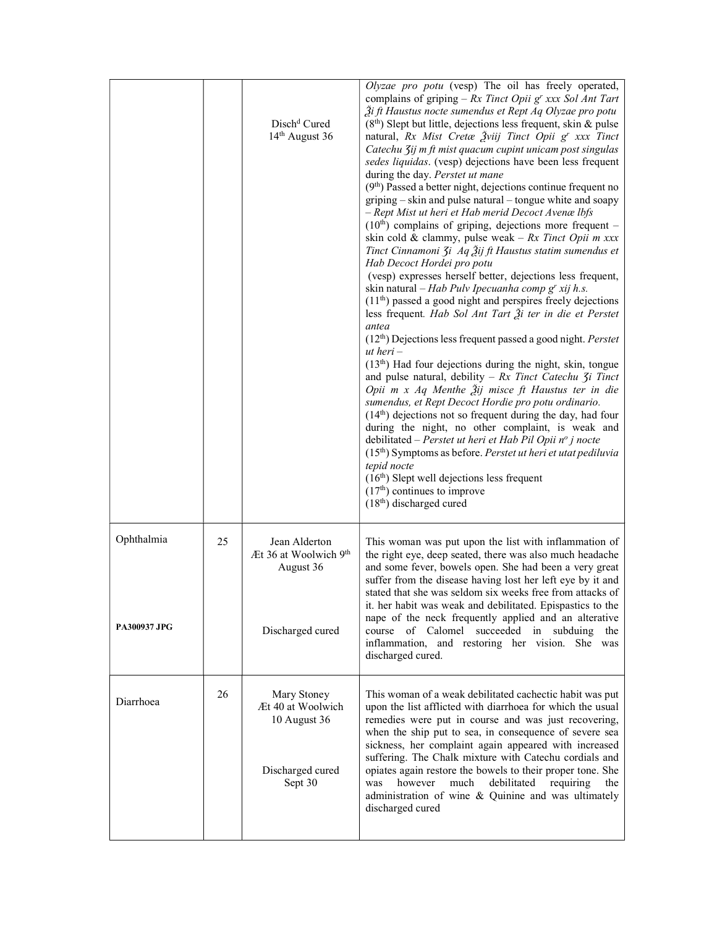|                                   |    | Disch <sup>d</sup> Cured<br>14 <sup>th</sup> August 36                          | Olyzae pro potu (vesp) The oil has freely operated,<br>complains of griping – $Rx$ Tinct Opii g' xxx Sol Ant Tart<br>Ži ft Haustus nocte sumendus et Rept Aq Olyzae pro potu<br>$(8th)$ Slept but little, dejections less frequent, skin & pulse<br>natural, Rx Mist Cretæ $\tilde{Z}$ viij Tinct Opii $g^r$ xxx Tinct<br>Catechu 3ij m ft mist quacum cupint unicam post singulas<br>sedes liquidas. (vesp) dejections have been less frequent<br>during the day. Perstet ut mane<br>$(9th)$ Passed a better night, dejections continue frequent no<br>griping – skin and pulse natural – tongue white and soapy<br>- Rept Mist ut heri et Hab merid Decoct Avenælbfs<br>$(10th)$ complains of griping, dejections more frequent –<br>skin cold & clammy, pulse weak - $Rx$ Tinct Opii m xxx<br>Tinct Cinnamoni 3i Aq Žij ft Haustus statim sumendus et<br>Hab Decoct Hordei pro potu<br>(vesp) expresses herself better, dejections less frequent,<br>skin natural – Hab Pulv Ipecuanha comp g' xij h.s.<br>$(11th)$ passed a good night and perspires freely dejections<br>less frequent. Hab Sol Ant Tart $\tilde{\mathcal{Z}}$ i ter in die et Perstet<br>antea<br>(12th) Dejections less frequent passed a good night. Perstet<br>$ut \ heri -$<br>$(13th)$ Had four dejections during the night, skin, tongue<br>and pulse natural, debility - $Rx$ Tinct Catechu $\zeta$ i Tinct<br>Opii m x Aq Menthe $\tilde{A}$ ij misce ft Haustus ter in die<br>sumendus, et Rept Decoct Hordie pro potu ordinario.<br>$(14th)$ dejections not so frequent during the day, had four<br>during the night, no other complaint, is weak and<br>debilitated - Perstet ut heri et Hab Pil Opii $n^o$ j nocte<br>$(15th)$ Symptoms as before. Perstet ut heri et utat pediluvia<br>tepid nocte<br>$(16th)$ Slept well dejections less frequent<br>$(17th)$ continues to improve<br>$(18th)$ discharged cured |
|-----------------------------------|----|---------------------------------------------------------------------------------|-----------------------------------------------------------------------------------------------------------------------------------------------------------------------------------------------------------------------------------------------------------------------------------------------------------------------------------------------------------------------------------------------------------------------------------------------------------------------------------------------------------------------------------------------------------------------------------------------------------------------------------------------------------------------------------------------------------------------------------------------------------------------------------------------------------------------------------------------------------------------------------------------------------------------------------------------------------------------------------------------------------------------------------------------------------------------------------------------------------------------------------------------------------------------------------------------------------------------------------------------------------------------------------------------------------------------------------------------------------------------------------------------------------------------------------------------------------------------------------------------------------------------------------------------------------------------------------------------------------------------------------------------------------------------------------------------------------------------------------------------------------------------------------------------------------------------------------------------------------------------------------------------------|
| Ophthalmia<br><b>PA300937 JPG</b> | 25 | Jean Alderton<br>Æt 36 at Woolwich 9th<br>August 36<br>Discharged cured         | This woman was put upon the list with inflammation of<br>the right eye, deep seated, there was also much headache<br>and some fever, bowels open. She had been a very great<br>suffer from the disease having lost her left eye by it and<br>stated that she was seldom six weeks free from attacks of<br>it. her habit was weak and debilitated. Epispastics to the<br>nape of the neck frequently applied and an alterative<br>course of Calomel succeeded in subduing the<br>inflammation, and restoring her vision. She was<br>discharged cured.                                                                                                                                                                                                                                                                                                                                                                                                                                                                                                                                                                                                                                                                                                                                                                                                                                                                                                                                                                                                                                                                                                                                                                                                                                                                                                                                                |
| Diarrhoea                         | 26 | Mary Stoney<br>Æt 40 at Woolwich<br>10 August 36<br>Discharged cured<br>Sept 30 | This woman of a weak debilitated cachectic habit was put<br>upon the list afflicted with diarrhoea for which the usual<br>remedies were put in course and was just recovering,<br>when the ship put to sea, in consequence of severe sea<br>sickness, her complaint again appeared with increased<br>suffering. The Chalk mixture with Catechu cordials and<br>opiates again restore the bowels to their proper tone. She<br>however<br>requiring<br>much<br>debilitated<br>was<br>the<br>administration of wine & Quinine and was ultimately<br>discharged cured                                                                                                                                                                                                                                                                                                                                                                                                                                                                                                                                                                                                                                                                                                                                                                                                                                                                                                                                                                                                                                                                                                                                                                                                                                                                                                                                   |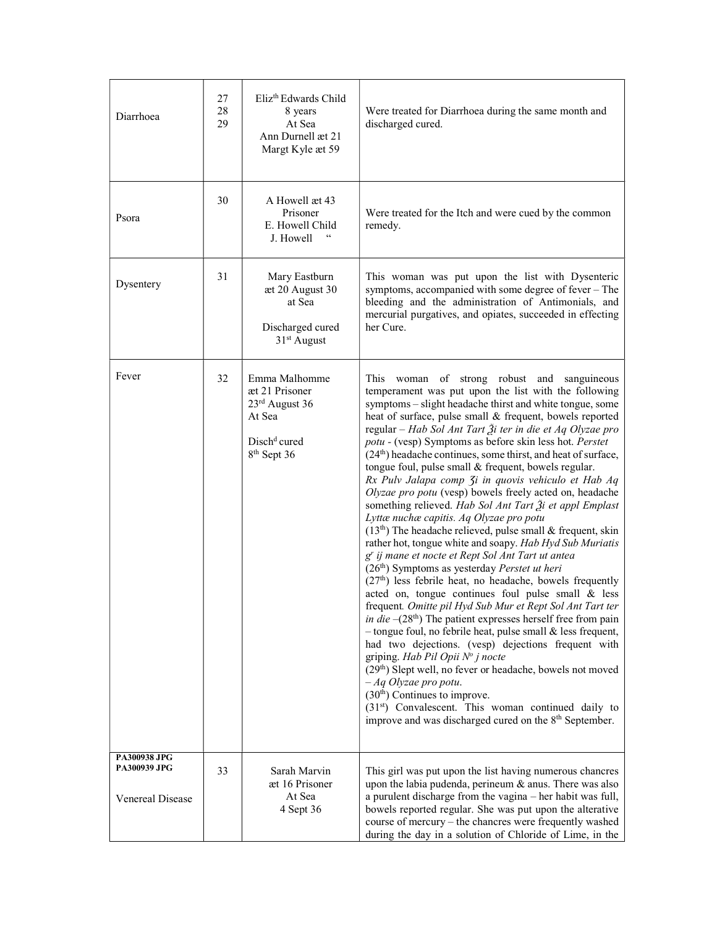| Diarrhoea                                                      | 27<br>28<br>29 | Eliz <sup>th</sup> Edwards Child<br>8 years<br>At Sea<br>Ann Durnell æt 21<br>Margt Kyle æt 59                            | Were treated for Diarrhoea during the same month and<br>discharged cured.                                                                                                                                                                                                                                                                                                                                                                                                                                                                                                                                                                                                                                                                                                                                                                                                                                                                                                                                                                                                                                                                                                                                                                                                                                                                                                                                                                                                                                                                                                                                                                  |
|----------------------------------------------------------------|----------------|---------------------------------------------------------------------------------------------------------------------------|--------------------------------------------------------------------------------------------------------------------------------------------------------------------------------------------------------------------------------------------------------------------------------------------------------------------------------------------------------------------------------------------------------------------------------------------------------------------------------------------------------------------------------------------------------------------------------------------------------------------------------------------------------------------------------------------------------------------------------------------------------------------------------------------------------------------------------------------------------------------------------------------------------------------------------------------------------------------------------------------------------------------------------------------------------------------------------------------------------------------------------------------------------------------------------------------------------------------------------------------------------------------------------------------------------------------------------------------------------------------------------------------------------------------------------------------------------------------------------------------------------------------------------------------------------------------------------------------------------------------------------------------|
| Psora                                                          | 30             | A Howell æt 43<br>Prisoner<br>E. Howell Child<br>J. Howell                                                                | Were treated for the Itch and were cued by the common<br>remedy.                                                                                                                                                                                                                                                                                                                                                                                                                                                                                                                                                                                                                                                                                                                                                                                                                                                                                                                                                                                                                                                                                                                                                                                                                                                                                                                                                                                                                                                                                                                                                                           |
| Dysentery                                                      | 31             | Mary Eastburn<br>æt 20 August 30<br>at Sea<br>Discharged cured<br>$31st$ August                                           | This woman was put upon the list with Dysenteric<br>symptoms, accompanied with some degree of fever - The<br>bleeding and the administration of Antimonials, and<br>mercurial purgatives, and opiates, succeeded in effecting<br>her Cure.                                                                                                                                                                                                                                                                                                                                                                                                                                                                                                                                                                                                                                                                                                                                                                                                                                                                                                                                                                                                                                                                                                                                                                                                                                                                                                                                                                                                 |
| Fever                                                          | 32             | Emma Malhomme<br>æt 21 Prisoner<br>23rd August 36<br>At Sea<br>Disch <sup>d</sup> <sup>d</sup><br>8 <sup>th</sup> Sept 36 | This woman of strong robust and sanguineous<br>temperament was put upon the list with the following<br>symptoms - slight headache thirst and white tongue, some<br>heat of surface, pulse small & frequent, bowels reported<br>regular - Hab Sol Ant Tart Ži ter in die et Aq Olyzae pro<br>potu - (vesp) Symptoms as before skin less hot. Perstet<br>$(24th)$ headache continues, some thirst, and heat of surface,<br>tongue foul, pulse small & frequent, bowels regular.<br>Rx Pulv Jalapa comp 3i in quovis vehiculo et Hab Aq<br>Olyzae pro potu (vesp) bowels freely acted on, headache<br>something relieved. Hab Sol Ant Tart Ži et appl Emplast<br>Lyttæ nuchæ capitis. Aq Olyzae pro potu<br>$(13th)$ The headache relieved, pulse small & frequent, skin<br>rather hot, tongue white and soapy. Hab Hyd Sub Muriatis<br>g' ij mane et nocte et Rept Sol Ant Tart ut antea<br>$(26th)$ Symptoms as yesterday <i>Perstet ut heri</i><br>(27th) less febrile heat, no headache, bowels frequently<br>acted on, tongue continues foul pulse small & less<br>frequent. Omitte pil Hyd Sub Mur et Rept Sol Ant Tart ter<br>in die $-(28th)$ The patient expresses herself free from pain<br>$-$ tongue foul, no febrile heat, pulse small $\&$ less frequent,<br>had two dejections. (vesp) dejections frequent with<br>griping. Hab Pil Opii $N^{\circ}$ j nocte<br>(29 <sup>th</sup> ) Slept well, no fever or headache, bowels not moved<br>$-Aq$ Olyzae pro potu.<br>$(30th)$ Continues to improve.<br>(31st) Convalescent. This woman continued daily to<br>improve and was discharged cured on the 8 <sup>th</sup> September. |
| PA300938 JPG<br><b>PA300939 JPG</b><br><b>Venereal Disease</b> | 33             | Sarah Marvin<br>æt 16 Prisoner<br>At Sea<br>4 Sept 36                                                                     | This girl was put upon the list having numerous chancres<br>upon the labia pudenda, perineum & anus. There was also<br>a purulent discharge from the vagina - her habit was full,<br>bowels reported regular. She was put upon the alterative<br>course of mercury - the chancres were frequently washed<br>during the day in a solution of Chloride of Lime, in the                                                                                                                                                                                                                                                                                                                                                                                                                                                                                                                                                                                                                                                                                                                                                                                                                                                                                                                                                                                                                                                                                                                                                                                                                                                                       |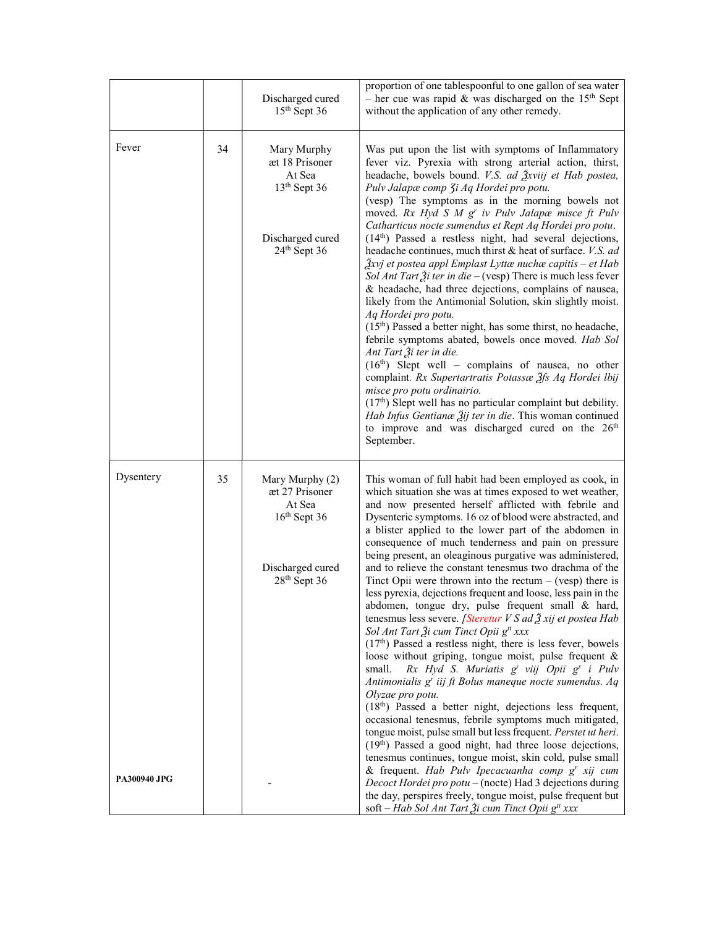|                     |    | Discharged cured<br>$15th$ Sept 36                                                                  | proportion of one tablespoonful to one gallon of sea water<br>- her cue was rapid & was discharged on the $15th$ Sept<br>without the application of any other remedy.                                                                                                                                                                                                                                                                                                                                                                                                                                                                                                                                                                                                                                                                                                                                                                                                                                                                                                                                                                                                                                                                                                                                                                                                                                                            |
|---------------------|----|-----------------------------------------------------------------------------------------------------|----------------------------------------------------------------------------------------------------------------------------------------------------------------------------------------------------------------------------------------------------------------------------------------------------------------------------------------------------------------------------------------------------------------------------------------------------------------------------------------------------------------------------------------------------------------------------------------------------------------------------------------------------------------------------------------------------------------------------------------------------------------------------------------------------------------------------------------------------------------------------------------------------------------------------------------------------------------------------------------------------------------------------------------------------------------------------------------------------------------------------------------------------------------------------------------------------------------------------------------------------------------------------------------------------------------------------------------------------------------------------------------------------------------------------------|
| Fever               | 34 | Mary Murphy<br>æt 18 Prisoner<br>At Sea<br>$13th$ Sept 36<br>Discharged cured<br>$24th$ Sept 36     | Was put upon the list with symptoms of Inflammatory<br>fever viz. Pyrexia with strong arterial action, thirst,<br>headache, bowels bound. V.S. ad Živiij et Hab postea,<br>Pulv Jalapæ comp 3i Aq Hordei pro potu.<br>(vesp) The symptoms as in the morning bowels not<br>moved. Rx Hyd S M g' iv Pulv Jalapæ misce ft Pulv<br>Catharticus nocte sumendus et Rept Aq Hordei pro potu.<br>$(14th)$ Passed a restless night, had several dejections,<br>headache continues, much thirst & heat of surface. V.S. ad<br>$\frac{3}{2}$ xvj et postea appl Emplast Lyttæ nuchæ capitis – et Hab<br>Sol Ant Tart $\tilde{A}$ i ter in die - (vesp) There is much less fever<br>& headache, had three dejections, complains of nausea,<br>likely from the Antimonial Solution, skin slightly moist.<br>Aq Hordei pro potu.<br>$(15th)$ Passed a better night, has some thirst, no headache,<br>febrile symptoms abated, bowels once moved. Hab Sol<br>Ant Tart $\tilde{\mathcal{X}}$ i ter in die.<br>$(16th)$ Slept well – complains of nausea, no other<br>complaint. Rx Supertartratis Potassæ 3fs Aq Hordei Ibij<br>misce pro potu ordinairio.<br>$(17th)$ Slept well has no particular complaint but debility.<br>Hab Infus Gentianæ Žij ter in die. This woman continued<br>to improve and was discharged cured on the 26 <sup>th</sup><br>September.                                                                              |
| Dysentery           | 35 | Mary Murphy (2)<br>æt 27 Prisoner<br>At Sea<br>$16th$ Sept 36<br>Discharged cured<br>$28th$ Sept 36 | This woman of full habit had been employed as cook, in<br>which situation she was at times exposed to wet weather,<br>and now presented herself afflicted with febrile and<br>Dysenteric symptoms. 16 oz of blood were abstracted, and<br>a blister applied to the lower part of the abdomen in<br>consequence of much tenderness and pain on pressure<br>being present, an oleaginous purgative was administered,<br>and to relieve the constant tenesmus two drachma of the<br>Tinct Opii were thrown into the rectum $-$ (vesp) there is<br>less pyrexia, dejections frequent and loose, less pain in the<br>abdomen, tongue dry, pulse frequent small & hard,<br>tenesmus less severe. [Steretur $VS$ ad $\tilde{Z}$ xij et postea Hab<br>Sol Ant Tart Ži cum Tinct Opii g <sup>tt</sup> xxx<br>$(17th)$ Passed a restless night, there is less fever, bowels<br>loose without griping, tongue moist, pulse frequent &<br>Rx Hyd S. Muriatis g' viij Opii g' i Pulv<br>small.<br>Antimonialis g' iij ft Bolus maneque nocte sumendus. Aq<br>Olyzae pro potu.<br>(18th) Passed a better night, dejections less frequent,<br>occasional tenesmus, febrile symptoms much mitigated,<br>tongue moist, pulse small but less frequent. Perstet ut heri.<br>(19th) Passed a good night, had three loose dejections,<br>tenesmus continues, tongue moist, skin cold, pulse small<br>& frequent. Hab Pulv Ipecacuanha comp g' xij cum |
| <b>PA300940 JPG</b> |    |                                                                                                     | Decoct Hordei pro potu – (nocte) Had 3 dejections during<br>the day, perspires freely, tongue moist, pulse frequent but<br>soft – Hab Sol Ant Tart Ži cum Tinct Opii g <sup>tt</sup> xxx                                                                                                                                                                                                                                                                                                                                                                                                                                                                                                                                                                                                                                                                                                                                                                                                                                                                                                                                                                                                                                                                                                                                                                                                                                         |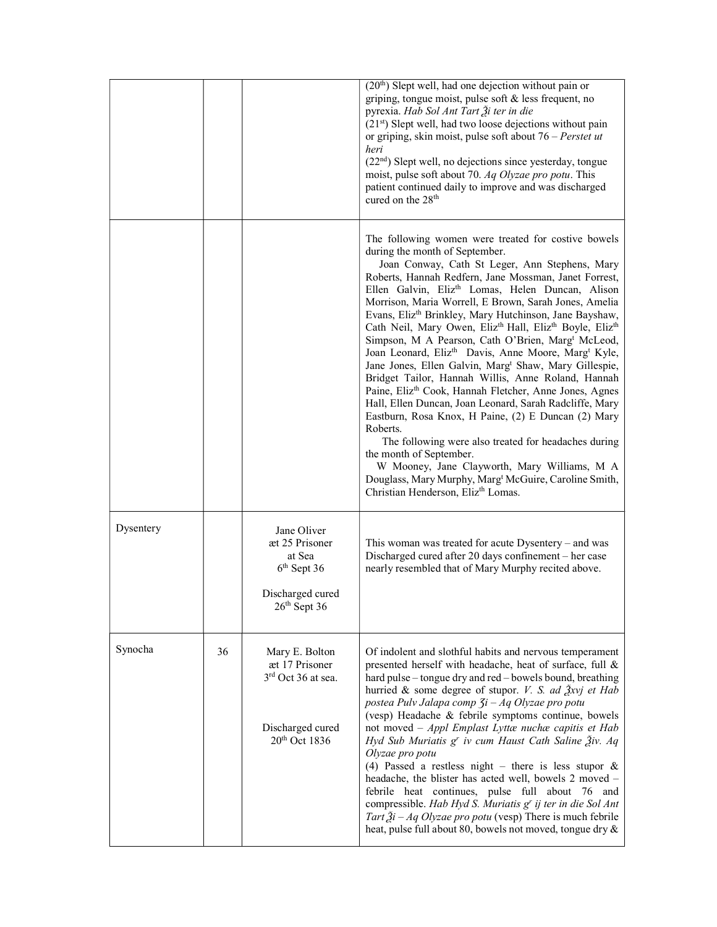|           |    |                                                                                                          | (20 <sup>th</sup> ) Slept well, had one dejection without pain or<br>griping, tongue moist, pulse soft $&$ less frequent, no<br>pyrexia. Hab Sol Ant Tart Ži ter in die<br>(21 <sup>st</sup> ) Slept well, had two loose dejections without pain<br>or griping, skin moist, pulse soft about $76$ – Perstet ut<br>heri<br>$(22nd)$ Slept well, no dejections since yesterday, tongue<br>moist, pulse soft about 70. Aq Olyzae pro potu. This<br>patient continued daily to improve and was discharged<br>cured on the 28 <sup>th</sup>                                                                                                                                                                                                                                                                                                                                                                                                                                                                                                                                                                                                                                                                                                  |
|-----------|----|----------------------------------------------------------------------------------------------------------|-----------------------------------------------------------------------------------------------------------------------------------------------------------------------------------------------------------------------------------------------------------------------------------------------------------------------------------------------------------------------------------------------------------------------------------------------------------------------------------------------------------------------------------------------------------------------------------------------------------------------------------------------------------------------------------------------------------------------------------------------------------------------------------------------------------------------------------------------------------------------------------------------------------------------------------------------------------------------------------------------------------------------------------------------------------------------------------------------------------------------------------------------------------------------------------------------------------------------------------------|
|           |    |                                                                                                          | The following women were treated for costive bowels<br>during the month of September.<br>Joan Conway, Cath St Leger, Ann Stephens, Mary<br>Roberts, Hannah Redfern, Jane Mossman, Janet Forrest,<br>Ellen Galvin, Eliz <sup>th</sup> Lomas, Helen Duncan, Alison<br>Morrison, Maria Worrell, E Brown, Sarah Jones, Amelia<br>Evans, Eliz <sup>th</sup> Brinkley, Mary Hutchinson, Jane Bayshaw,<br>Cath Neil, Mary Owen, Eliz <sup>th</sup> Hall, Eliz <sup>th</sup> Boyle, Eliz <sup>th</sup><br>Simpson, M A Pearson, Cath O'Brien, Marg <sup>t</sup> McLeod,<br>Joan Leonard, Eliz <sup>th</sup> Davis, Anne Moore, Marg <sup>t</sup> Kyle,<br>Jane Jones, Ellen Galvin, Marg <sup>t</sup> Shaw, Mary Gillespie,<br>Bridget Tailor, Hannah Willis, Anne Roland, Hannah<br>Paine, Eliz <sup>th</sup> Cook, Hannah Fletcher, Anne Jones, Agnes<br>Hall, Ellen Duncan, Joan Leonard, Sarah Radcliffe, Mary<br>Eastburn, Rosa Knox, H Paine, (2) E Duncan (2) Mary<br>Roberts.<br>The following were also treated for headaches during<br>the month of September.<br>W Mooney, Jane Clayworth, Mary Williams, M A<br>Douglass, Mary Murphy, Marg <sup>t</sup> McGuire, Caroline Smith,<br>Christian Henderson, Eliz <sup>th</sup> Lomas. |
| Dysentery |    | Jane Oliver<br>æt 25 Prisoner<br>at Sea<br>6 <sup>th</sup> Sept 36<br>Discharged cured<br>$26th$ Sept 36 | This woman was treated for acute Dysentery - and was<br>Discharged cured after 20 days confinement - her case<br>nearly resembled that of Mary Murphy recited above.                                                                                                                                                                                                                                                                                                                                                                                                                                                                                                                                                                                                                                                                                                                                                                                                                                                                                                                                                                                                                                                                    |
| Synocha   | 36 | Mary E. Bolton<br>æt 17 Prisoner<br>$3rd$ Oct 36 at sea.<br>Discharged cured<br>$20th$ Oct 1836          | Of indolent and slothful habits and nervous temperament<br>presented herself with headache, heat of surface, full &<br>hard pulse – tongue dry and red – bowels bound, breathing<br>hurried & some degree of stupor. <i>V. S. ad <math>\frac{3}{2}</math>xvj et Hab</i><br>postea Pulv Jalapa comp $3i$ - Aq Olyzae pro potu<br>(vesp) Headache & febrile symptoms continue, bowels<br>not moved - Appl Emplast Lyttæ nuchæ capitis et Hab<br>Hyd Sub Muriatis g' iv cum Haust Cath Saline Živ. Aq<br>Olyzae pro potu<br>(4) Passed a restless night – there is less stupor $\&$<br>headache, the blister has acted well, bowels 2 moved -<br>febrile heat continues, pulse full about 76 and<br>compressible. Hab Hyd S. Muriatis g' ij ter in die Sol Ant<br>Tart $2i$ – Aq Olyzae pro potu (vesp) There is much febrile<br>heat, pulse full about 80, bowels not moved, tongue dry &                                                                                                                                                                                                                                                                                                                                                 |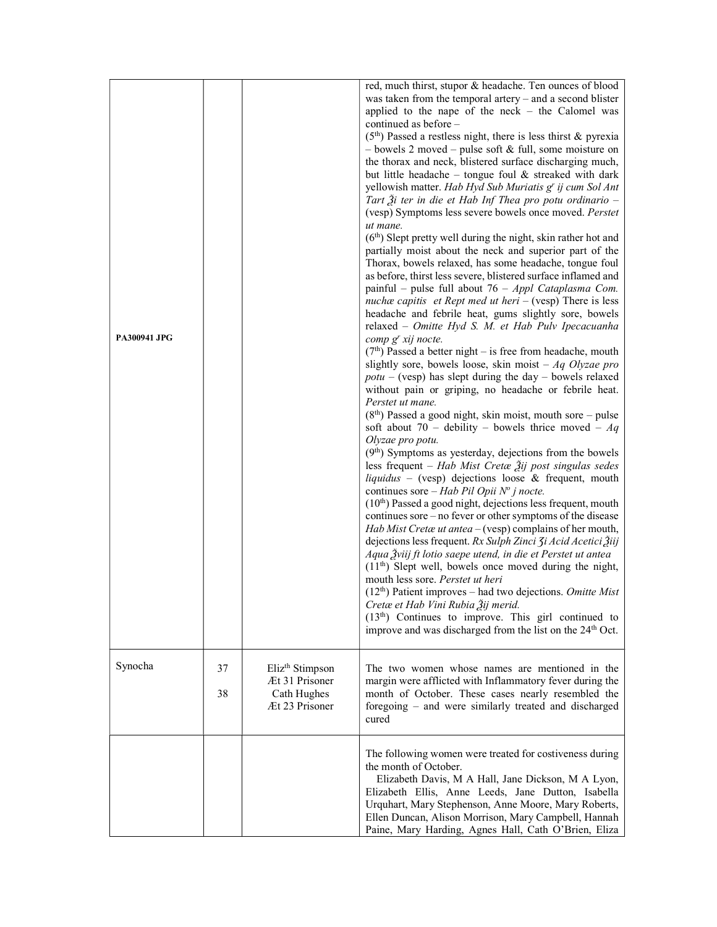| <b>PA300941 JPG</b> |          |                                                                                | red, much thirst, stupor & headache. Ten ounces of blood<br>was taken from the temporal artery – and a second blister<br>applied to the nape of the neck $-$ the Calomel was<br>continued as before -<br>$(5th)$ Passed a restless night, there is less thirst & pyrexia<br>$-$ bowels 2 moved $-$ pulse soft & full, some moisture on<br>the thorax and neck, blistered surface discharging much,<br>but little headache - tongue foul & streaked with dark<br>yellowish matter. Hab Hyd Sub Muriatis g' ij cum Sol Ant<br>Tart $\tilde{\mathcal{X}}$ i ter in die et Hab Inf Thea pro potu ordinario –<br>(vesp) Symptoms less severe bowels once moved. Perstet<br>ut mane.<br>$(6th)$ Slept pretty well during the night, skin rather hot and<br>partially moist about the neck and superior part of the<br>Thorax, bowels relaxed, has some headache, tongue foul<br>as before, thirst less severe, blistered surface inflamed and<br>painful – pulse full about $76 - Appl$ Cataplasma Com.<br>nuchæ capitis et Rept med ut heri $-$ (vesp) There is less<br>headache and febrile heat, gums slightly sore, bowels<br>relaxed - Omitte Hyd S. M. et Hab Pulv Ipecacuanha<br>comp g' xij nocte.<br>$(7th)$ Passed a better night – is free from headache, mouth<br>slightly sore, bowels loose, skin moist $-Aq$ Olyzae pro<br>$potu - (vesp)$ has slept during the day - bowels relaxed<br>without pain or griping, no headache or febrile heat.<br>Perstet ut mane.<br>$(8th)$ Passed a good night, skin moist, mouth sore – pulse<br>soft about 70 – debility – bowels thrice moved – $Aq$<br>Olyzae pro potu.<br>$(9th)$ Symptoms as yesterday, dejections from the bowels<br>less frequent - Hab Mist Cretæ $\tilde{A}$ ij post singulas sedes<br>liquidus - (vesp) dejections loose & frequent, mouth<br>continues sore – Hab Pil Opii $N^{\circ}$ j nocte.<br>$(10th)$ Passed a good night, dejections less frequent, mouth<br>continues sore – no fever or other symptoms of the disease<br>Hab Mist Cretae ut antea $-$ (vesp) complains of her mouth,<br>dejections less frequent. Rx Sulph Zinci 3i Acid Acetici Žiij<br>Aqua Žviij ft lotio saepe utend, in die et Perstet ut antea<br>$(11th)$ Slept well, bowels once moved during the night,<br>mouth less sore. Perstet ut heri<br>$(12th)$ Patient improves – had two dejections. Omitte Mist<br>Cretæ et Hab Vini Rubia Žij merid.<br>$(13th)$ Continues to improve. This girl continued to<br>improve and was discharged from the list on the 24 <sup>th</sup> Oct. |
|---------------------|----------|--------------------------------------------------------------------------------|---------------------------------------------------------------------------------------------------------------------------------------------------------------------------------------------------------------------------------------------------------------------------------------------------------------------------------------------------------------------------------------------------------------------------------------------------------------------------------------------------------------------------------------------------------------------------------------------------------------------------------------------------------------------------------------------------------------------------------------------------------------------------------------------------------------------------------------------------------------------------------------------------------------------------------------------------------------------------------------------------------------------------------------------------------------------------------------------------------------------------------------------------------------------------------------------------------------------------------------------------------------------------------------------------------------------------------------------------------------------------------------------------------------------------------------------------------------------------------------------------------------------------------------------------------------------------------------------------------------------------------------------------------------------------------------------------------------------------------------------------------------------------------------------------------------------------------------------------------------------------------------------------------------------------------------------------------------------------------------------------------------------------------------------------------------------------------------------------------------------------------------------------------------------------------------------------------------------------------------------------------------------------------------------------------------------------------------------------------------------------------------------------------------------------------------------------------------------------------------------------------------------------------------------|
| Synocha             | 37<br>38 | Eliz <sup>th</sup> Stimpson<br>Æt 31 Prisoner<br>Cath Hughes<br>Æt 23 Prisoner | The two women whose names are mentioned in the<br>margin were afflicted with Inflammatory fever during the<br>month of October. These cases nearly resembled the<br>foregoing - and were similarly treated and discharged<br>cured                                                                                                                                                                                                                                                                                                                                                                                                                                                                                                                                                                                                                                                                                                                                                                                                                                                                                                                                                                                                                                                                                                                                                                                                                                                                                                                                                                                                                                                                                                                                                                                                                                                                                                                                                                                                                                                                                                                                                                                                                                                                                                                                                                                                                                                                                                          |
|                     |          |                                                                                | The following women were treated for costiveness during<br>the month of October.<br>Elizabeth Davis, M A Hall, Jane Dickson, M A Lyon,<br>Elizabeth Ellis, Anne Leeds, Jane Dutton, Isabella<br>Urquhart, Mary Stephenson, Anne Moore, Mary Roberts,<br>Ellen Duncan, Alison Morrison, Mary Campbell, Hannah<br>Paine, Mary Harding, Agnes Hall, Cath O'Brien, Eliza                                                                                                                                                                                                                                                                                                                                                                                                                                                                                                                                                                                                                                                                                                                                                                                                                                                                                                                                                                                                                                                                                                                                                                                                                                                                                                                                                                                                                                                                                                                                                                                                                                                                                                                                                                                                                                                                                                                                                                                                                                                                                                                                                                        |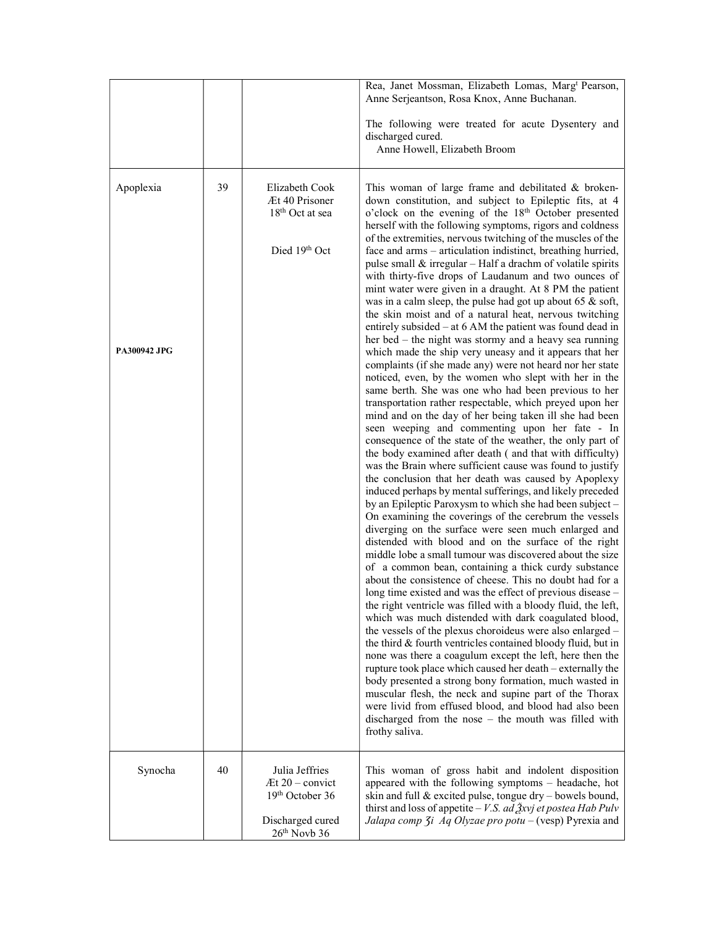|                                  |    |                                                                                              | Rea, Janet Mossman, Elizabeth Lomas, Marg <sup>t</sup> Pearson,<br>Anne Serjeantson, Rosa Knox, Anne Buchanan.<br>The following were treated for acute Dysentery and<br>discharged cured.<br>Anne Howell, Elizabeth Broom                                                                                                                                                                                                                                                                                                                                                                                                                                                                                                                                                                                                                                                                                                                                                                                                                                                                                                                                                                                                                                                                                                                                                                                                                                                                                                                                                                                                                                                                                                                                                                                                                                                                                                                                                                                                                                                                                                                                                                                                                                                                                                                                                                                                                                                                                                                                                                                                                                                 |
|----------------------------------|----|----------------------------------------------------------------------------------------------|---------------------------------------------------------------------------------------------------------------------------------------------------------------------------------------------------------------------------------------------------------------------------------------------------------------------------------------------------------------------------------------------------------------------------------------------------------------------------------------------------------------------------------------------------------------------------------------------------------------------------------------------------------------------------------------------------------------------------------------------------------------------------------------------------------------------------------------------------------------------------------------------------------------------------------------------------------------------------------------------------------------------------------------------------------------------------------------------------------------------------------------------------------------------------------------------------------------------------------------------------------------------------------------------------------------------------------------------------------------------------------------------------------------------------------------------------------------------------------------------------------------------------------------------------------------------------------------------------------------------------------------------------------------------------------------------------------------------------------------------------------------------------------------------------------------------------------------------------------------------------------------------------------------------------------------------------------------------------------------------------------------------------------------------------------------------------------------------------------------------------------------------------------------------------------------------------------------------------------------------------------------------------------------------------------------------------------------------------------------------------------------------------------------------------------------------------------------------------------------------------------------------------------------------------------------------------------------------------------------------------------------------------------------------------|
| Apoplexia<br><b>PA300942 JPG</b> | 39 | Elizabeth Cook<br>Æt 40 Prisoner<br>18 <sup>th</sup> Oct at sea<br>Died 19th Oct             | This woman of large frame and debilitated & broken-<br>down constitution, and subject to Epileptic fits, at 4<br>o'clock on the evening of the 18 <sup>th</sup> October presented<br>herself with the following symptoms, rigors and coldness<br>of the extremities, nervous twitching of the muscles of the<br>face and arms - articulation indistinct, breathing hurried,<br>pulse small & irregular - Half a drachm of volatile spirits<br>with thirty-five drops of Laudanum and two ounces of<br>mint water were given in a draught. At 8 PM the patient<br>was in a calm sleep, the pulse had got up about 65 $\&$ soft,<br>the skin moist and of a natural heat, nervous twitching<br>entirely subsided – at 6 AM the patient was found dead in<br>her bed – the night was stormy and a heavy sea running<br>which made the ship very uneasy and it appears that her<br>complaints (if she made any) were not heard nor her state<br>noticed, even, by the women who slept with her in the<br>same berth. She was one who had been previous to her<br>transportation rather respectable, which preyed upon her<br>mind and on the day of her being taken ill she had been<br>seen weeping and commenting upon her fate - In<br>consequence of the state of the weather, the only part of<br>the body examined after death (and that with difficulty)<br>was the Brain where sufficient cause was found to justify<br>the conclusion that her death was caused by Apoplexy<br>induced perhaps by mental sufferings, and likely preceded<br>by an Epileptic Paroxysm to which she had been subject -<br>On examining the coverings of the cerebrum the vessels<br>diverging on the surface were seen much enlarged and<br>distended with blood and on the surface of the right<br>middle lobe a small tumour was discovered about the size<br>of a common bean, containing a thick curdy substance<br>about the consistence of cheese. This no doubt had for a<br>long time existed and was the effect of previous disease -<br>the right ventricle was filled with a bloody fluid, the left,<br>which was much distended with dark coagulated blood,<br>the vessels of the plexus choroideus were also enlarged -<br>the third & fourth ventricles contained bloody fluid, but in<br>none was there a coagulum except the left, here then the<br>rupture took place which caused her death - externally the<br>body presented a strong bony formation, much wasted in<br>muscular flesh, the neck and supine part of the Thorax<br>were livid from effused blood, and blood had also been<br>discharged from the nose – the mouth was filled with<br>frothy saliva. |
| Synocha                          | 40 | Julia Jeffries<br>$At 20 - convict$<br>19th October 36<br>Discharged cured<br>$26th$ Novb 36 | This woman of gross habit and indolent disposition<br>appeared with the following symptoms - headache, hot<br>skin and full & excited pulse, tongue dry - bowels bound,<br>thirst and loss of appetite – <i>V.S. ad <math>\frac{3}{2}</math>xvj et postea Hab Pulv</i><br>Jalapa comp 3i Aq Olyzae pro potu - (vesp) Pyrexia and                                                                                                                                                                                                                                                                                                                                                                                                                                                                                                                                                                                                                                                                                                                                                                                                                                                                                                                                                                                                                                                                                                                                                                                                                                                                                                                                                                                                                                                                                                                                                                                                                                                                                                                                                                                                                                                                                                                                                                                                                                                                                                                                                                                                                                                                                                                                          |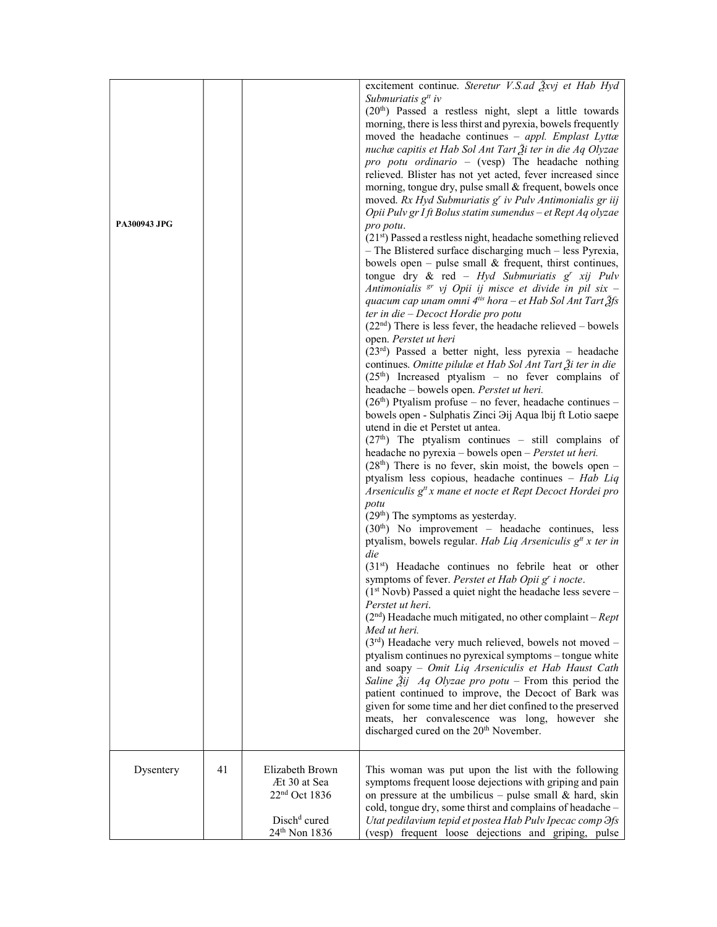| <b>PA300943 JPG</b> |    |                                                                                                                       | excitement continue. Steretur V.S.ad Žxvj et Hab Hyd<br>Submuriatis $g^{tt}$ iv<br>(20 <sup>th</sup> ) Passed a restless night, slept a little towards<br>morning, there is less thirst and pyrexia, bowels frequently<br>moved the headache continues - appl. Emplast Lyttæ<br>nuchæ capitis et Hab Sol Ant Tart $\tilde{\beta}$ i ter in die Aq Olyzae<br>pro potu ordinario - (vesp) The headache nothing<br>relieved. Blister has not yet acted, fever increased since<br>morning, tongue dry, pulse small & frequent, bowels once<br>moved. Rx Hyd Submuriatis g' iv Pulv Antimonialis gr iij<br>Opii Pulv gr I ft Bolus statim sumendus - et Rept Aq olyzae<br>pro potu.<br>$(21st)$ Passed a restless night, headache something relieved<br>- The Blistered surface discharging much - less Pyrexia,<br>bowels open – pulse small $\&$ frequent, thirst continues,<br>tongue dry & red - Hyd Submuriatis $g^r$ xij Pulv<br>Antimonialis <sup>gr</sup> vj Opii ij misce et divide in pil six -<br>quacum cap unam omni $4^{tis}$ hora – et Hab Sol Ant Tart $\tilde{2}$ fs<br>ter in die - Decoct Hordie pro potu<br>$(22nd)$ There is less fever, the headache relieved – bowels<br>open. Perstet ut heri<br>$(23rd)$ Passed a better night, less pyrexia – headache<br>continues. Omitte pilulæ et Hab Sol Ant Tart $\tilde{A}$ i ter in die<br>$(25th)$ Increased ptyalism – no fever complains of<br>headache - bowels open. Perstet ut heri.<br>$(26th)$ Ptyalism profuse – no fever, headache continues –<br>bowels open - Sulphatis Zinci <i>Dij Aqua lbij</i> ft Lotio saepe<br>utend in die et Perstet ut antea.<br>$(27th)$ The ptyalism continues - still complains of<br>headache no pyrexia – bowels open – Perstet ut heri.<br>$(28th)$ There is no fever, skin moist, the bowels open –<br>ptyalism less copious, headache continues - Hab Liq<br>Arseniculis g <sup>tt</sup> x mane et nocte et Rept Decoct Hordei pro<br>potu<br>(29 <sup>th</sup> ) The symptoms as yesterday.<br>$(30th)$ No improvement – headache continues, less<br>ptyalism, bowels regular. Hab Liq Arseniculis $gtt x$ ter in<br>die<br>$(31st)$ Headache continues no febrile heat or other<br>symptoms of fever. Perstet et Hab Opii g' i nocte.<br>$(1st Novb) Passed a quiet night the headache less severe –$<br>Perstet ut heri.<br>$(2nd)$ Headache much mitigated, no other complaint – <i>Rept</i><br>Med ut heri.<br>$(3rd)$ Headache very much relieved, bowels not moved -<br>ptyalism continues no pyrexical symptoms - tongue white<br>and soapy - Omit Liq Arseniculis et Hab Haust Cath<br>Saline $\tilde{A}$ ij Aq Olyzae pro potu – From this period the<br>patient continued to improve, the Decoct of Bark was<br>given for some time and her diet confined to the preserved |
|---------------------|----|-----------------------------------------------------------------------------------------------------------------------|-------------------------------------------------------------------------------------------------------------------------------------------------------------------------------------------------------------------------------------------------------------------------------------------------------------------------------------------------------------------------------------------------------------------------------------------------------------------------------------------------------------------------------------------------------------------------------------------------------------------------------------------------------------------------------------------------------------------------------------------------------------------------------------------------------------------------------------------------------------------------------------------------------------------------------------------------------------------------------------------------------------------------------------------------------------------------------------------------------------------------------------------------------------------------------------------------------------------------------------------------------------------------------------------------------------------------------------------------------------------------------------------------------------------------------------------------------------------------------------------------------------------------------------------------------------------------------------------------------------------------------------------------------------------------------------------------------------------------------------------------------------------------------------------------------------------------------------------------------------------------------------------------------------------------------------------------------------------------------------------------------------------------------------------------------------------------------------------------------------------------------------------------------------------------------------------------------------------------------------------------------------------------------------------------------------------------------------------------------------------------------------------------------------------------------------------------------------------------------------------------------------------------------------------------------------------------------------------------------------------------------------------------------------------------------------------------------------------------------------------------------------------------------------------------|
|                     |    |                                                                                                                       | meats, her convalescence was long, however she<br>discharged cured on the 20 <sup>th</sup> November.                                                                                                                                                                                                                                                                                                                                                                                                                                                                                                                                                                                                                                                                                                                                                                                                                                                                                                                                                                                                                                                                                                                                                                                                                                                                                                                                                                                                                                                                                                                                                                                                                                                                                                                                                                                                                                                                                                                                                                                                                                                                                                                                                                                                                                                                                                                                                                                                                                                                                                                                                                                                                                                                                            |
| Dysentery           | 41 | Elizabeth Brown<br>Æt 30 at Sea<br>22 <sup>nd</sup> Oct 1836<br>Disch <sup>d</sup> cured<br>24 <sup>th</sup> Non 1836 | This woman was put upon the list with the following<br>symptoms frequent loose dejections with griping and pain<br>on pressure at the umbilicus - pulse small $\&$ hard, skin<br>cold, tongue dry, some thirst and complains of headache -<br>Utat pedilavium tepid et postea Hab Pulv Ipecac comp Hs<br>(vesp) frequent loose dejections and griping, pulse                                                                                                                                                                                                                                                                                                                                                                                                                                                                                                                                                                                                                                                                                                                                                                                                                                                                                                                                                                                                                                                                                                                                                                                                                                                                                                                                                                                                                                                                                                                                                                                                                                                                                                                                                                                                                                                                                                                                                                                                                                                                                                                                                                                                                                                                                                                                                                                                                                    |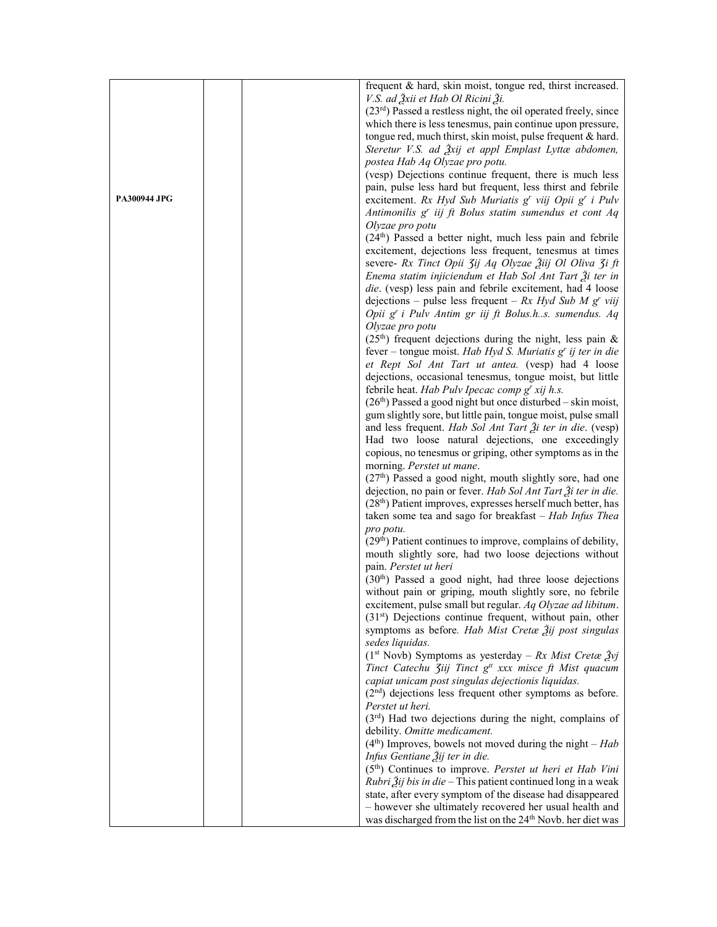|                     | frequent & hard, skin moist, tongue red, thirst increased.                            |
|---------------------|---------------------------------------------------------------------------------------|
|                     | V.S. ad $\tilde{3}$ xii et Hab Ol Ricini $\tilde{3}$ i.                               |
|                     | $(23rd)$ Passed a restless night, the oil operated freely, since                      |
|                     | which there is less tenesmus, pain continue upon pressure,                            |
|                     | tongue red, much thirst, skin moist, pulse frequent & hard.                           |
|                     | Steretur V.S. ad Žxij et appl Emplast Lyttæ abdomen,                                  |
|                     | postea Hab Aq Olyzae pro potu.                                                        |
|                     | (vesp) Dejections continue frequent, there is much less                               |
|                     | pain, pulse less hard but frequent, less thirst and febrile                           |
| <b>PA300944 JPG</b> | excitement. Rx Hyd Sub Muriatis g' viij Opii g' i Pulv                                |
|                     | Antimonilis g <sup>r</sup> iij ft Bolus statim sumendus et cont Aq                    |
|                     |                                                                                       |
|                     | Olyzae pro potu                                                                       |
|                     | $(24th)$ Passed a better night, much less pain and febrile                            |
|                     | excitement, dejections less frequent, tenesmus at times                               |
|                     | severe- Rx Tinct Opii 3ij Aq Olyzae Žiij Ol Oliva 3i ft                               |
|                     | Enema statim injiciendum et Hab Sol Ant Tart $\tilde{\beta}$ i ter in                 |
|                     | die. (vesp) less pain and febrile excitement, had 4 loose                             |
|                     | dejections – pulse less frequent – $Rx$ Hyd Sub M g' viij                             |
|                     | Opii g' i Pulv Antim gr iij ft Bolus.hs. sumendus. Aq                                 |
|                     | Olyzae pro potu                                                                       |
|                     | $(25th)$ frequent dejections during the night, less pain &                            |
|                     | fever – tongue moist. Hab Hyd S. Muriatis $gr$ ij ter in die                          |
|                     | et Rept Sol Ant Tart ut antea. (vesp) had 4 loose                                     |
|                     | dejections, occasional tenesmus, tongue moist, but little                             |
|                     | febrile heat. Hab Pulv Ipecac comp g' xij h.s.                                        |
|                     | $(26th)$ Passed a good night but once disturbed – skin moist,                         |
|                     | gum slightly sore, but little pain, tongue moist, pulse small                         |
|                     | and less frequent. Hab Sol Ant Tart $\tilde{\beta}$ i ter in die. (vesp)              |
|                     | Had two loose natural dejections, one exceedingly                                     |
|                     | copious, no tenesmus or griping, other symptoms as in the                             |
|                     | morning. Perstet ut mane.                                                             |
|                     | $(27th)$ Passed a good night, mouth slightly sore, had one                            |
|                     | dejection, no pain or fever. Hab Sol Ant Tart Ži ter in die.                          |
|                     | $(28th)$ Patient improves, expresses herself much better, has                         |
|                     | taken some tea and sago for breakfast $-$ Hab Infus Thea                              |
|                     |                                                                                       |
|                     | pro potu.                                                                             |
|                     | $(29th)$ Patient continues to improve, complains of debility,                         |
|                     | mouth slightly sore, had two loose dejections without                                 |
|                     | pain. Perstet ut heri                                                                 |
|                     | $(30th)$ Passed a good night, had three loose dejections                              |
|                     | without pain or griping, mouth slightly sore, no febrile                              |
|                     | excitement, pulse small but regular. Aq Olyzae ad libitum.                            |
|                     | $(31st)$ Dejections continue frequent, without pain, other                            |
|                     | symptoms as before. Hab Mist Cretae 2ij post singulas                                 |
|                     | sedes liquidas.                                                                       |
|                     | $(1st Novb)$ Symptoms as yesterday – Rx Mist Cretæ $\tilde{Z}$ vj                     |
|                     | Tinct Catechu Jiij Tinct g <sup>tt</sup> xxx misce ft Mist quacum                     |
|                     | capiat unicam post singulas dejectionis liquidas.                                     |
|                     | $(2nd)$ dejections less frequent other symptoms as before.                            |
|                     | Perstet ut heri.                                                                      |
|                     | $(3rd)$ Had two dejections during the night, complains of                             |
|                     | debility. Omitte medicament.                                                          |
|                     | $(4th)$ Improves, bowels not moved during the night – Hab                             |
|                     | Infus Gentiane Žij ter in die.                                                        |
|                     | (5 <sup>th</sup> ) Continues to improve. Perstet ut heri et Hab Vini                  |
|                     | <i>Rubri</i> $\tilde{A}$ <i>ij bis in die</i> – This patient continued long in a weak |
|                     | state, after every symptom of the disease had disappeared                             |
|                     | - however she ultimately recovered her usual health and                               |
|                     | was discharged from the list on the 24 <sup>th</sup> Novb. her diet was               |
|                     |                                                                                       |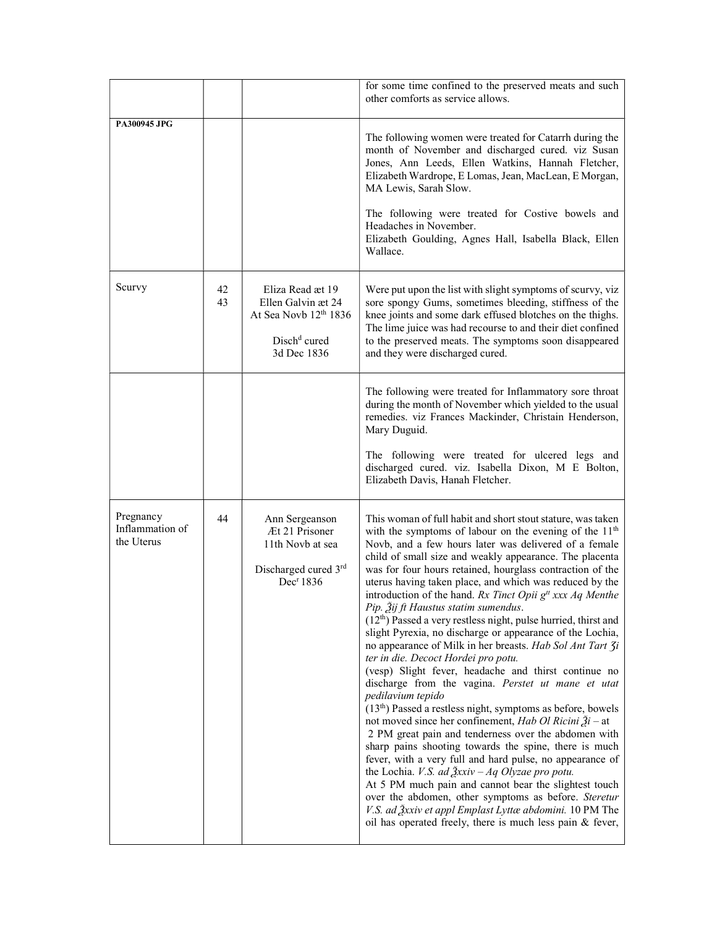|                                            |          |                                                                                                            | for some time confined to the preserved meats and such<br>other comforts as service allows.                                                                                                                                                                                                                                                                                                                                                                                                                                                                                                                                                                                                                                                                                                                                                                                                                                                                                                                                                                                                                                                                                                                                                                                                                                                                                                                                                                                                                 |
|--------------------------------------------|----------|------------------------------------------------------------------------------------------------------------|-------------------------------------------------------------------------------------------------------------------------------------------------------------------------------------------------------------------------------------------------------------------------------------------------------------------------------------------------------------------------------------------------------------------------------------------------------------------------------------------------------------------------------------------------------------------------------------------------------------------------------------------------------------------------------------------------------------------------------------------------------------------------------------------------------------------------------------------------------------------------------------------------------------------------------------------------------------------------------------------------------------------------------------------------------------------------------------------------------------------------------------------------------------------------------------------------------------------------------------------------------------------------------------------------------------------------------------------------------------------------------------------------------------------------------------------------------------------------------------------------------------|
| PA300945 JPG                               |          |                                                                                                            | The following women were treated for Catarrh during the<br>month of November and discharged cured. viz Susan<br>Jones, Ann Leeds, Ellen Watkins, Hannah Fletcher,<br>Elizabeth Wardrope, E Lomas, Jean, MacLean, E Morgan,<br>MA Lewis, Sarah Slow.<br>The following were treated for Costive bowels and<br>Headaches in November.<br>Elizabeth Goulding, Agnes Hall, Isabella Black, Ellen<br>Wallace.                                                                                                                                                                                                                                                                                                                                                                                                                                                                                                                                                                                                                                                                                                                                                                                                                                                                                                                                                                                                                                                                                                     |
| Scurvy                                     | 42<br>43 | Eliza Read æt 19<br>Ellen Galvin æt 24<br>At Sea Novb 12th 1836<br>Disch <sup>d</sup> cured<br>3d Dec 1836 | Were put upon the list with slight symptoms of scurvy, viz<br>sore spongy Gums, sometimes bleeding, stiffness of the<br>knee joints and some dark effused blotches on the thighs.<br>The lime juice was had recourse to and their diet confined<br>to the preserved meats. The symptoms soon disappeared<br>and they were discharged cured.                                                                                                                                                                                                                                                                                                                                                                                                                                                                                                                                                                                                                                                                                                                                                                                                                                                                                                                                                                                                                                                                                                                                                                 |
|                                            |          |                                                                                                            | The following were treated for Inflammatory sore throat<br>during the month of November which yielded to the usual<br>remedies. viz Frances Mackinder, Christain Henderson,<br>Mary Duguid.<br>The following were treated for ulcered legs and<br>discharged cured. viz. Isabella Dixon, M E Bolton,<br>Elizabeth Davis, Hanah Fletcher.                                                                                                                                                                                                                                                                                                                                                                                                                                                                                                                                                                                                                                                                                                                                                                                                                                                                                                                                                                                                                                                                                                                                                                    |
| Pregnancy<br>Inflammation of<br>the Uterus | 44       | Ann Sergeanson<br>Æt 21 Prisoner<br>11th Novb at sea<br>Discharged cured 3rd<br>Dec <sup>r</sup> 1836      | This woman of full habit and short stout stature, was taken<br>with the symptoms of labour on the evening of the $11th$<br>Novb, and a few hours later was delivered of a female<br>child of small size and weakly appearance. The placenta<br>was for four hours retained, hourglass contraction of the<br>uterus having taken place, and which was reduced by the<br>introduction of the hand. Rx Tinct Opii $gtt$ xxx Aq Menthe<br>Pip. Žij ft Haustus statim sumendus.<br>$(12th)$ Passed a very restless night, pulse hurried, thirst and<br>slight Pyrexia, no discharge or appearance of the Lochia,<br>no appearance of Milk in her breasts. Hab Sol Ant Tart 3i<br>ter in die. Decoct Hordei pro potu.<br>(vesp) Slight fever, headache and thirst continue no<br>discharge from the vagina. Perstet ut mane et utat<br>pedilavium tepido<br>$(13th)$ Passed a restless night, symptoms as before, bowels<br>not moved since her confinement, Hab Ol Ricini $\tilde{A}$ i – at<br>2 PM great pain and tenderness over the abdomen with<br>sharp pains shooting towards the spine, there is much<br>fever, with a very full and hard pulse, no appearance of<br>the Lochia. <i>V.S. ad <math>\frac{3}{2}</math>xxiv – Aq Olyzae pro potu.</i><br>At 5 PM much pain and cannot bear the slightest touch<br>over the abdomen, other symptoms as before. Steretur<br>V.S. ad $\frac{3}{2}$ xxiv et appl Emplast Lyttæ abdomini. 10 PM The<br>oil has operated freely, there is much less pain & fever, |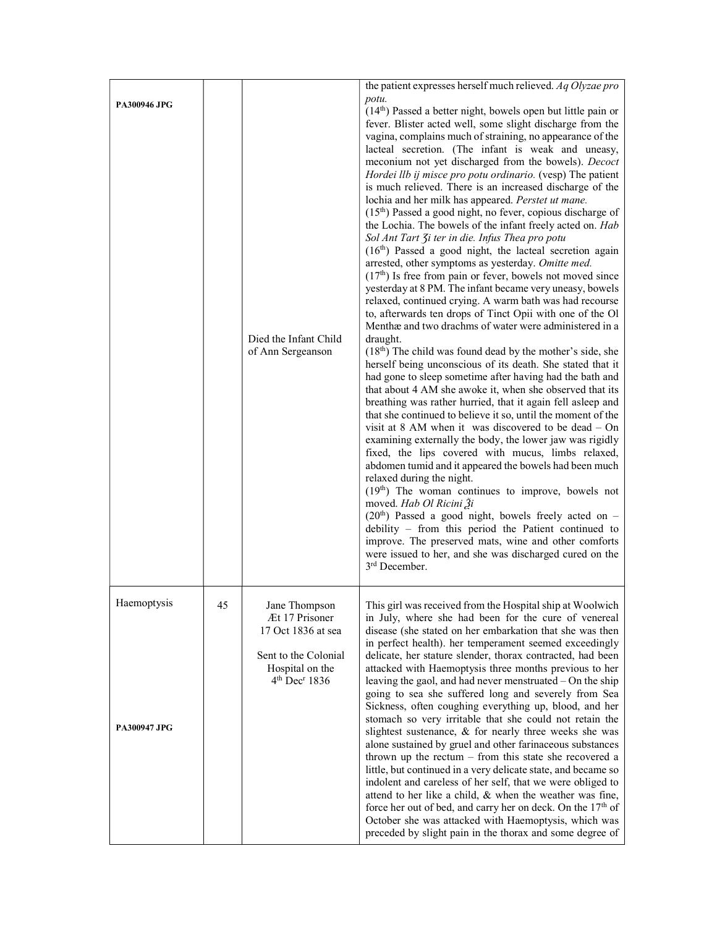|                             |    |                                                                                                                                            | the patient expresses herself much relieved. Aq Olyzae pro                                                                                                                                                                                                                                                                                                                                                                                                                                                                                                                                                                                                                                                                                                                                                                                                                                                                                                                                                                                                                                                                                                                                                                                                                                                                                                                                                                                                                                                                                                                                                                                                                                                                                                                                                                                                                                                                                                                                                                                            |
|-----------------------------|----|--------------------------------------------------------------------------------------------------------------------------------------------|-------------------------------------------------------------------------------------------------------------------------------------------------------------------------------------------------------------------------------------------------------------------------------------------------------------------------------------------------------------------------------------------------------------------------------------------------------------------------------------------------------------------------------------------------------------------------------------------------------------------------------------------------------------------------------------------------------------------------------------------------------------------------------------------------------------------------------------------------------------------------------------------------------------------------------------------------------------------------------------------------------------------------------------------------------------------------------------------------------------------------------------------------------------------------------------------------------------------------------------------------------------------------------------------------------------------------------------------------------------------------------------------------------------------------------------------------------------------------------------------------------------------------------------------------------------------------------------------------------------------------------------------------------------------------------------------------------------------------------------------------------------------------------------------------------------------------------------------------------------------------------------------------------------------------------------------------------------------------------------------------------------------------------------------------------|
| <b>PA300946 JPG</b>         |    | Died the Infant Child<br>of Ann Sergeanson                                                                                                 | potu.<br>(14th) Passed a better night, bowels open but little pain or<br>fever. Blister acted well, some slight discharge from the<br>vagina, complains much of straining, no appearance of the<br>lacteal secretion. (The infant is weak and uneasy,<br>meconium not yet discharged from the bowels). Decoct<br>Hordei llb ij misce pro potu ordinario. (vesp) The patient<br>is much relieved. There is an increased discharge of the<br>lochia and her milk has appeared. Perstet ut mane.<br>(15 <sup>th</sup> ) Passed a good night, no fever, copious discharge of<br>the Lochia. The bowels of the infant freely acted on. Hab<br>Sol Ant Tart 3i ter in die. Infus Thea pro potu<br>$(16th)$ Passed a good night, the lacteal secretion again<br>arrested, other symptoms as yesterday. Omitte med.<br>$(17th)$ Is free from pain or fever, bowels not moved since<br>yesterday at 8 PM. The infant became very uneasy, bowels<br>relaxed, continued crying. A warm bath was had recourse<br>to, afterwards ten drops of Tinct Opii with one of the Ol<br>Menthæ and two drachms of water were administered in a<br>draught.<br>$(18th)$ The child was found dead by the mother's side, she<br>herself being unconscious of its death. She stated that it<br>had gone to sleep sometime after having had the bath and<br>that about 4 AM she awoke it, when she observed that its<br>breathing was rather hurried, that it again fell asleep and<br>that she continued to believe it so, until the moment of the<br>visit at 8 AM when it was discovered to be dead - On<br>examining externally the body, the lower jaw was rigidly<br>fixed, the lips covered with mucus, limbs relaxed,<br>abdomen tumid and it appeared the bowels had been much<br>relaxed during the night.<br>$(19th)$ The woman continues to improve, bowels not<br>moved. Hab Ol Ricini Ži<br>$(20th)$ Passed a good night, bowels freely acted on -<br>debility - from this period the Patient continued to<br>improve. The preserved mats, wine and other comforts |
|                             |    |                                                                                                                                            | were issued to her, and she was discharged cured on the<br>3 <sup>rd</sup> December.                                                                                                                                                                                                                                                                                                                                                                                                                                                                                                                                                                                                                                                                                                                                                                                                                                                                                                                                                                                                                                                                                                                                                                                                                                                                                                                                                                                                                                                                                                                                                                                                                                                                                                                                                                                                                                                                                                                                                                  |
| Haemoptysis<br>PA300947 JPG | 45 | Jane I hompson<br>Æt 17 Prisoner<br>17 Oct 1836 at sea<br>Sent to the Colonial<br>Hospital on the<br>4 <sup>th</sup> Dec <sup>r</sup> 1836 | This girl was received from the Hospital ship at Woolwich<br>in July, where she had been for the cure of venereal<br>disease (she stated on her embarkation that she was then<br>in perfect health). her temperament seemed exceedingly<br>delicate, her stature slender, thorax contracted, had been<br>attacked with Haemoptysis three months previous to her<br>leaving the gaol, and had never menstruated - On the ship<br>going to sea she suffered long and severely from Sea<br>Sickness, often coughing everything up, blood, and her<br>stomach so very irritable that she could not retain the<br>slightest sustenance, & for nearly three weeks she was<br>alone sustained by gruel and other farinaceous substances<br>thrown up the rectum $-$ from this state she recovered a<br>little, but continued in a very delicate state, and became so<br>indolent and careless of her self, that we were obliged to<br>attend to her like a child, & when the weather was fine,<br>force her out of bed, and carry her on deck. On the $17th$ of<br>October she was attacked with Haemoptysis, which was<br>preceded by slight pain in the thorax and some degree of                                                                                                                                                                                                                                                                                                                                                                                                                                                                                                                                                                                                                                                                                                                                                                                                                                                                          |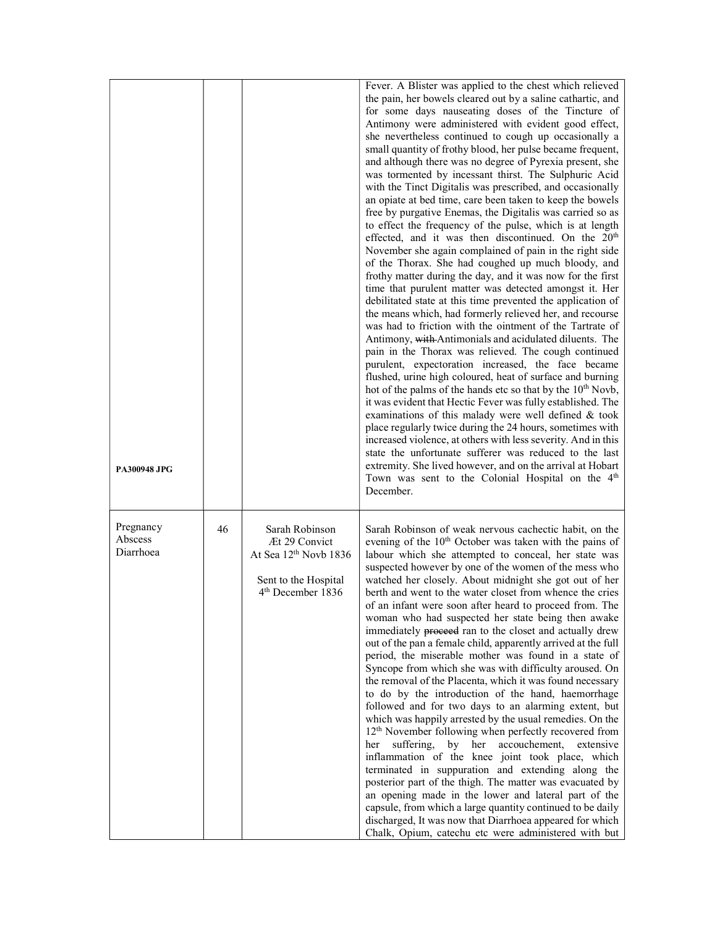| PA300948 JPG                      |    |                                                                                                                               | Fever. A Blister was applied to the chest which relieved<br>the pain, her bowels cleared out by a saline cathartic, and<br>for some days nauseating doses of the Tincture of<br>Antimony were administered with evident good effect,<br>she nevertheless continued to cough up occasionally a<br>small quantity of frothy blood, her pulse became frequent,<br>and although there was no degree of Pyrexia present, she<br>was tormented by incessant thirst. The Sulphuric Acid<br>with the Tinct Digitalis was prescribed, and occasionally<br>an opiate at bed time, care been taken to keep the bowels<br>free by purgative Enemas, the Digitalis was carried so as<br>to effect the frequency of the pulse, which is at length<br>effected, and it was then discontinued. On the 20 <sup>th</sup><br>November she again complained of pain in the right side<br>of the Thorax. She had coughed up much bloody, and<br>frothy matter during the day, and it was now for the first<br>time that purulent matter was detected amongst it. Her<br>debilitated state at this time prevented the application of<br>the means which, had formerly relieved her, and recourse<br>was had to friction with the ointment of the Tartrate of<br>Antimony, with Antimonials and acidulated diluents. The<br>pain in the Thorax was relieved. The cough continued<br>purulent, expectoration increased, the face became<br>flushed, urine high coloured, heat of surface and burning<br>hot of the palms of the hands etc so that by the 10 <sup>th</sup> Novb,<br>it was evident that Hectic Fever was fully established. The<br>examinations of this malady were well defined & took<br>place regularly twice during the 24 hours, sometimes with<br>increased violence, at others with less severity. And in this<br>state the unfortunate sufferer was reduced to the last<br>extremity. She lived however, and on the arrival at Hobart<br>Town was sent to the Colonial Hospital on the 4 <sup>th</sup><br>December. |
|-----------------------------------|----|-------------------------------------------------------------------------------------------------------------------------------|--------------------------------------------------------------------------------------------------------------------------------------------------------------------------------------------------------------------------------------------------------------------------------------------------------------------------------------------------------------------------------------------------------------------------------------------------------------------------------------------------------------------------------------------------------------------------------------------------------------------------------------------------------------------------------------------------------------------------------------------------------------------------------------------------------------------------------------------------------------------------------------------------------------------------------------------------------------------------------------------------------------------------------------------------------------------------------------------------------------------------------------------------------------------------------------------------------------------------------------------------------------------------------------------------------------------------------------------------------------------------------------------------------------------------------------------------------------------------------------------------------------------------------------------------------------------------------------------------------------------------------------------------------------------------------------------------------------------------------------------------------------------------------------------------------------------------------------------------------------------------------------------------------------------------------------------------------------------------------------------------------------------|
| Pregnancy<br>Abscess<br>Diarrhoea | 46 | Sarah Robinson<br>Æt 29 Convict<br>At Sea 12 <sup>th</sup> Novb 1836<br>Sent to the Hospital<br>4 <sup>th</sup> December 1836 | Sarah Robinson of weak nervous cachectic habit, on the<br>evening of the 10 <sup>th</sup> October was taken with the pains of<br>labour which she attempted to conceal, her state was<br>suspected however by one of the women of the mess who<br>watched her closely. About midnight she got out of her<br>berth and went to the water closet from whence the cries<br>of an infant were soon after heard to proceed from. The<br>woman who had suspected her state being then awake<br>immediately proceed ran to the closet and actually drew<br>out of the pan a female child, apparently arrived at the full<br>period, the miserable mother was found in a state of<br>Syncope from which she was with difficulty aroused. On<br>the removal of the Placenta, which it was found necessary<br>to do by the introduction of the hand, haemorrhage<br>followed and for two days to an alarming extent, but<br>which was happily arrested by the usual remedies. On the<br>12 <sup>th</sup> November following when perfectly recovered from<br>suffering,<br>by her accouchement,<br>extensive<br>her<br>inflammation of the knee joint took place, which<br>terminated in suppuration and extending along the<br>posterior part of the thigh. The matter was evacuated by<br>an opening made in the lower and lateral part of the<br>capsule, from which a large quantity continued to be daily<br>discharged, It was now that Diarrhoea appeared for which<br>Chalk, Opium, catechu etc were administered with but                                                                                                                                                                                                                                                                                                                                                                                                                                                                                           |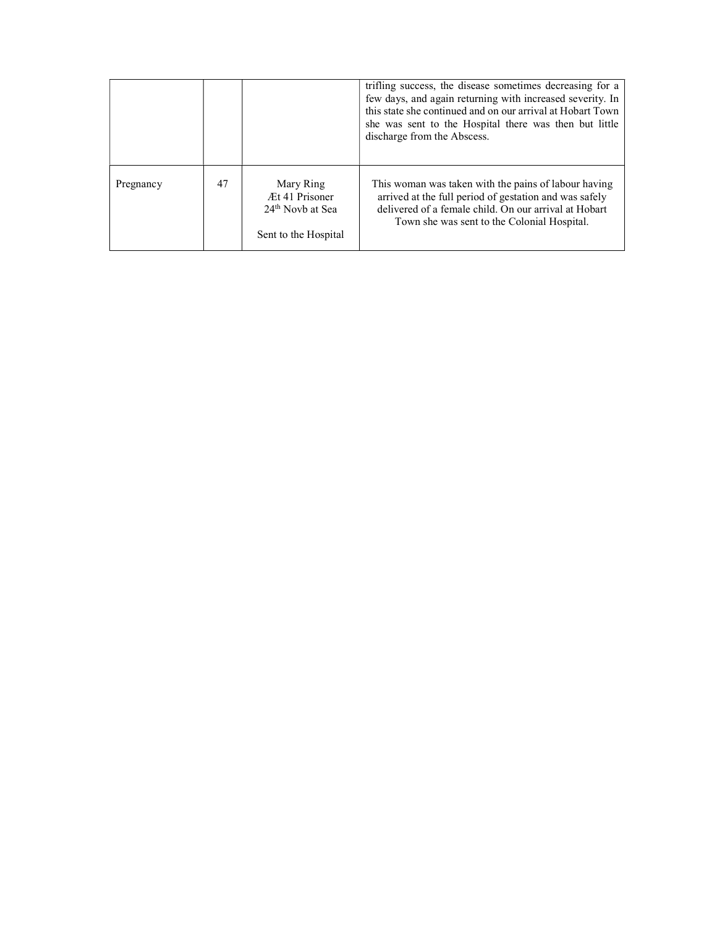|           |    |                                                                                     | trifling success, the disease sometimes decreasing for a<br>few days, and again returning with increased severity. In<br>this state she continued and on our arrival at Hobart Town<br>she was sent to the Hospital there was then but little<br>discharge from the Abscess. |
|-----------|----|-------------------------------------------------------------------------------------|------------------------------------------------------------------------------------------------------------------------------------------------------------------------------------------------------------------------------------------------------------------------------|
| Pregnancy | 47 | Mary Ring<br>Æt 41 Prisoner<br>24 <sup>th</sup> Novb at Sea<br>Sent to the Hospital | This woman was taken with the pains of labour having<br>arrived at the full period of gestation and was safely<br>delivered of a female child. On our arrival at Hobart<br>Town she was sent to the Colonial Hospital.                                                       |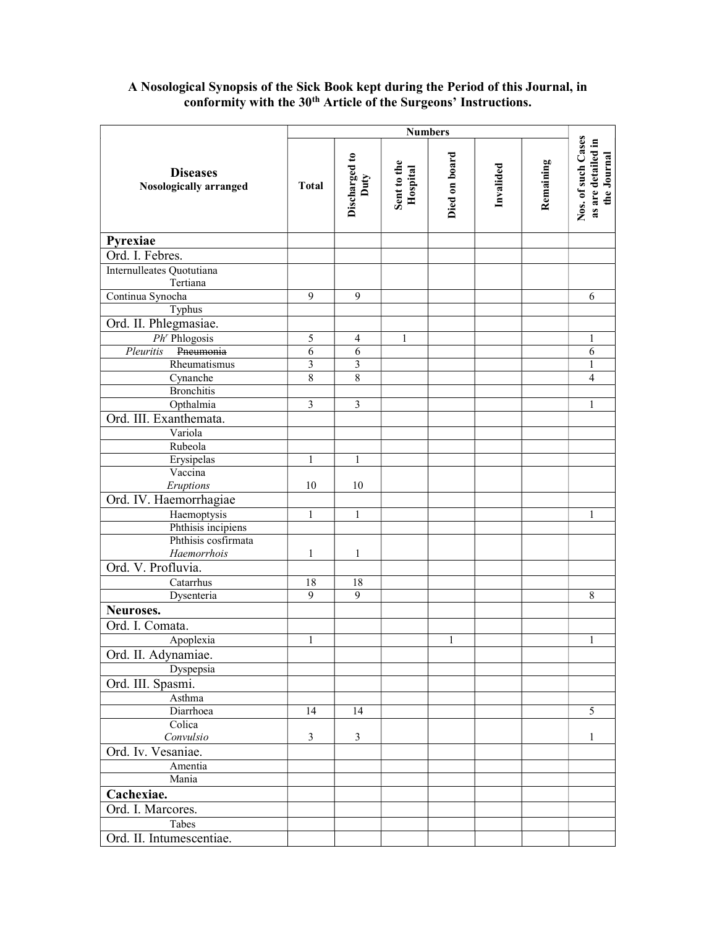## **Diseases** Nosologically arranged Numbers<br>
Discharged to<br>
Duty<br>
Duty<br>
Hospital<br>
Died on board<br>
Died on board<br>
Invalided<br>
Invalided<br>
Remaining<br>
Remaining<br>
Remaining<br>
Nos. of such Cases<br>
as are detailed in Pyrexiae Ord. I. Febres. Internulleates Quotutiana Tertiana Continua Synocha 9 9 9 6 6 6 Typhus Ord. II. Phlegmasiae. Ph<sup>r</sup> Phlogosis 5 4 1 1 Pleuritis Pneumonia 6 6 6 Rheumatismus 3 3 3 1 3 1 1 Cynanche 8 8 8 9 10 1 2 4 Bronchitis Opthalmia 1 3 3 3 1 1 1 1 1 Ord. III. Exanthemata. Variola Rubeola Erysipelas 1 1 1 Vaccina  $E$ *ruptions*  $\vert$  10  $\vert$  10 Ord. IV. Haemorrhagiae Haemoptysis 1 1 1 Phthisis incipiens Phthisis cosfirmata Haemorrhois 1 1 1 Ord. V. Profluvia. Catarrhus 18 18 Dysenteria 1999 | 1988 Neuroses. Ord. I. Comata. Apoplexia 1 1 1 1 1 1 1 1 Ord. II. Adynamiae. Dyspepsia Ord. III. Spasmi. Asthma Diarrhoea 14 14 14 14 15 **Colica**  $Convulsio$  3 3 3 1 1 1 Ord. Iv. Vesaniae. Amentia Mania Cachexiae. Ord. I. Marcores. Tabes Ord. II. Intumescentiae.

### A Nosological Synopsis of the Sick Book kept during the Period of this Journal, in conformity with the 30<sup>th</sup> Article of the Surgeons' Instructions.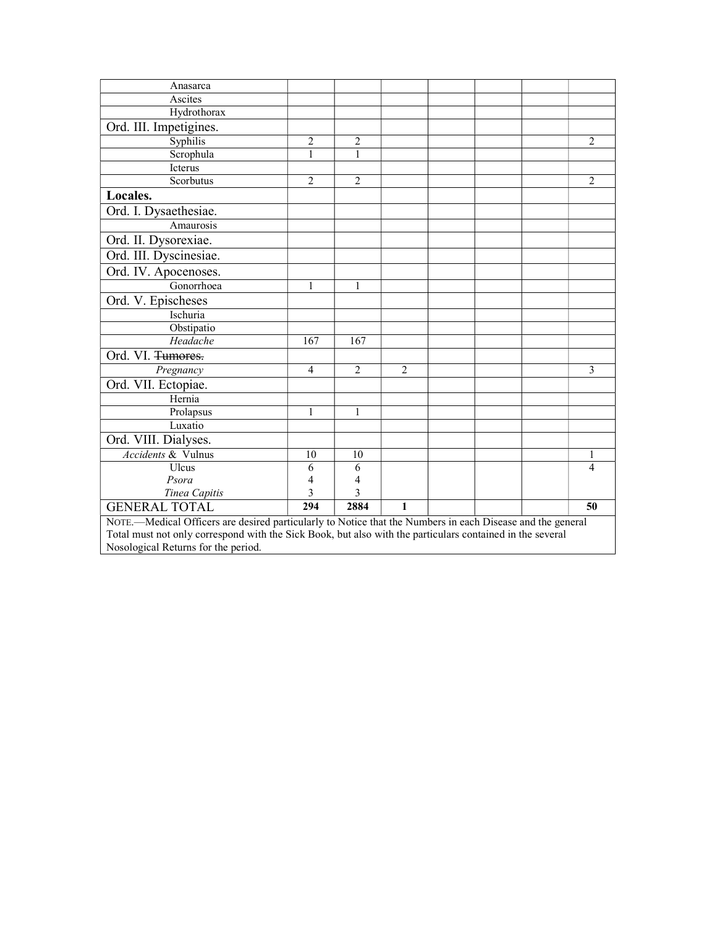| Anasarca                                                                                                   |                |                |                |  |  |  |                |  |
|------------------------------------------------------------------------------------------------------------|----------------|----------------|----------------|--|--|--|----------------|--|
| Ascites                                                                                                    |                |                |                |  |  |  |                |  |
| Hydrothorax                                                                                                |                |                |                |  |  |  |                |  |
| Ord. III. Impetigines.                                                                                     |                |                |                |  |  |  |                |  |
| Syphilis                                                                                                   | 2              | 2              |                |  |  |  | 2              |  |
| Scrophula                                                                                                  | $\mathbf{1}$   | 1              |                |  |  |  |                |  |
| Icterus                                                                                                    |                |                |                |  |  |  |                |  |
| Scorbutus                                                                                                  | $\overline{2}$ | $\overline{2}$ |                |  |  |  | $\overline{2}$ |  |
| Locales.                                                                                                   |                |                |                |  |  |  |                |  |
| Ord. I. Dysaethesiae.                                                                                      |                |                |                |  |  |  |                |  |
| Amaurosis                                                                                                  |                |                |                |  |  |  |                |  |
| Ord. II. Dysorexiae.                                                                                       |                |                |                |  |  |  |                |  |
| Ord. III. Dyscinesiae.                                                                                     |                |                |                |  |  |  |                |  |
| Ord. IV. Apocenoses.                                                                                       |                |                |                |  |  |  |                |  |
| Gonorrhoea                                                                                                 | 1              | 1              |                |  |  |  |                |  |
| Ord. V. Epischeses                                                                                         |                |                |                |  |  |  |                |  |
| Ischuria                                                                                                   |                |                |                |  |  |  |                |  |
| Obstipatio                                                                                                 |                |                |                |  |  |  |                |  |
| Headache                                                                                                   | 167            | 167            |                |  |  |  |                |  |
| Ord. VI. Tumores.                                                                                          |                |                |                |  |  |  |                |  |
| Pregnancy                                                                                                  | $\overline{4}$ | $\overline{2}$ | $\overline{2}$ |  |  |  | 3              |  |
| Ord. VII. Ectopiae.                                                                                        |                |                |                |  |  |  |                |  |
| Hernia                                                                                                     |                |                |                |  |  |  |                |  |
| Prolapsus                                                                                                  | 1              | $\mathbf{1}$   |                |  |  |  |                |  |
| Luxatio                                                                                                    |                |                |                |  |  |  |                |  |
| Ord. VIII. Dialyses.                                                                                       |                |                |                |  |  |  |                |  |
| Accidents & Vulnus                                                                                         | 10             | 10             |                |  |  |  | 1              |  |
| Ulcus                                                                                                      | 6              | 6              |                |  |  |  | 4              |  |
| Psora                                                                                                      | 4              | 4              |                |  |  |  |                |  |
| Tinea Capitis                                                                                              | 3              | 3              |                |  |  |  |                |  |
| <b>GENERAL TOTAL</b>                                                                                       | 294            | 2884           | 1              |  |  |  | 50             |  |
| NOTE.—Medical Officers are desired particularly to Notice that the Numbers in each Disease and the general |                |                |                |  |  |  |                |  |
| Total must not only correspond with the Sick Book, but also with the particulars contained in the several  |                |                |                |  |  |  |                |  |
| Nosological Returns for the period.                                                                        |                |                |                |  |  |  |                |  |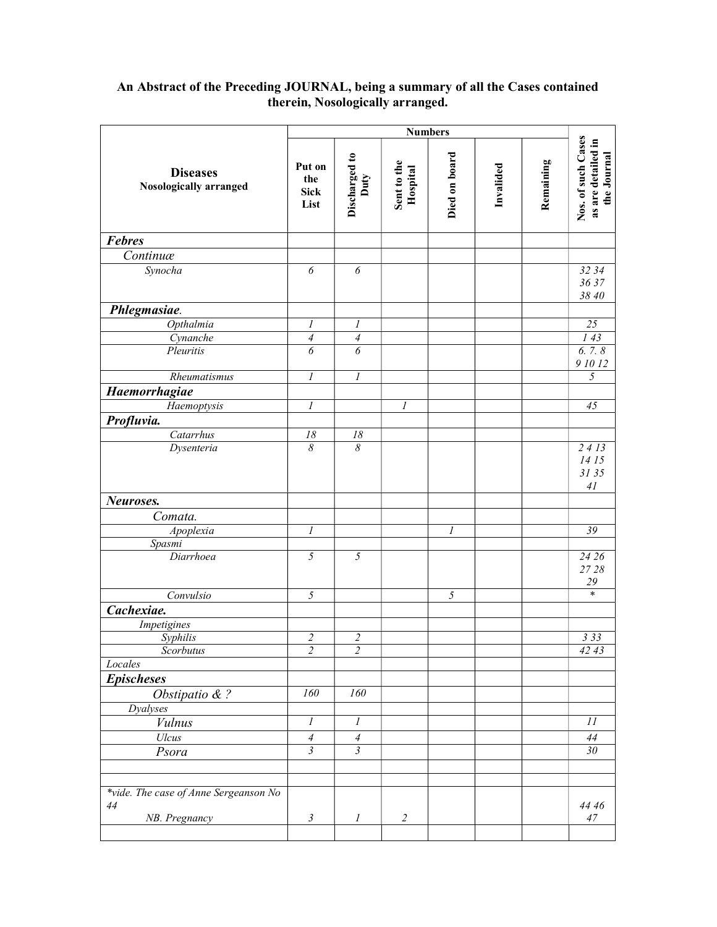#### An Abstract of the Preceding JOURNAL, being a summary of all the Cases contained therein, Nosologically arranged.

| <b>Diseases</b><br><b>Nosologically arranged</b>             | Put on<br>the<br><b>Sick</b><br>List | Discharged to<br>Duty     | Sent to the<br>Hospital | Died on board    | Invalided | Remaining | Nos. of such Cases<br>as are detailed in<br>the Journal |
|--------------------------------------------------------------|--------------------------------------|---------------------------|-------------------------|------------------|-----------|-----------|---------------------------------------------------------|
| <b>Febres</b>                                                |                                      |                           |                         |                  |           |           |                                                         |
| Continuæ                                                     |                                      |                           |                         |                  |           |           |                                                         |
| Synocha                                                      | $\overline{6}$                       | $\overline{6}$            |                         |                  |           |           | 32 34<br>3637<br>38 40                                  |
| Phlegmasiae.                                                 |                                      |                           |                         |                  |           |           |                                                         |
| Opthalmia                                                    | $\boldsymbol{l}$                     | 1                         |                         |                  |           |           | $\overline{25}$                                         |
| Cynanche                                                     | $\overline{\mathcal{A}}$             | $\overline{4}$            |                         |                  |           |           | 143                                                     |
| Pleuritis                                                    | 6                                    | 6                         |                         |                  |           |           | 6.7.8<br>91012                                          |
| Rheumatismus                                                 | $\boldsymbol{l}$                     | $\boldsymbol{l}$          |                         |                  |           |           | $\sqrt{2}$                                              |
| Haemorrhagiae                                                |                                      |                           |                         |                  |           |           |                                                         |
| Haemoptysis                                                  | $\boldsymbol{l}$                     |                           | 1                       |                  |           |           | 45                                                      |
| Profluvia.                                                   |                                      |                           |                         |                  |           |           |                                                         |
| Catarrhus                                                    | $18\,$                               | 18                        |                         |                  |           |           |                                                         |
| Dysenteria                                                   | $\delta$                             | $\overline{\delta}$       |                         |                  |           |           | 2413<br>14 15<br>3135<br>41                             |
| Neuroses.                                                    |                                      |                           |                         |                  |           |           |                                                         |
| Comata.                                                      |                                      |                           |                         |                  |           |           |                                                         |
| Apoplexia                                                    | 1                                    |                           |                         | $\boldsymbol{l}$ |           |           | $\overline{39}$                                         |
| Spasmi                                                       |                                      |                           |                         |                  |           |           |                                                         |
| Diarrhoea                                                    | 5                                    | $\overline{5}$            |                         |                  |           |           | 24 26<br>27 28<br>$29\,$                                |
| Convulsio                                                    | 5                                    |                           |                         | 5                |           |           | $\ast$                                                  |
| Cachexiae.                                                   |                                      |                           |                         |                  |           |           |                                                         |
| Impetigines                                                  |                                      |                           |                         |                  |           |           |                                                         |
| Syphilis                                                     | $\overline{\mathbf{c}}$              | $\overline{\mathbf{c}}$   |                         |                  |           |           | 333                                                     |
| Scorbutus                                                    | $\overline{c}$                       | $\overline{2}$            |                         |                  |           |           | 4243                                                    |
| Locales                                                      |                                      |                           |                         |                  |           |           |                                                         |
| <b>Epischeses</b>                                            |                                      |                           |                         |                  |           |           |                                                         |
| Obstipatio $& ?$                                             | 160                                  | 160                       |                         |                  |           |           |                                                         |
| <b>Dyalyses</b>                                              |                                      |                           |                         |                  |           |           |                                                         |
| <b>Vulnus</b>                                                | $\boldsymbol{l}$                     | $\boldsymbol{l}$          |                         |                  |           |           | $\overline{11}$                                         |
| Ulcus                                                        | $\overline{4}$                       | $\ensuremath{\mathit{4}}$ |                         |                  |           |           | $\sqrt{44}$                                             |
| Psora                                                        | $\overline{\mathfrak{z}}$            | $\overline{3}$            |                         |                  |           |           | 30 <sup>2</sup>                                         |
|                                                              |                                      |                           |                         |                  |           |           |                                                         |
|                                                              |                                      |                           |                         |                  |           |           |                                                         |
| *vide. The case of Anne Sergeanson No<br>44<br>NB. Pregnancy | $\mathfrak{Z}$                       | $\boldsymbol{l}$          | $\overline{2}$          |                  |           |           | 44 46<br>$47\,$                                         |
|                                                              |                                      |                           |                         |                  |           |           |                                                         |